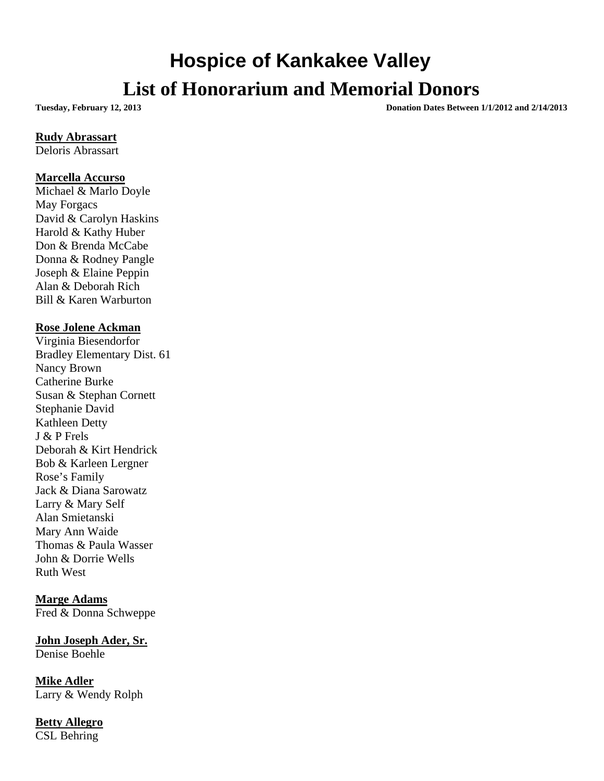# **Hospice of Kankakee Valley List of Honorarium and Memorial Donors**

**Tuesday, February 12, 2013 Donation Dates Between 1/1/2012 and 2/14/2013**

#### **Rudy Abrassart**

Deloris Abrassart

#### **Marcella Accurso**

Michael & Marlo Doyle May Forgacs David & Carolyn Haskins Harold & Kathy Huber Don & Brenda McCabe Donna & Rodney Pangle Joseph & Elaine Peppin Alan & Deborah Rich Bill & Karen Warburton

#### **Rose Jolene Ackman**

Virginia Biesendorfor Bradley Elementary Dist. 61 Nancy Brown Catherine Burke Susan & Stephan Cornett Stephanie David Kathleen Detty J & P Frels Deborah & Kirt Hendrick Bob & Karleen Lergner Rose's Family Jack & Diana Sarowatz Larry & Mary Self Alan Smietanski Mary Ann Waide Thomas & Paula Wasser John & Dorrie Wells Ruth West

## **Marge Adams** Fred & Donna Schweppe

**John Joseph Ader, Sr.** Denise Boehle

**Mike Adler** Larry & Wendy Rolph

#### **Betty Allegro** CSL Behring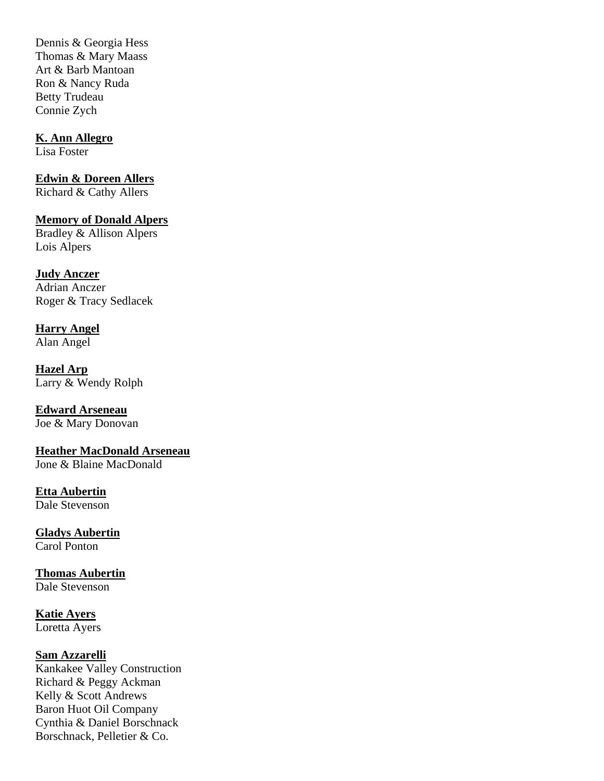Dennis & Georgia Hess Thomas & Mary Maass Art & Barb Mantoan Ron & Nancy Ruda Betty Trudeau Connie Zych

### **K. Ann Allegro**

Lisa Foster

## **Edwin & Doreen Allers**

Richard & Cathy Allers

## **Memory of Donald Alpers**

Bradley & Allison Alpers Lois Alpers

## **Judy Anczer**

Adrian Anczer Roger & Tracy Sedlacek

**Harry Angel**  Alan Angel

**Hazel Arp** Larry & Wendy Rolph

**Edward Arseneau** Joe & Mary Donovan

**Heather MacDonald Arseneau** Jone & Blaine MacDonald

#### **Etta Aubertin**  Dale Stevenson

**Gladys Aubertin**

Carol Ponton

## **Thomas Aubertin**

Dale Stevenson

## **Katie Ayers**

Loretta Ayers

## **Sam Azzarelli**

Kankakee Valley Construction Richard & Peggy Ackman Kelly & Scott Andrews Baron Huot Oil Company Cynthia & Daniel Borschnack Borschnack, Pelletier & Co.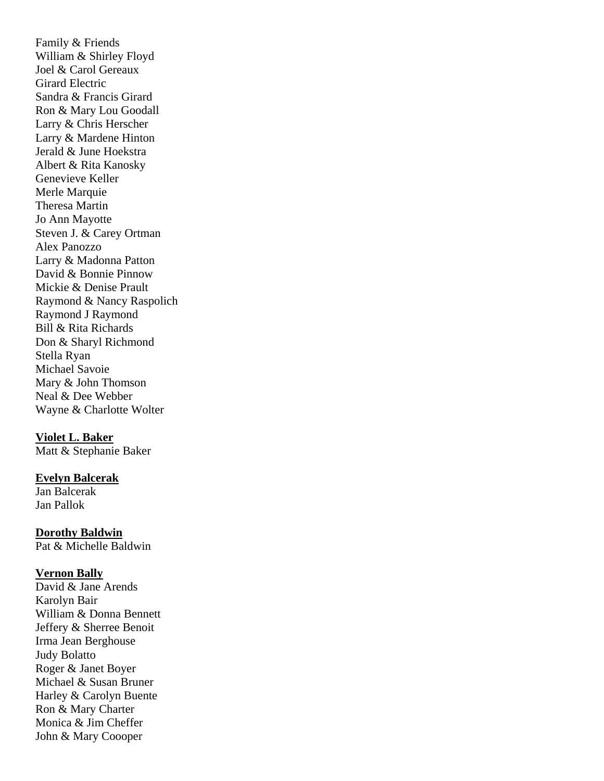Family & Friends William & Shirley Floyd Joel & Carol Gereaux Girard Electric Sandra & Francis Girard Ron & Mary Lou Goodall Larry & Chris Herscher Larry & Mardene Hinton Jerald & June Hoekstra Albert & Rita Kanosky Genevieve Keller Merle Marquie Theresa Martin Jo Ann Mayotte Steven J. & Carey Ortman Alex Panozzo Larry & Madonna Patton David & Bonnie Pinnow Mickie & Denise Prault Raymond & Nancy Raspolich Raymond J Raymond Bill & Rita Richards Don & Sharyl Richmond Stella Ryan Michael Savoie Mary & John Thomson Neal & Dee Webber Wayne & Charlotte Wolter

#### **Violet L. Baker**

Matt & Stephanie Baker

#### **Evelyn Balcerak**

Jan Balcerak Jan Pallok

**Dorothy Baldwin**  Pat & Michelle Baldwin

#### **Vernon Bally**

David & Jane Arends Karolyn Bair William & Donna Bennett Jeffery & Sherree Benoit Irma Jean Berghouse Judy Bolatto Roger & Janet Boyer Michael & Susan Bruner Harley & Carolyn Buente Ron & Mary Charter Monica & Jim Cheffer John & Mary Coooper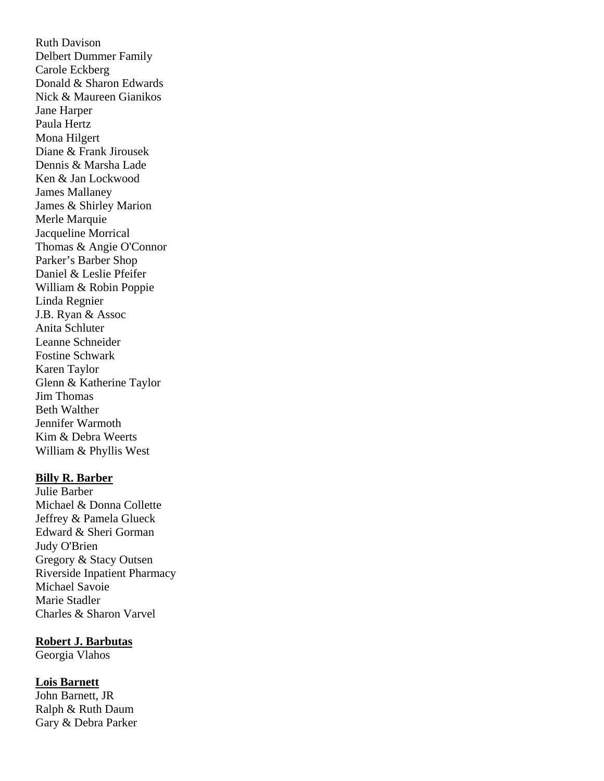Ruth Davison Delbert Dummer Family Carole Eckberg Donald & Sharon Edwards Nick & Maureen Gianikos Jane Harper Paula Hertz Mona Hilgert Diane & Frank Jirousek Dennis & Marsha Lade Ken & Jan Lockwood James Mallaney James & Shirley Marion Merle Marquie Jacqueline Morrical Thomas & Angie O'Connor Parker's Barber Shop Daniel & Leslie Pfeifer William & Robin Poppie Linda Regnier J.B. Ryan & Assoc Anita Schluter Leanne Schneider Fostine Schwark Karen Taylor Glenn & Katherine Taylor Jim Thomas Beth Walther Jennifer Warmoth Kim & Debra Weerts William & Phyllis West

#### **Billy R. Barber**

Julie Barber Michael & Donna Collette Jeffrey & Pamela Glueck Edward & Sheri Gorman Judy O'Brien Gregory & Stacy Outsen Riverside Inpatient Pharmacy Michael Savoie Marie Stadler Charles & Sharon Varvel

#### **Robert J. Barbutas**

Georgia Vlahos

#### **Lois Barnett**

John Barnett, JR Ralph & Ruth Daum Gary & Debra Parker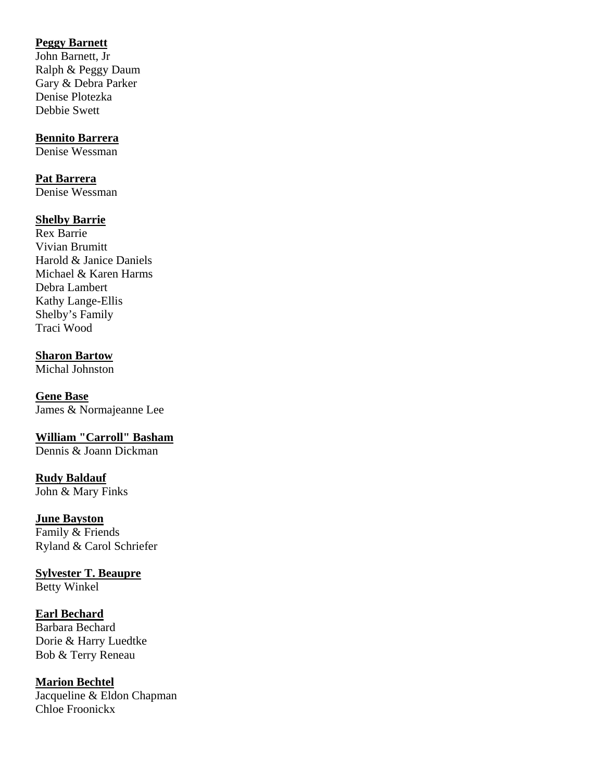## **Peggy Barnett**

John Barnett, Jr Ralph & Peggy Daum Gary & Debra Parker Denise Plotezka Debbie Swett

#### **Bennito Barrera**

Denise Wessman

#### **Pat Barrera**

Denise Wessman

#### **Shelby Barrie**

Rex Barrie Vivian Brumitt Harold & Janice Daniels Michael & Karen Harms Debra Lambert Kathy Lange-Ellis Shelby's Family Traci Wood

#### **Sharon Bartow**

Michal Johnston

**Gene Base** James & Normajeanne Lee

## **William "Carroll" Basham**

Dennis & Joann Dickman

#### **Rudy Baldauf** John & Mary Finks

#### **June Bayston**

Family & Friends Ryland & Carol Schriefer

## **Sylvester T. Beaupre**

Betty Winkel

## **Earl Bechard**

Barbara Bechard Dorie & Harry Luedtke Bob & Terry Reneau

## **Marion Bechtel**

Jacqueline & Eldon Chapman Chloe Froonickx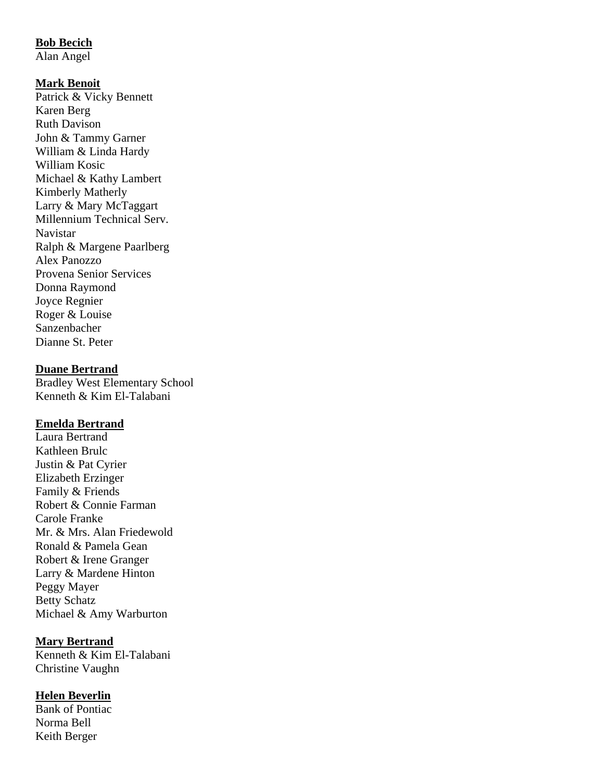## **Bob Becich**

Alan Angel

#### **Mark Benoit**

Patrick & Vicky Bennett Karen Berg Ruth Davison John & Tammy Garner William & Linda Hardy William Kosic Michael & Kathy Lambert Kimberly Matherly Larry & Mary McTaggart Millennium Technical Serv. Navistar Ralph & Margene Paarlberg Alex Panozzo Provena Senior Services Donna Raymond Joyce Regnier Roger & Louise Sanzenbacher Dianne St. Peter

## **Duane Bertrand**

Bradley West Elementary School Kenneth & Kim El-Talabani

#### **Emelda Bertrand**

Laura Bertrand Kathleen Brulc Justin & Pat Cyrier Elizabeth Erzinger Family & Friends Robert & Connie Farman Carole Franke Mr. & Mrs. Alan Friedewold Ronald & Pamela Gean Robert & Irene Granger Larry & Mardene Hinton Peggy Mayer Betty Schatz Michael & Amy Warburton

#### **Mary Bertrand**

Kenneth & Kim El-Talabani Christine Vaughn

#### **Helen Beverlin**

Bank of Pontiac Norma Bell Keith Berger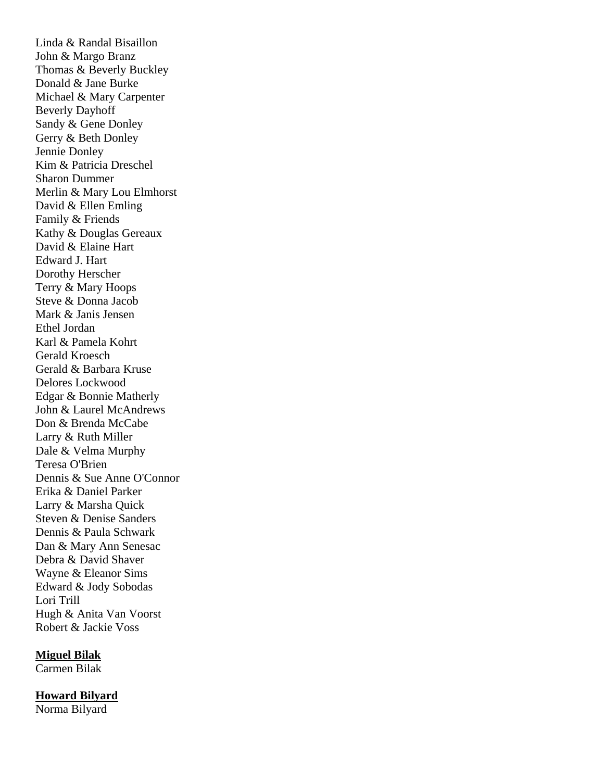Linda & Randal Bisaillon John & Margo Branz Thomas & Beverly Buckley Donald & Jane Burke Michael & Mary Carpenter Beverly Dayhoff Sandy & Gene Donley Gerry & Beth Donley Jennie Donley Kim & Patricia Dreschel Sharon Dummer Merlin & Mary Lou Elmhorst David & Ellen Emling Family & Friends Kathy & Douglas Gereaux David & Elaine Hart Edward J. Hart Dorothy Herscher Terry & Mary Hoops Steve & Donna Jacob Mark & Janis Jensen Ethel Jordan Karl & Pamela Kohrt Gerald Kroesch Gerald & Barbara Kruse Delores Lockwood Edgar & Bonnie Matherly John & Laurel McAndrews Don & Brenda McCabe Larry & Ruth Miller Dale & Velma Murphy Teresa O'Brien Dennis & Sue Anne O'Connor Erika & Daniel Parker Larry & Marsha Quick Steven & Denise Sanders Dennis & Paula Schwark Dan & Mary Ann Senesac Debra & David Shaver Wayne & Eleanor Sims Edward & Jody Sobodas Lori Trill Hugh & Anita Van Voorst Robert & Jackie Voss

#### **Miguel Bilak**

Carmen Bilak

#### **Howard Bilyard**

Norma Bilyard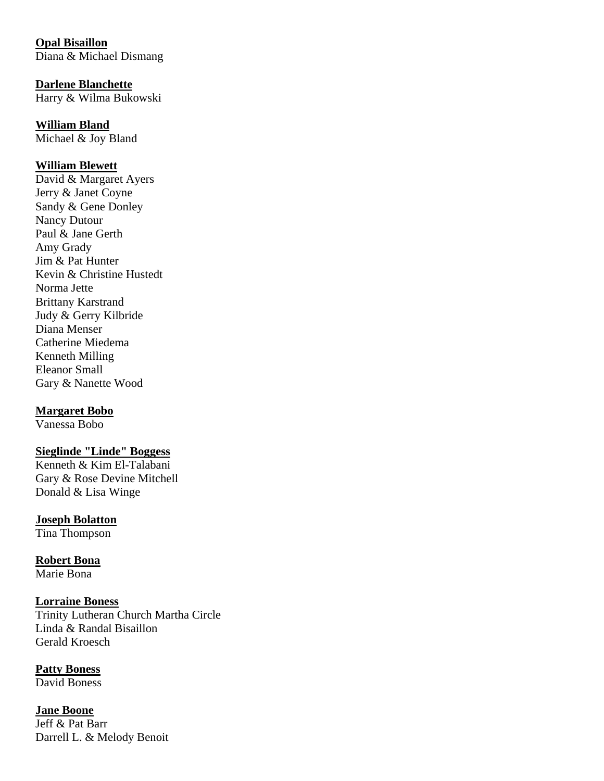**Opal Bisaillon** Diana & Michael Dismang

**Darlene Blanchette** Harry & Wilma Bukowski

**William Bland**  Michael & Joy Bland

## **William Blewett**

David & Margaret Ayers Jerry & Janet Coyne Sandy & Gene Donley Nancy Dutour Paul & Jane Gerth Amy Grady Jim & Pat Hunter Kevin & Christine Hustedt Norma Jette Brittany Karstrand Judy & Gerry Kilbride Diana Menser Catherine Miedema Kenneth Milling Eleanor Small Gary & Nanette Wood

#### **Margaret Bobo**

Vanessa Bobo

### **Sieglinde "Linde" Boggess**

Kenneth & Kim El-Talabani Gary & Rose Devine Mitchell Donald & Lisa Winge

## **Joseph Bolatton**

Tina Thompson

**Robert Bona** Marie Bona

**Lorraine Boness** Trinity Lutheran Church Martha Circle Linda & Randal Bisaillon Gerald Kroesch

**Patty Boness** David Boness

**Jane Boone** Jeff & Pat Barr Darrell L. & Melody Benoit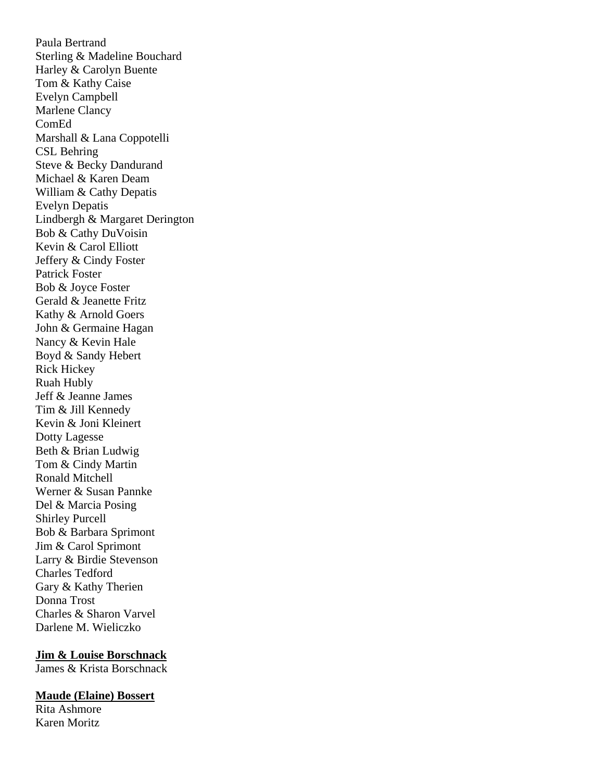Paula Bertrand Sterling & Madeline Bouchard Harley & Carolyn Buente Tom & Kathy Caise Evelyn Campbell Marlene Clancy ComEd Marshall & Lana Coppotelli CSL Behring Steve & Becky Dandurand Michael & Karen Deam William & Cathy Depatis Evelyn Depatis Lindbergh & Margaret Derington Bob & Cathy DuVoisin Kevin & Carol Elliott Jeffery & Cindy Foster Patrick Foster Bob & Joyce Foster Gerald & Jeanette Fritz Kathy & Arnold Goers John & Germaine Hagan Nancy & Kevin Hale Boyd & Sandy Hebert Rick Hickey Ruah Hubly Jeff & Jeanne James Tim & Jill Kennedy Kevin & Joni Kleinert Dotty Lagesse Beth & Brian Ludwig Tom & Cindy Martin Ronald Mitchell Werner & Susan Pannke Del & Marcia Posing Shirley Purcell Bob & Barbara Sprimont Jim & Carol Sprimont Larry & Birdie Stevenson Charles Tedford Gary & Kathy Therien Donna Trost Charles & Sharon Varvel Darlene M. Wieliczko

#### **Jim & Louise Borschnack**

James & Krista Borschnack

#### **Maude (Elaine) Bossert**

Rita Ashmore Karen Moritz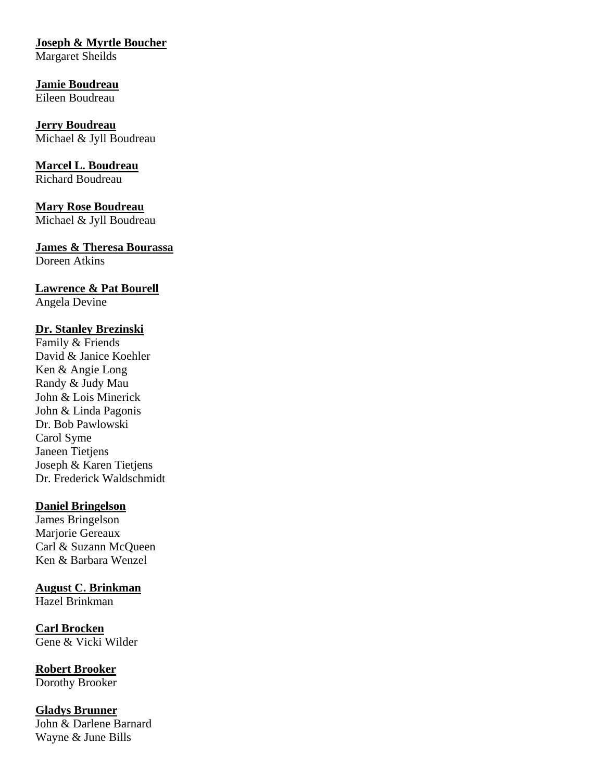## **Joseph & Myrtle Boucher**

Margaret Sheilds

**Jamie Boudreau** Eileen Boudreau

**Jerry Boudreau**  Michael & Jyll Boudreau

**Marcel L. Boudreau** Richard Boudreau

**Mary Rose Boudreau**  Michael & Jyll Boudreau

**James & Theresa Bourassa** Doreen Atkins

**Lawrence & Pat Bourell** Angela Devine

## **Dr. Stanley Brezinski**

Family & Friends David & Janice Koehler Ken & Angie Long Randy & Judy Mau John & Lois Minerick John & Linda Pagonis Dr. Bob Pawlowski Carol Syme Janeen Tietjens Joseph & Karen Tietjens Dr. Frederick Waldschmidt

#### **Daniel Bringelson**

James Bringelson Marjorie Gereaux Carl & Suzann McQueen Ken & Barbara Wenzel

**August C. Brinkman** Hazel Brinkman

**Carl Brocken**  Gene & Vicki Wilder

**Robert Brooker** Dorothy Brooker

**Gladys Brunner** John & Darlene Barnard Wayne & June Bills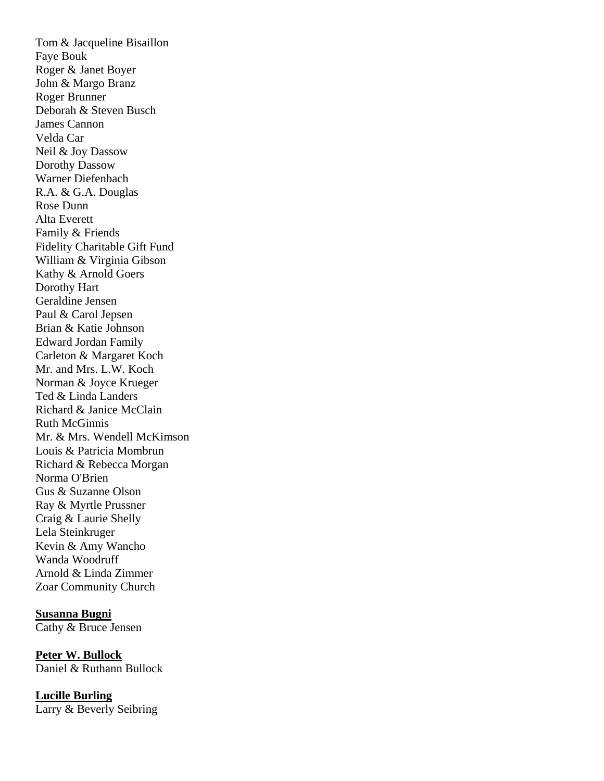Tom & Jacqueline Bisaillon Faye Bouk Roger & Janet Boyer John & Margo Branz Roger Brunner Deborah & Steven Busch James Cannon Velda Car Neil & Joy Dassow Dorothy Dassow Warner Diefenbach R.A. & G.A. Douglas Rose Dunn Alta Everett Family & Friends Fidelity Charitable Gift Fund William & Virginia Gibson Kathy & Arnold Goers Dorothy Hart Geraldine Jensen Paul & Carol Jepsen Brian & Katie Johnson Edward Jordan Family Carleton & Margaret Koch Mr. and Mrs. L.W. Koch Norman & Joyce Krueger Ted & Linda Landers Richard & Janice McClain Ruth McGinnis Mr. & Mrs. Wendell McKimson Louis & Patricia Mombrun Richard & Rebecca Morgan Norma O'Brien Gus & Suzanne Olson Ray & Myrtle Prussner Craig & Laurie Shelly Lela Steinkruger Kevin & Amy Wancho Wanda Woodruff Arnold & Linda Zimmer Zoar Community Church

**Susanna Bugni** Cathy & Bruce Jensen

**Peter W. Bullock**  Daniel & Ruthann Bullock

**Lucille Burling** Larry & Beverly Seibring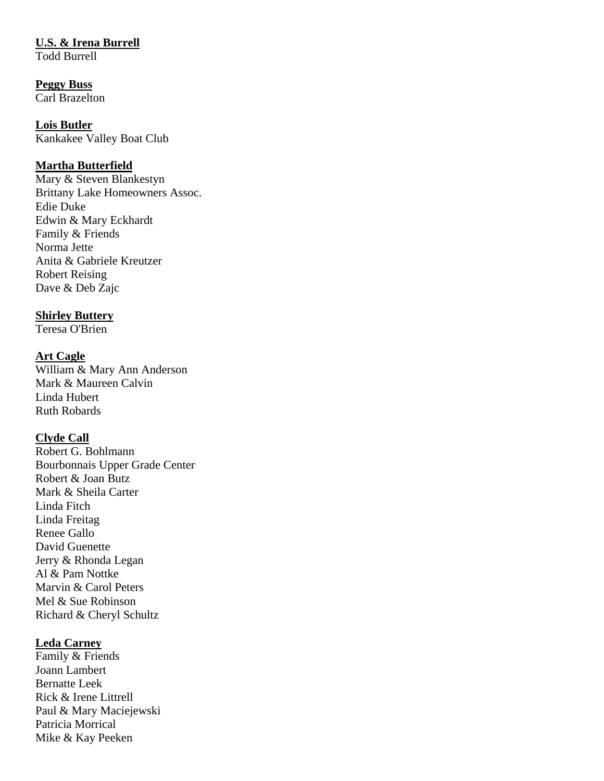## **U.S. & Irena Burrell**

Todd Burrell

## **Peggy Buss**

Carl Brazelton

#### **Lois Butler**

Kankakee Valley Boat Club

## **Martha Butterfield**

Mary & Steven Blankestyn Brittany Lake Homeowners Assoc. Edie Duke Edwin & Mary Eckhardt Family & Friends Norma Jette Anita & Gabriele Kreutzer Robert Reising Dave & Deb Zajc

## **Shirley Buttery**

Teresa O'Brien

## **Art Cagle**

William & Mary Ann Anderson Mark & Maureen Calvin Linda Hubert Ruth Robards

#### **Clyde Call**

Robert G. Bohlmann Bourbonnais Upper Grade Center Robert & Joan Butz Mark & Sheila Carter Linda Fitch Linda Freitag Renee Gallo David Guenette Jerry & Rhonda Legan Al & Pam Nottke Marvin & Carol Peters Mel & Sue Robinson Richard & Cheryl Schultz

#### **Leda Carney**

Family & Friends Joann Lambert Bernatte Leek Rick & Irene Littrell Paul & Mary Maciejewski Patricia Morrical Mike & Kay Peeken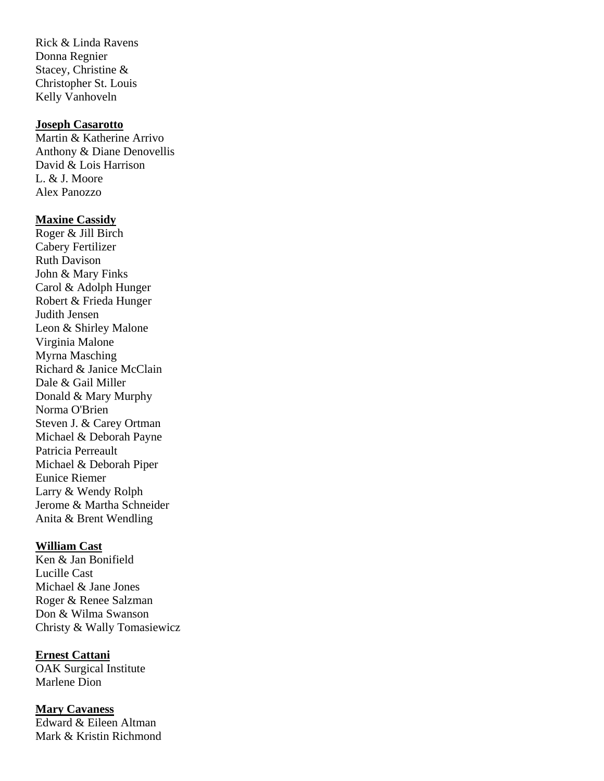Rick & Linda Ravens Donna Regnier Stacey, Christine & Christopher St. Louis Kelly Vanhoveln

#### **Joseph Casarotto**

Martin & Katherine Arrivo Anthony & Diane Denovellis David & Lois Harrison L. & J. Moore Alex Panozzo

#### **Maxine Cassidy**

Roger & Jill Birch Cabery Fertilizer Ruth Davison John & Mary Finks Carol & Adolph Hunger Robert & Frieda Hunger Judith Jensen Leon & Shirley Malone Virginia Malone Myrna Masching Richard & Janice McClain Dale & Gail Miller Donald & Mary Murphy Norma O'Brien Steven J. & Carey Ortman Michael & Deborah Payne Patricia Perreault Michael & Deborah Piper Eunice Riemer Larry & Wendy Rolph Jerome & Martha Schneider Anita & Brent Wendling

#### **William Cast**

Ken & Jan Bonifield Lucille Cast Michael & Jane Jones Roger & Renee Salzman Don & Wilma Swanson Christy & Wally Tomasiewicz

**Ernest Cattani** OAK Surgical Institute Marlene Dion

**Mary Cavaness** Edward & Eileen Altman Mark & Kristin Richmond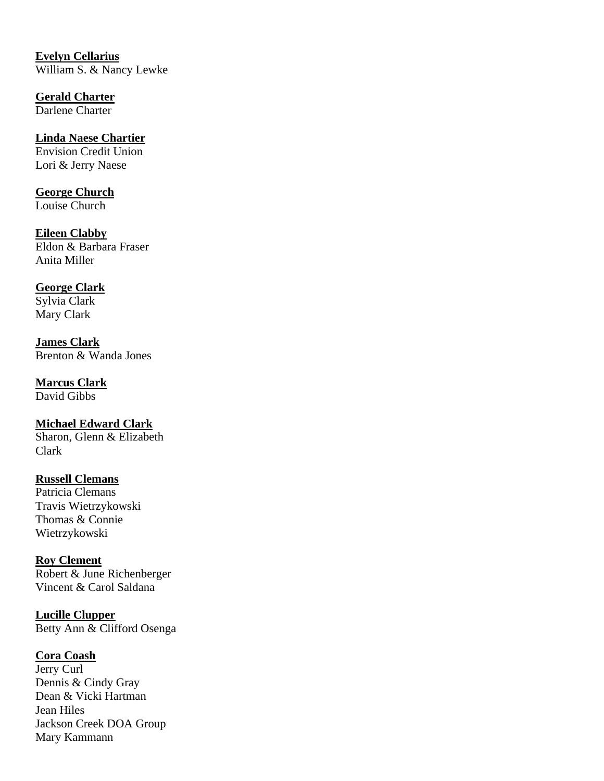**Evelyn Cellarius** William S. & Nancy Lewke

**Gerald Charter** Darlene Charter

**Linda Naese Chartier** Envision Credit Union Lori & Jerry Naese

**George Church** Louise Church

**Eileen Clabby** Eldon & Barbara Fraser Anita Miller

**George Clark** Sylvia Clark Mary Clark

**James Clark** Brenton & Wanda Jones

**Marcus Clark** David Gibbs

**Michael Edward Clark**  Sharon, Glenn & Elizabeth Clark

**Russell Clemans** Patricia Clemans Travis Wietrzykowski Thomas & Connie Wietrzykowski

**Roy Clement** Robert & June Richenberger Vincent & Carol Saldana

**Lucille Clupper** Betty Ann & Clifford Osenga

**Cora Coash**

Jerry Curl Dennis & Cindy Gray Dean & Vicki Hartman Jean Hiles Jackson Creek DOA Group Mary Kammann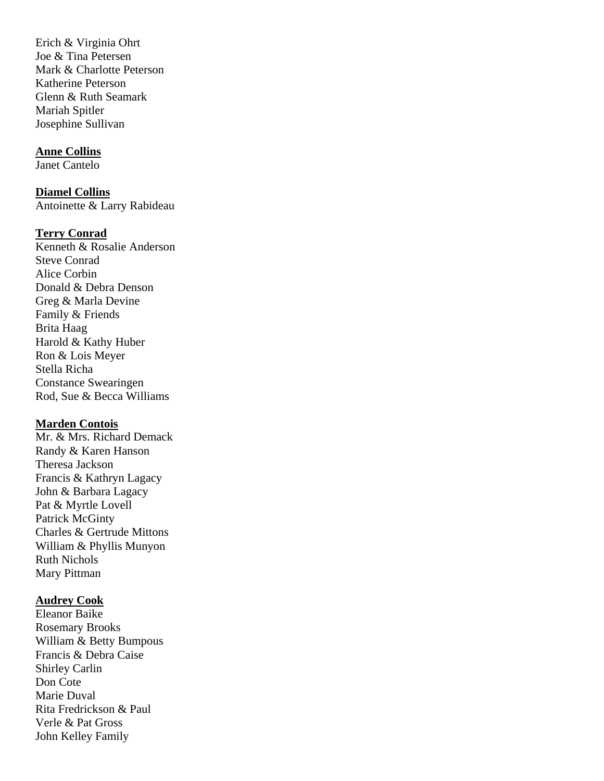Erich & Virginia Ohrt Joe & Tina Petersen Mark & Charlotte Peterson Katherine Peterson Glenn & Ruth Seamark Mariah Spitler Josephine Sullivan

#### **Anne Collins**

Janet Cantelo

**Diamel Collins** Antoinette & Larry Rabideau

#### **Terry Conrad**

Kenneth & Rosalie Anderson Steve Conrad Alice Corbin Donald & Debra Denson Greg & Marla Devine Family & Friends Brita Haag Harold & Kathy Huber Ron & Lois Meyer Stella Richa Constance Swearingen Rod, Sue & Becca Williams

#### **Marden Contois**

Mr. & Mrs. Richard Demack Randy & Karen Hanson Theresa Jackson Francis & Kathryn Lagacy John & Barbara Lagacy Pat & Myrtle Lovell Patrick McGinty Charles & Gertrude Mittons William & Phyllis Munyon Ruth Nichols Mary Pittman

#### **Audrey Cook**

Eleanor Baike Rosemary Brooks William & Betty Bumpous Francis & Debra Caise Shirley Carlin Don Cote Marie Duval Rita Fredrickson & Paul Verle & Pat Gross John Kelley Family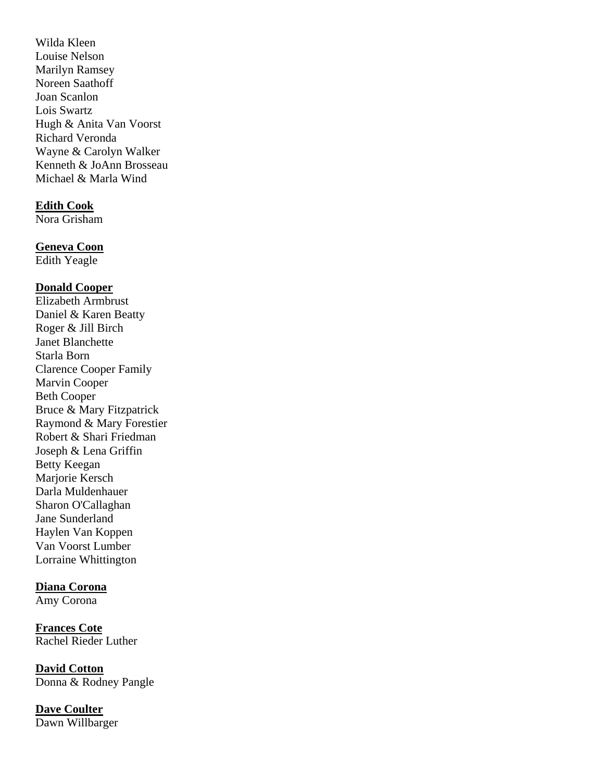Wilda Kleen Louise Nelson Marilyn Ramsey Noreen Saathoff Joan Scanlon Lois Swartz Hugh & Anita Van Voorst Richard Veronda Wayne & Carolyn Walker Kenneth & JoAnn Brosseau Michael & Marla Wind

#### **Edith Cook**

Nora Grisham

#### **Geneva Coon**

Edith Yeagle

#### **Donald Cooper**

Elizabeth Armbrust Daniel & Karen Beatty Roger & Jill Birch Janet Blanchette Starla Born Clarence Cooper Family Marvin Cooper Beth Cooper Bruce & Mary Fitzpatrick Raymond & Mary Forestier Robert & Shari Friedman Joseph & Lena Griffin Betty Keegan Marjorie Kersch Darla Muldenhauer Sharon O'Callaghan Jane Sunderland Haylen Van Koppen Van Voorst Lumber Lorraine Whittington

#### **Diana Corona**

Amy Corona

**Frances Cote** Rachel Rieder Luther

**David Cotton** Donna & Rodney Pangle

**Dave Coulter**  Dawn Willbarger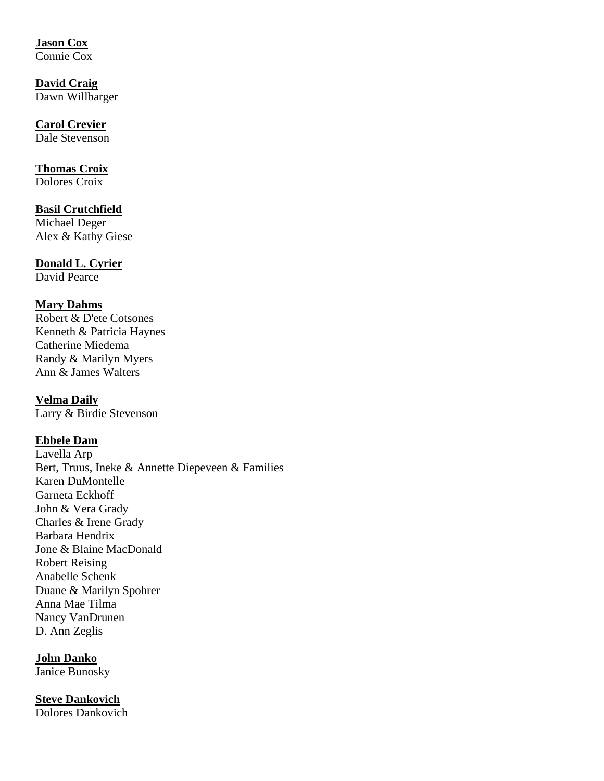## **Jason Cox**

Connie Cox

**David Craig**  Dawn Willbarger

#### **Carol Crevier**  Dale Stevenson

## **Thomas Croix**

Dolores Croix

#### **Basil Crutchfield** Michael Deger Alex & Kathy Giese

## **Donald L. Cyrier** David Pearce

## **Mary Dahms**

Robert & D'ete Cotsones Kenneth & Patricia Haynes Catherine Miedema Randy & Marilyn Myers Ann & James Walters

**Velma Daily** Larry & Birdie Stevenson

## **Ebbele Dam**

Lavella Arp Bert, Truus, Ineke & Annette Diepeveen & Families Karen DuMontelle Garneta Eckhoff John & Vera Grady Charles & Irene Grady Barbara Hendrix Jone & Blaine MacDonald Robert Reising Anabelle Schenk Duane & Marilyn Spohrer Anna Mae Tilma Nancy VanDrunen D. Ann Zeglis

**John Danko**  Janice Bunosky

**Steve Dankovich** Dolores Dankovich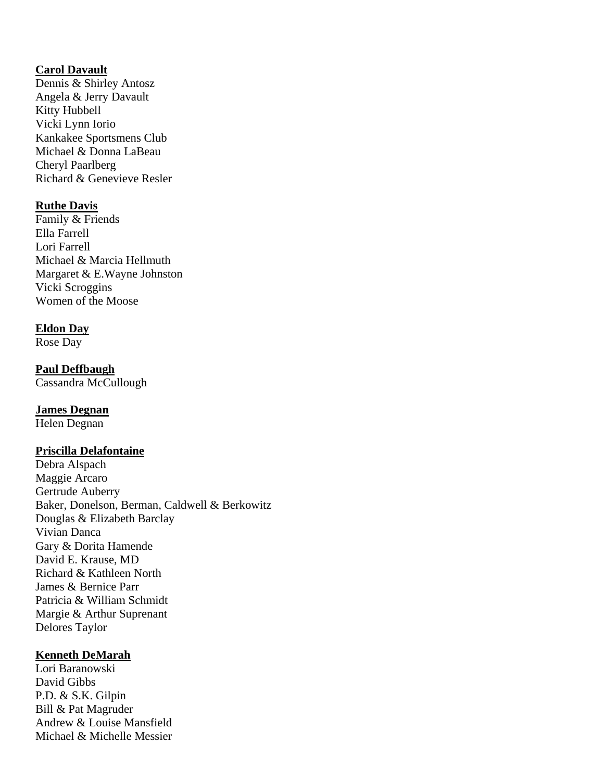## **Carol Davault**

Dennis & Shirley Antosz Angela & Jerry Davault Kitty Hubbell Vicki Lynn Iorio Kankakee Sportsmens Club Michael & Donna LaBeau Cheryl Paarlberg Richard & Genevieve Resler

## **Ruthe Davis**

Family & Friends Ella Farrell Lori Farrell Michael & Marcia Hellmuth Margaret & E.Wayne Johnston Vicki Scroggins Women of the Moose

## **Eldon Day**

Rose Day

## **Paul Deffbaugh**

Cassandra McCullough

## **James Degnan**

Helen Degnan

#### **Priscilla Delafontaine**

Debra Alspach Maggie Arcaro Gertrude Auberry Baker, Donelson, Berman, Caldwell & Berkowitz Douglas & Elizabeth Barclay Vivian Danca Gary & Dorita Hamende David E. Krause, MD Richard & Kathleen North James & Bernice Parr Patricia & William Schmidt Margie & Arthur Suprenant Delores Taylor

## **Kenneth DeMarah**

Lori Baranowski David Gibbs P.D. & S.K. Gilpin Bill & Pat Magruder Andrew & Louise Mansfield Michael & Michelle Messier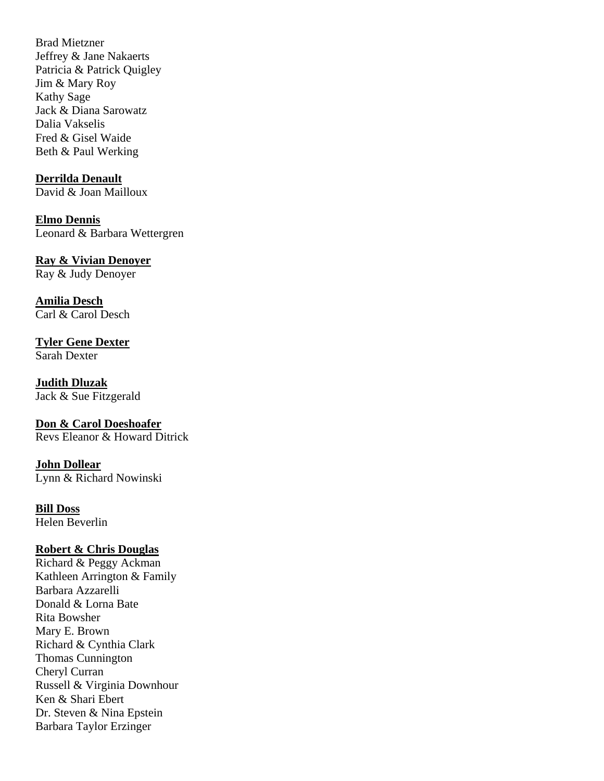Brad Mietzner Jeffrey & Jane Nakaerts Patricia & Patrick Quigley Jim & Mary Roy Kathy Sage Jack & Diana Sarowatz Dalia Vakselis Fred & Gisel Waide Beth & Paul Werking

#### **Derrilda Denault**

David & Joan Mailloux

**Elmo Dennis** Leonard & Barbara Wettergren

#### **Ray & Vivian Denoyer**

Ray & Judy Denoyer

**Amilia Desch** Carl & Carol Desch

**Tyler Gene Dexter**  Sarah Dexter

**Judith Dluzak** Jack & Sue Fitzgerald

**Don & Carol Doeshoafer** Revs Eleanor & Howard Ditrick

**John Dollear** Lynn & Richard Nowinski

**Bill Doss**

Helen Beverlin

#### **Robert & Chris Douglas**

Richard & Peggy Ackman Kathleen Arrington & Family Barbara Azzarelli Donald & Lorna Bate Rita Bowsher Mary E. Brown Richard & Cynthia Clark Thomas Cunnington Cheryl Curran Russell & Virginia Downhour Ken & Shari Ebert Dr. Steven & Nina Epstein Barbara Taylor Erzinger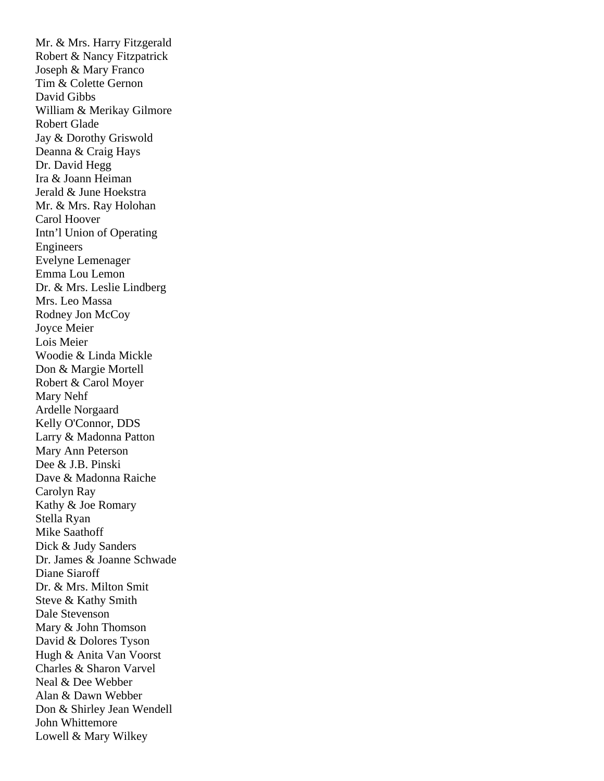Mr. & Mrs. Harry Fitzgerald Robert & Nancy Fitzpatrick Joseph & Mary Franco Tim & Colette Gernon David Gibbs William & Merikay Gilmore Robert Glade Jay & Dorothy Griswold Deanna & Craig Hays Dr. David Hegg Ira & Joann Heiman Jerald & June Hoekstra Mr. & Mrs. Ray Holohan Carol Hoover Intn'l Union of Operating Engineers Evelyne Lemenager Emma Lou Lemon Dr. & Mrs. Leslie Lindberg Mrs. Leo Massa Rodney Jon McCoy Joyce Meier Lois Meier Woodie & Linda Mickle Don & Margie Mortell Robert & Carol Moyer Mary Nehf Ardelle Norgaard Kelly O'Connor, DDS Larry & Madonna Patton Mary Ann Peterson Dee & J.B. Pinski Dave & Madonna Raiche Carolyn Ray Kathy & Joe Romary Stella Ryan Mike Saathoff Dick & Judy Sanders Dr. James & Joanne Schwade Diane Siaroff Dr. & Mrs. Milton Smit Steve & Kathy Smith Dale Stevenson Mary & John Thomson David & Dolores Tyson Hugh & Anita Van Voorst Charles & Sharon Varvel Neal & Dee Webber Alan & Dawn Webber Don & Shirley Jean Wendell John Whittemore Lowell & Mary Wilkey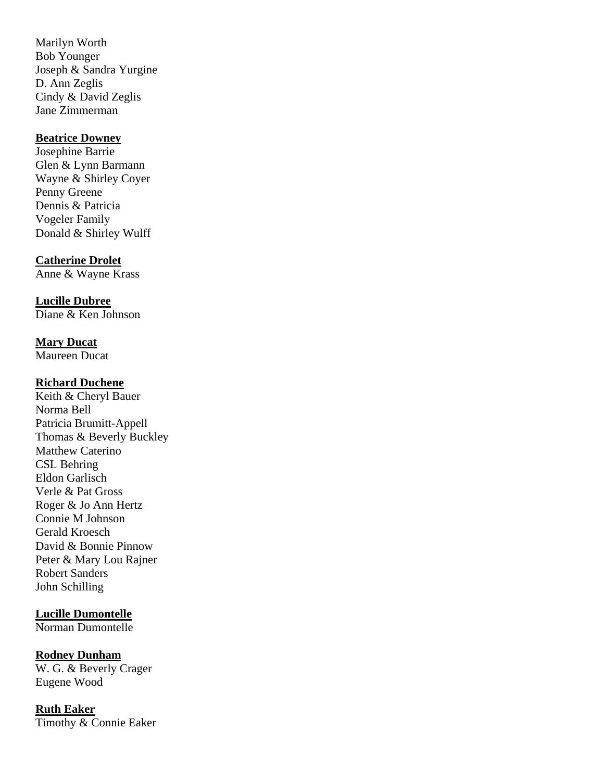Marilyn Worth Bob Younger Joseph & Sandra Yurgine D. Ann Zeglis Cindy & David Zeglis Jane Zimmerman

#### **Beatrice Downey**

Josephine Barrie Glen & Lynn Barmann Wayne & Shirley Coyer Penny Greene Dennis & Patricia Vogeler Family Donald & Shirley Wulff

**Catherine Drolet** Anne & Wayne Krass

**Lucille Dubree** Diane & Ken Johnson

## **Mary Ducat**

Maureen Ducat

#### **Richard Duchene**

Keith & Cheryl Bauer Norma Bell Patricia Brumitt-Appell Thomas & Beverly Buckley Matthew Caterino CSL Behring Eldon Garlisch Verle & Pat Gross Roger & Jo Ann Hertz Connie M Johnson Gerald Kroesch David & Bonnie Pinnow Peter & Mary Lou Rajner Robert Sanders John Schilling

## **Lucille Dumontelle**

Norman Dumontelle

#### **Rodney Dunham**

W. G. & Beverly Crager Eugene Wood

**Ruth Eaker** Timothy & Connie Eaker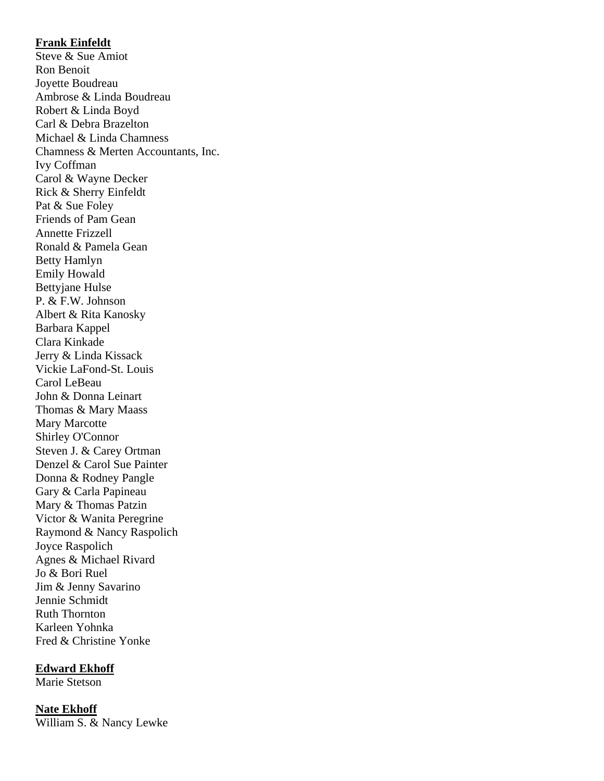### **Frank Einfeldt**

Steve & Sue Amiot Ron Benoit Joyette Boudreau Ambrose & Linda Boudreau Robert & Linda Boyd Carl & Debra Brazelton Michael & Linda Chamness Chamness & Merten Accountants, Inc. Ivy Coffman Carol & Wayne Decker Rick & Sherry Einfeldt Pat & Sue Foley Friends of Pam Gean Annette Frizzell Ronald & Pamela Gean Betty Hamlyn Emily Howald Bettyjane Hulse P. & F.W. Johnson Albert & Rita Kanosky Barbara Kappel Clara Kinkade Jerry & Linda Kissack Vickie LaFond-St. Louis Carol LeBeau John & Donna Leinart Thomas & Mary Maass Mary Marcotte Shirley O'Connor Steven J. & Carey Ortman Denzel & Carol Sue Painter Donna & Rodney Pangle Gary & Carla Papineau Mary & Thomas Patzin Victor & Wanita Peregrine Raymond & Nancy Raspolich Joyce Raspolich Agnes & Michael Rivard Jo & Bori Ruel Jim & Jenny Savarino Jennie Schmidt Ruth Thornton Karleen Yohnka Fred & Christine Yonke

#### **Edward Ekhoff**

Marie Stetson

**Nate Ekhoff** William S. & Nancy Lewke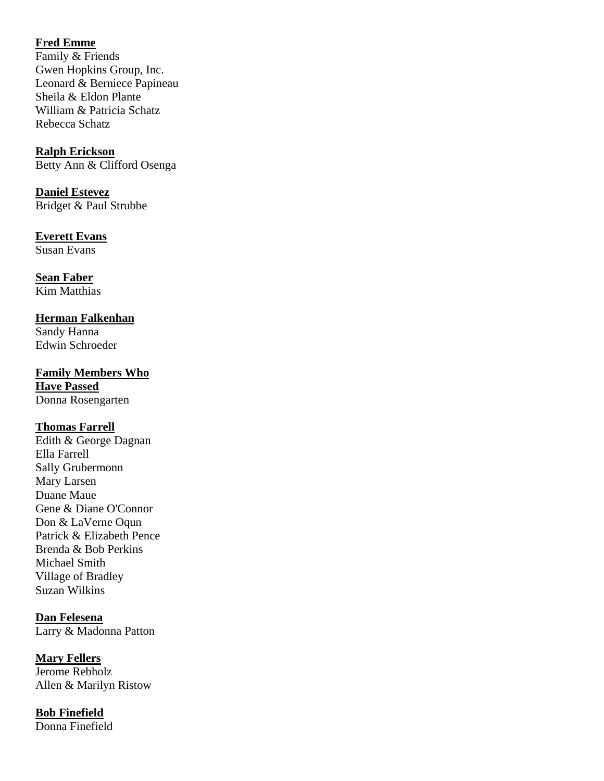## **Fred Emme**

Family & Friends Gwen Hopkins Group, Inc. Leonard & Berniece Papineau Sheila & Eldon Plante William & Patricia Schatz Rebecca Schatz

**Ralph Erickson** Betty Ann & Clifford Osenga

**Daniel Estevez** Bridget & Paul Strubbe

**Everett Evans**  Susan Evans

**Sean Faber**  Kim Matthias

## **Herman Falkenhan**

Sandy Hanna Edwin Schroeder

**Family Members Who Have Passed** 

Donna Rosengarten

#### **Thomas Farrell**

Edith & George Dagnan Ella Farrell Sally Grubermonn Mary Larsen Duane Maue Gene & Diane O'Connor Don & LaVerne Oqun Patrick & Elizabeth Pence Brenda & Bob Perkins Michael Smith Village of Bradley Suzan Wilkins

**Dan Felesena** Larry & Madonna Patton

**Mary Fellers** Jerome Rebholz Allen & Marilyn Ristow

**Bob Finefield** Donna Finefield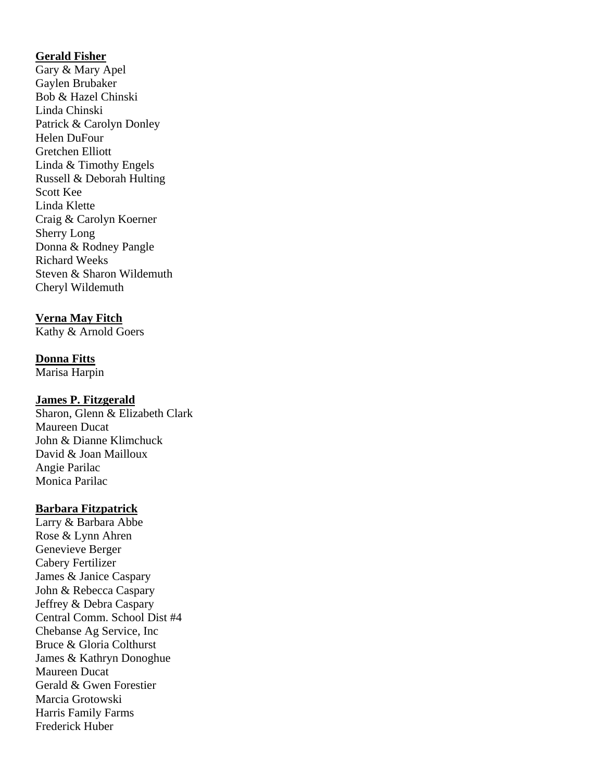## **Gerald Fisher**

Gary & Mary Apel Gaylen Brubaker Bob & Hazel Chinski Linda Chinski Patrick & Carolyn Donley Helen DuFour Gretchen Elliott Linda & Timothy Engels Russell & Deborah Hulting Scott Kee Linda Klette Craig & Carolyn Koerner Sherry Long Donna & Rodney Pangle Richard Weeks Steven & Sharon Wildemuth Cheryl Wildemuth

## **Verna May Fitch**

Kathy & Arnold Goers

## **Donna Fitts**

Marisa Harpin

#### **James P. Fitzgerald**

Sharon, Glenn & Elizabeth Clark Maureen Ducat John & Dianne Klimchuck David & Joan Mailloux Angie Parilac Monica Parilac

#### **Barbara Fitzpatrick**

Larry & Barbara Abbe Rose & Lynn Ahren Genevieve Berger Cabery Fertilizer James & Janice Caspary John & Rebecca Caspary Jeffrey & Debra Caspary Central Comm. School Dist #4 Chebanse Ag Service, Inc Bruce & Gloria Colthurst James & Kathryn Donoghue Maureen Ducat Gerald & Gwen Forestier Marcia Grotowski Harris Family Farms Frederick Huber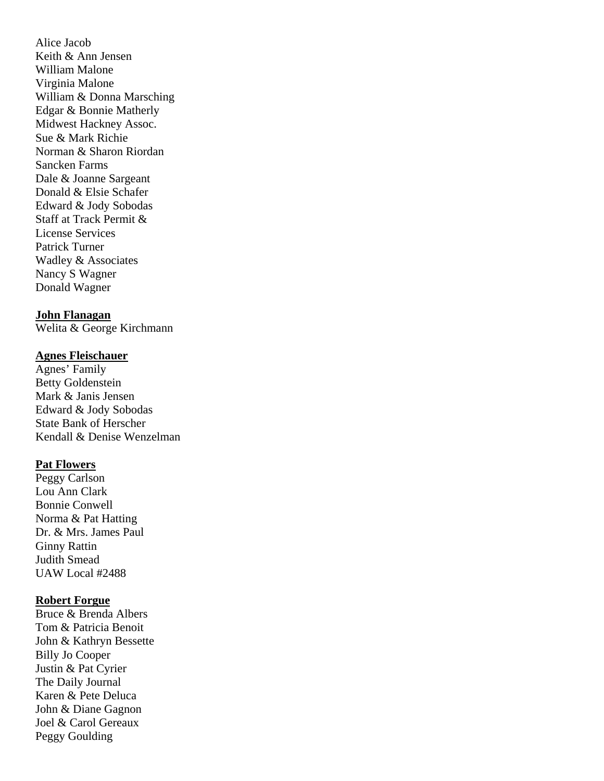Alice Jacob Keith & Ann Jensen William Malone Virginia Malone William & Donna Marsching Edgar & Bonnie Matherly Midwest Hackney Assoc. Sue & Mark Richie Norman & Sharon Riordan Sancken Farms Dale & Joanne Sargeant Donald & Elsie Schafer Edward & Jody Sobodas Staff at Track Permit & License Services Patrick Turner Wadley & Associates Nancy S Wagner Donald Wagner

#### **John Flanagan**

Welita & George Kirchmann

#### **Agnes Fleischauer**

Agnes' Family Betty Goldenstein Mark & Janis Jensen Edward & Jody Sobodas State Bank of Herscher Kendall & Denise Wenzelman

#### **Pat Flowers**

Peggy Carlson Lou Ann Clark Bonnie Conwell Norma & Pat Hatting Dr. & Mrs. James Paul Ginny Rattin Judith Smead UAW Local #2488

#### **Robert Forgue**

Bruce & Brenda Albers Tom & Patricia Benoit John & Kathryn Bessette Billy Jo Cooper Justin & Pat Cyrier The Daily Journal Karen & Pete Deluca John & Diane Gagnon Joel & Carol Gereaux Peggy Goulding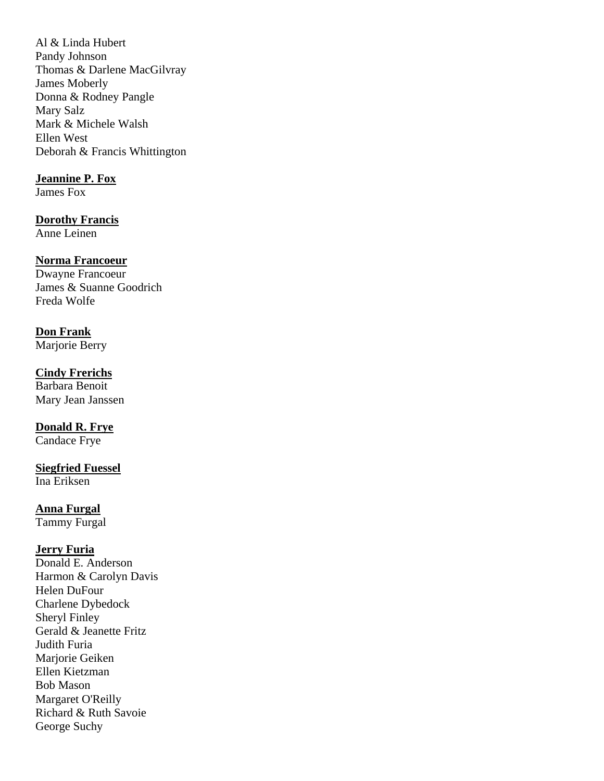Al & Linda Hubert Pandy Johnson Thomas & Darlene MacGilvray James Moberly Donna & Rodney Pangle Mary Salz Mark & Michele Walsh Ellen West Deborah & Francis Whittington

### **Jeannine P. Fox**

James Fox

#### **Dorothy Francis**

Anne Leinen

## **Norma Francoeur**

Dwayne Francoeur James & Suanne Goodrich Freda Wolfe

## **Don Frank**

Marjorie Berry

## **Cindy Frerichs**

Barbara Benoit Mary Jean Janssen

## **Donald R. Frye**

Candace Frye

## **Siegfried Fuessel**

Ina Eriksen

## **Anna Furgal**

Tammy Furgal

### **Jerry Furia**

Donald E. Anderson Harmon & Carolyn Davis Helen DuFour Charlene Dybedock Sheryl Finley Gerald & Jeanette Fritz Judith Furia Mariorie Geiken Ellen Kietzman Bob Mason Margaret O'Reilly Richard & Ruth Savoie George Suchy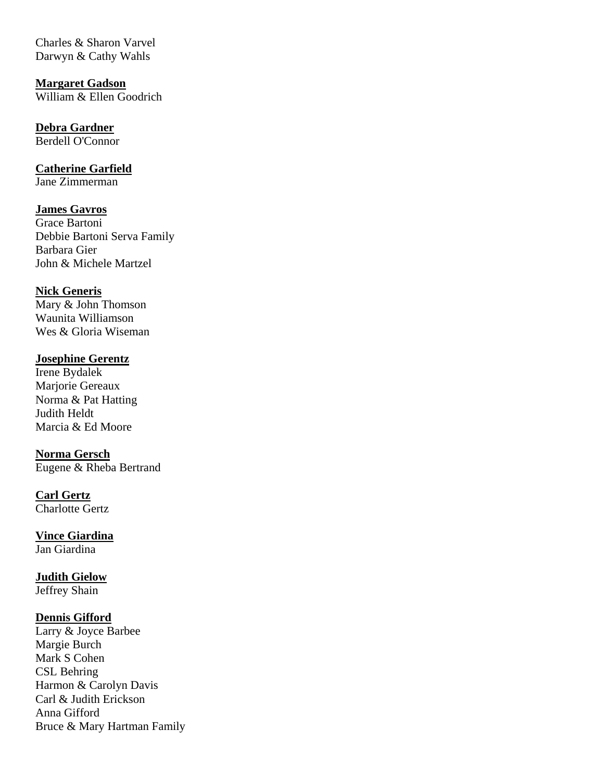Charles & Sharon Varvel Darwyn & Cathy Wahls

**Margaret Gadson** William & Ellen Goodrich

**Debra Gardner** Berdell O'Connor

**Catherine Garfield** Jane Zimmerman

**James Gavros** Grace Bartoni Debbie Bartoni Serva Family Barbara Gier John & Michele Martzel

**Nick Generis** Mary & John Thomson Waunita Williamson Wes & Gloria Wiseman

**Josephine Gerentz** Irene Bydalek Marjorie Gereaux Norma & Pat Hatting Judith Heldt Marcia & Ed Moore

**Norma Gersch** Eugene & Rheba Bertrand

**Carl Gertz** Charlotte Gertz

**Vince Giardina** Jan Giardina

**Judith Gielow** Jeffrey Shain

#### **Dennis Gifford**

Larry & Joyce Barbee Margie Burch Mark S Cohen CSL Behring Harmon & Carolyn Davis Carl & Judith Erickson Anna Gifford Bruce & Mary Hartman Family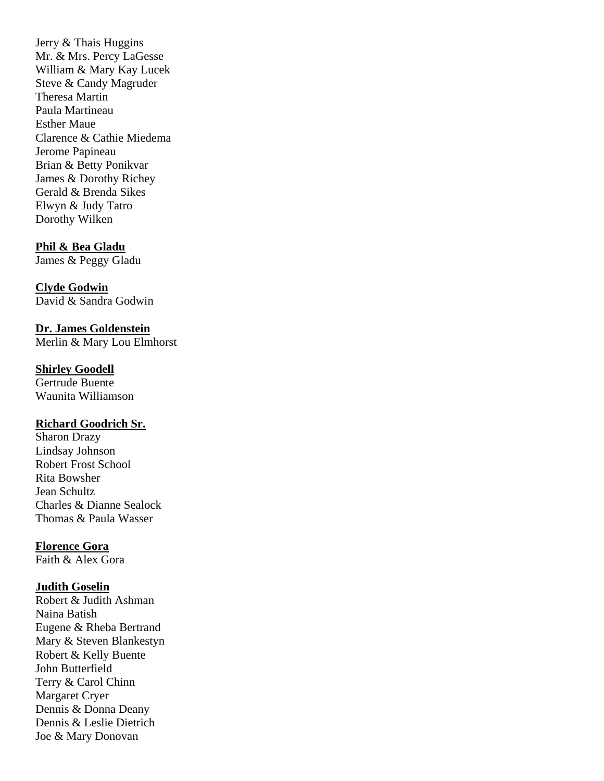Jerry & Thais Huggins Mr. & Mrs. Percy LaGesse William & Mary Kay Lucek Steve & Candy Magruder Theresa Martin Paula Martineau Esther Maue Clarence & Cathie Miedema Jerome Papineau Brian & Betty Ponikvar James & Dorothy Richey Gerald & Brenda Sikes Elwyn & Judy Tatro Dorothy Wilken

#### **Phil & Bea Gladu**

James & Peggy Gladu

## **Clyde Godwin**

David & Sandra Godwin

**Dr. James Goldenstein** Merlin & Mary Lou Elmhorst

#### **Shirley Goodell**

Gertrude Buente Waunita Williamson

## **Richard Goodrich Sr.**

Sharon Drazy Lindsay Johnson Robert Frost School Rita Bowsher Jean Schultz Charles & Dianne Sealock Thomas & Paula Wasser

#### **Florence Gora**

Faith & Alex Gora

#### **Judith Goselin**

Robert & Judith Ashman Naina Batish Eugene & Rheba Bertrand Mary & Steven Blankestyn Robert & Kelly Buente John Butterfield Terry & Carol Chinn Margaret Cryer Dennis & Donna Deany Dennis & Leslie Dietrich Joe & Mary Donovan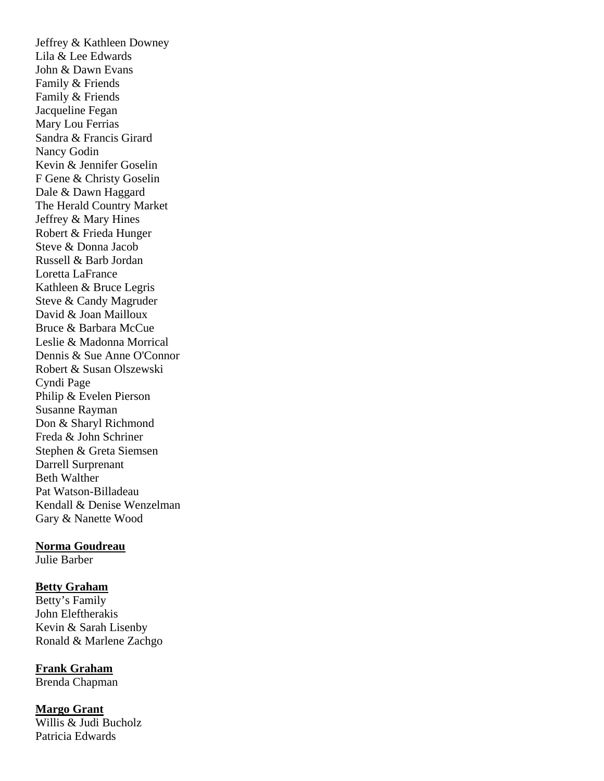Jeffrey & Kathleen Downey Lila & Lee Edwards John & Dawn Evans Family & Friends Family & Friends Jacqueline Fegan Mary Lou Ferrias Sandra & Francis Girard Nancy Godin Kevin & Jennifer Goselin F Gene & Christy Goselin Dale & Dawn Haggard The Herald Country Market Jeffrey & Mary Hines Robert & Frieda Hunger Steve & Donna Jacob Russell & Barb Jordan Loretta LaFrance Kathleen & Bruce Legris Steve & Candy Magruder David & Joan Mailloux Bruce & Barbara McCue Leslie & Madonna Morrical Dennis & Sue Anne O'Connor Robert & Susan Olszewski Cyndi Page Philip & Evelen Pierson Susanne Rayman Don & Sharyl Richmond Freda & John Schriner Stephen & Greta Siemsen Darrell Surprenant Beth Walther Pat Watson-Billadeau Kendall & Denise Wenzelman Gary & Nanette Wood

#### **Norma Goudreau**

Julie Barber

#### **Betty Graham**

Betty's Family John Eleftherakis Kevin & Sarah Lisenby Ronald & Marlene Zachgo

**Frank Graham**  Brenda Chapman

**Margo Grant** Willis & Judi Bucholz Patricia Edwards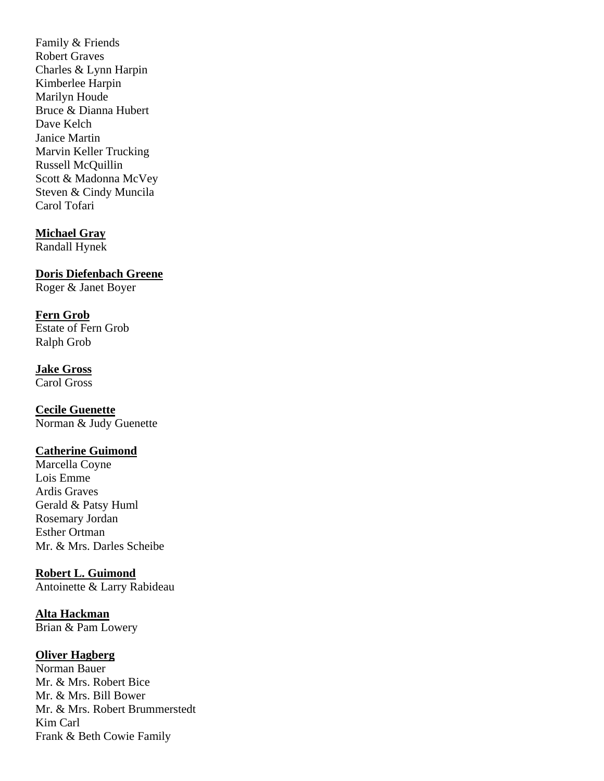Family & Friends Robert Graves Charles & Lynn Harpin Kimberlee Harpin Marilyn Houde Bruce & Dianna Hubert Dave Kelch Janice Martin Marvin Keller Trucking Russell McQuillin Scott & Madonna McVey Steven & Cindy Muncila Carol Tofari

#### **Michael Gray**

Randall Hynek

**Doris Diefenbach Greene**

Roger & Janet Boyer

#### **Fern Grob**

Estate of Fern Grob Ralph Grob

#### **Jake Gross**

Carol Gross

#### **Cecile Guenette**

Norman & Judy Guenette

## **Catherine Guimond**

Marcella Coyne Lois Emme Ardis Graves Gerald & Patsy Huml Rosemary Jordan Esther Ortman Mr. & Mrs. Darles Scheibe

#### **Robert L. Guimond**

Antoinette & Larry Rabideau

## **Alta Hackman**

Brian & Pam Lowery

## **Oliver Hagberg**

Norman Bauer Mr. & Mrs. Robert Bice Mr. & Mrs. Bill Bower Mr. & Mrs. Robert Brummerstedt Kim Carl Frank & Beth Cowie Family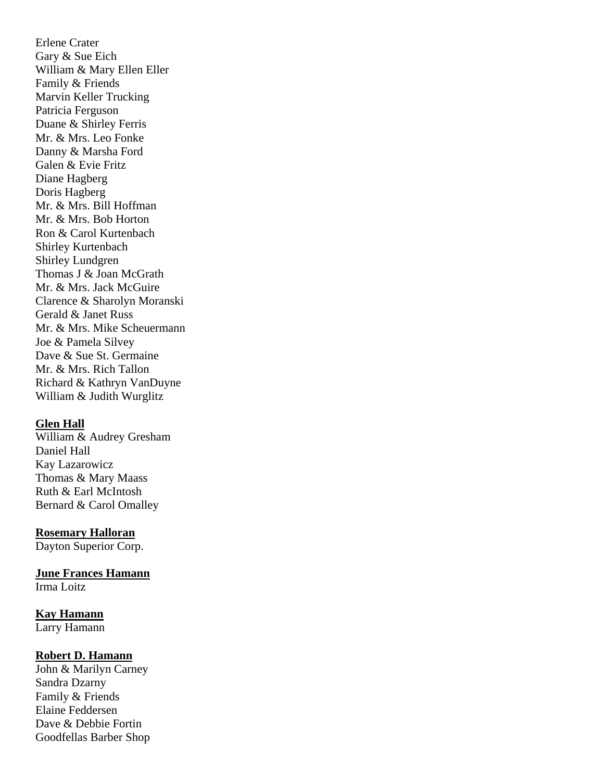Erlene Crater Gary & Sue Eich William & Mary Ellen Eller Family & Friends Marvin Keller Trucking Patricia Ferguson Duane & Shirley Ferris Mr. & Mrs. Leo Fonke Danny & Marsha Ford Galen & Evie Fritz Diane Hagberg Doris Hagberg Mr. & Mrs. Bill Hoffman Mr. & Mrs. Bob Horton Ron & Carol Kurtenbach Shirley Kurtenbach Shirley Lundgren Thomas J & Joan McGrath Mr. & Mrs. Jack McGuire Clarence & Sharolyn Moranski Gerald & Janet Russ Mr. & Mrs. Mike Scheuermann Joe & Pamela Silvey Dave & Sue St. Germaine Mr. & Mrs. Rich Tallon Richard & Kathryn VanDuyne William & Judith Wurglitz

#### **Glen Hall**

William & Audrey Gresham Daniel Hall Kay Lazarowicz Thomas & Mary Maass Ruth & Earl McIntosh Bernard & Carol Omalley

#### **Rosemary Halloran**

Dayton Superior Corp.

**June Frances Hamann**

Irma Loitz

#### **Kay Hamann**

Larry Hamann

#### **Robert D. Hamann**

John & Marilyn Carney Sandra Dzarny Family & Friends Elaine Feddersen Dave & Debbie Fortin Goodfellas Barber Shop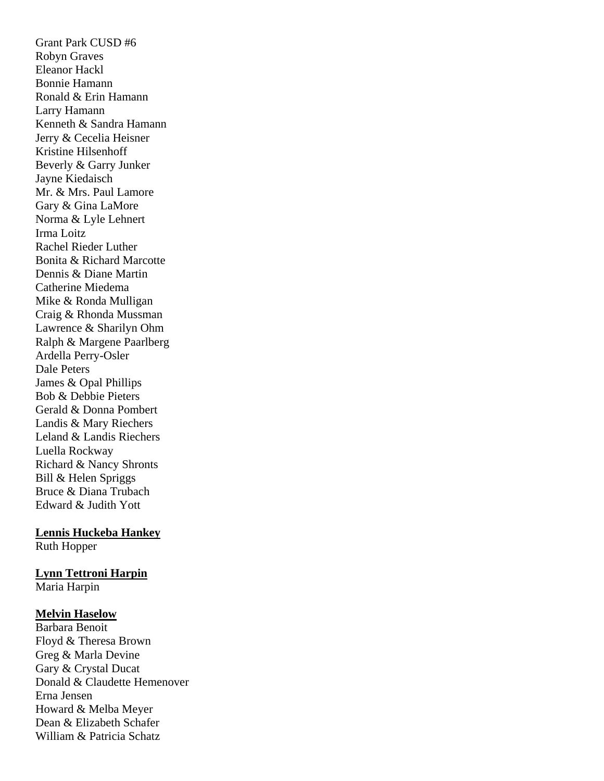Grant Park CUSD #6 Robyn Graves Eleanor Hackl Bonnie Hamann Ronald & Erin Hamann Larry Hamann Kenneth & Sandra Hamann Jerry & Cecelia Heisner Kristine Hilsenhoff Beverly & Garry Junker Jayne Kiedaisch Mr. & Mrs. Paul Lamore Gary & Gina LaMore Norma & Lyle Lehnert Irma Loitz Rachel Rieder Luther Bonita & Richard Marcotte Dennis & Diane Martin Catherine Miedema Mike & Ronda Mulligan Craig & Rhonda Mussman Lawrence & Sharilyn Ohm Ralph & Margene Paarlberg Ardella Perry-Osler Dale Peters James & Opal Phillips Bob & Debbie Pieters Gerald & Donna Pombert Landis & Mary Riechers Leland & Landis Riechers Luella Rockway Richard & Nancy Shronts Bill & Helen Spriggs Bruce & Diana Trubach Edward & Judith Yott

## **Lennis Huckeba Hankey**

Ruth Hopper

## **Lynn Tettroni Harpin**

Maria Harpin

#### **Melvin Haselow**

Barbara Benoit Floyd & Theresa Brown Greg & Marla Devine Gary & Crystal Ducat Donald & Claudette Hemenover Erna Jensen Howard & Melba Meyer Dean & Elizabeth Schafer William & Patricia Schatz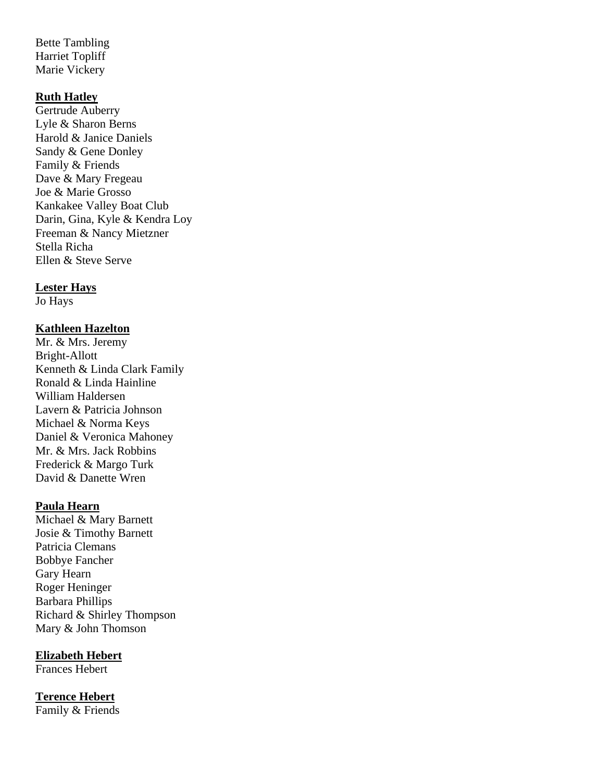Bette Tambling Harriet Topliff Marie Vickery

#### **Ruth Hatley**

Gertrude Auberry Lyle & Sharon Berns Harold & Janice Daniels Sandy & Gene Donley Family & Friends Dave & Mary Fregeau Joe & Marie Grosso Kankakee Valley Boat Club Darin, Gina, Kyle & Kendra Loy Freeman & Nancy Mietzner Stella Richa Ellen & Steve Serve

#### **Lester Hays**

Jo Hays

## **Kathleen Hazelton**

Mr. & Mrs. Jeremy Bright-Allott Kenneth & Linda Clark Family Ronald & Linda Hainline William Haldersen Lavern & Patricia Johnson Michael & Norma Keys Daniel & Veronica Mahoney Mr. & Mrs. Jack Robbins Frederick & Margo Turk David & Danette Wren

#### **Paula Hearn**

Michael & Mary Barnett Josie & Timothy Barnett Patricia Clemans Bobbye Fancher Gary Hearn Roger Heninger Barbara Phillips Richard & Shirley Thompson Mary & John Thomson

**Elizabeth Hebert**

Frances Hebert

## **Terence Hebert**

Family & Friends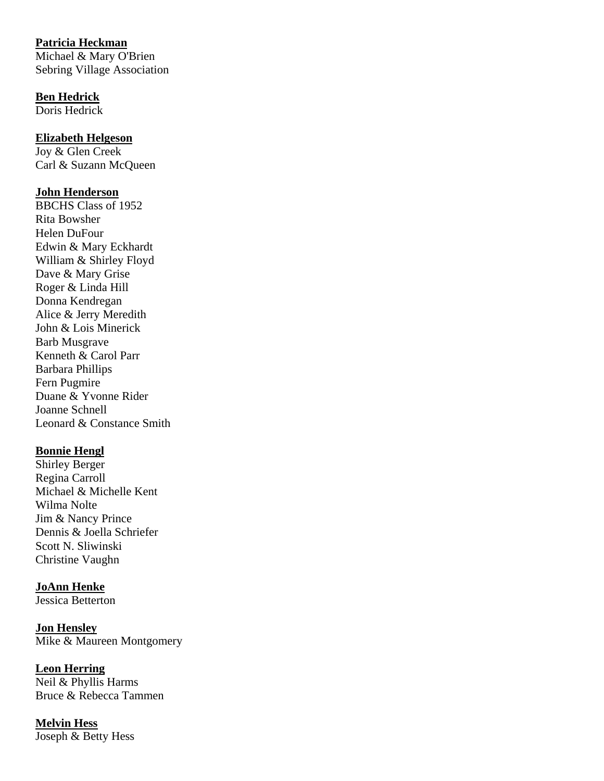## **Patricia Heckman**

Michael & Mary O'Brien Sebring Village Association

## **Ben Hedrick**

Doris Hedrick

## **Elizabeth Helgeson**

Joy & Glen Creek Carl & Suzann McQueen

## **John Henderson**

BBCHS Class of 1952 Rita Bowsher Helen DuFour Edwin & Mary Eckhardt William & Shirley Floyd Dave & Mary Grise Roger & Linda Hill Donna Kendregan Alice & Jerry Meredith John & Lois Minerick Barb Musgrave Kenneth & Carol Parr Barbara Phillips Fern Pugmire Duane & Yvonne Rider Joanne Schnell Leonard & Constance Smith

## **Bonnie Hengl**

Shirley Berger Regina Carroll Michael & Michelle Kent Wilma Nolte Jim & Nancy Prince Dennis & Joella Schriefer Scott N. Sliwinski Christine Vaughn

## **JoAnn Henke**

Jessica Betterton

**Jon Hensley**  Mike & Maureen Montgomery

## **Leon Herring**

Neil & Phyllis Harms Bruce & Rebecca Tammen

**Melvin Hess** Joseph & Betty Hess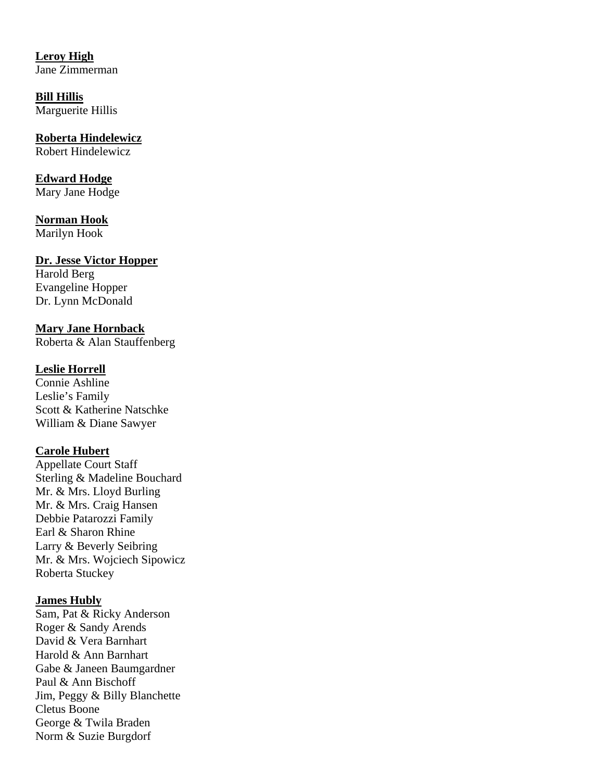**Leroy High** Jane Zimmerman

**Bill Hillis** Marguerite Hillis

**Roberta Hindelewicz**  Robert Hindelewicz

**Edward Hodge** Mary Jane Hodge

**Norman Hook** Marilyn Hook

#### **Dr. Jesse Victor Hopper**

Harold Berg Evangeline Hopper Dr. Lynn McDonald

**Mary Jane Hornback** Roberta & Alan Stauffenberg

## **Leslie Horrell**

Connie Ashline Leslie's Family Scott & Katherine Natschke William & Diane Sawyer

## **Carole Hubert**

Appellate Court Staff Sterling & Madeline Bouchard Mr. & Mrs. Lloyd Burling Mr. & Mrs. Craig Hansen Debbie Patarozzi Family Earl & Sharon Rhine Larry & Beverly Seibring Mr. & Mrs. Wojciech Sipowicz Roberta Stuckey

#### **James Hubly**

Sam, Pat & Ricky Anderson Roger & Sandy Arends David & Vera Barnhart Harold & Ann Barnhart Gabe & Janeen Baumgardner Paul & Ann Bischoff Jim, Peggy & Billy Blanchette Cletus Boone George & Twila Braden Norm & Suzie Burgdorf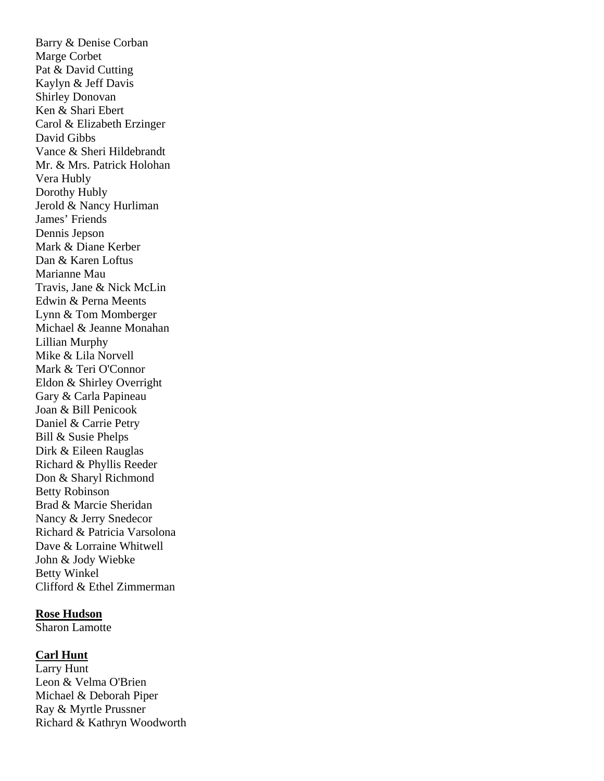Barry & Denise Corban Marge Corbet Pat & David Cutting Kaylyn & Jeff Davis Shirley Donovan Ken & Shari Ebert Carol & Elizabeth Erzinger David Gibbs Vance & Sheri Hildebrandt Mr. & Mrs. Patrick Holohan Vera Hubly Dorothy Hubly Jerold & Nancy Hurliman James' Friends Dennis Jepson Mark & Diane Kerber Dan & Karen Loftus Marianne Mau Travis, Jane & Nick McLin Edwin & Perna Meents Lynn & Tom Momberger Michael & Jeanne Monahan Lillian Murphy Mike & Lila Norvell Mark & Teri O'Connor Eldon & Shirley Overright Gary & Carla Papineau Joan & Bill Penicook Daniel & Carrie Petry Bill & Susie Phelps Dirk & Eileen Rauglas Richard & Phyllis Reeder Don & Sharyl Richmond Betty Robinson Brad & Marcie Sheridan Nancy & Jerry Snedecor Richard & Patricia Varsolona Dave & Lorraine Whitwell John & Jody Wiebke Betty Winkel Clifford & Ethel Zimmerman

#### **Rose Hudson**

Sharon Lamotte

#### **Carl Hunt**

Larry Hunt Leon & Velma O'Brien Michael & Deborah Piper Ray & Myrtle Prussner Richard & Kathryn Woodworth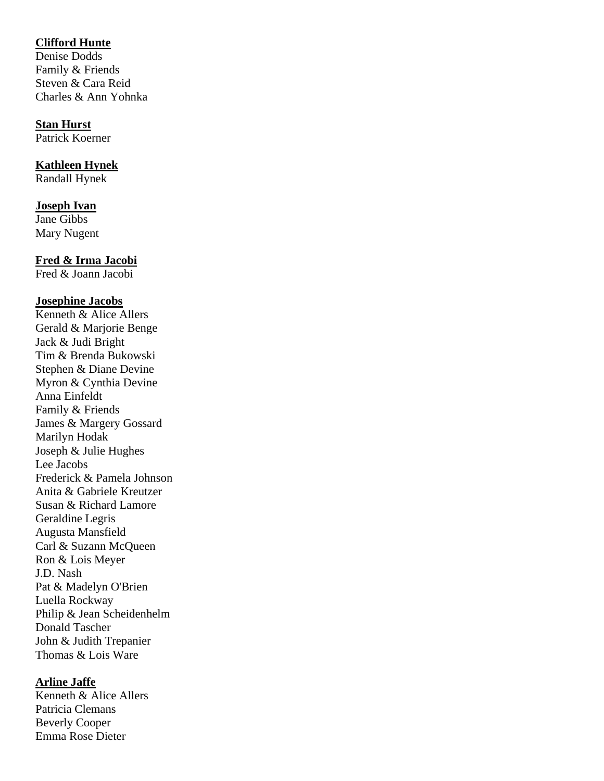# **Clifford Hunte**

Denise Dodds Family & Friends Steven & Cara Reid Charles & Ann Yohnka

#### **Stan Hurst**

Patrick Koerner

## **Kathleen Hynek**

Randall Hynek

# **Joseph Ivan**

Jane Gibbs Mary Nugent

# **Fred & Irma Jacobi**

Fred & Joann Jacobi

# **Josephine Jacobs**

Kenneth & Alice Allers Gerald & Marjorie Benge Jack & Judi Bright Tim & Brenda Bukowski Stephen & Diane Devine Myron & Cynthia Devine Anna Einfeldt Family & Friends James & Margery Gossard Marilyn Hodak Joseph & Julie Hughes Lee Jacobs Frederick & Pamela Johnson Anita & Gabriele Kreutzer Susan & Richard Lamore Geraldine Legris Augusta Mansfield Carl & Suzann McQueen Ron & Lois Meyer J.D. Nash Pat & Madelyn O'Brien Luella Rockway Philip & Jean Scheidenhelm Donald Tascher John & Judith Trepanier Thomas & Lois Ware

### **Arline Jaffe**

Kenneth & Alice Allers Patricia Clemans Beverly Cooper Emma Rose Dieter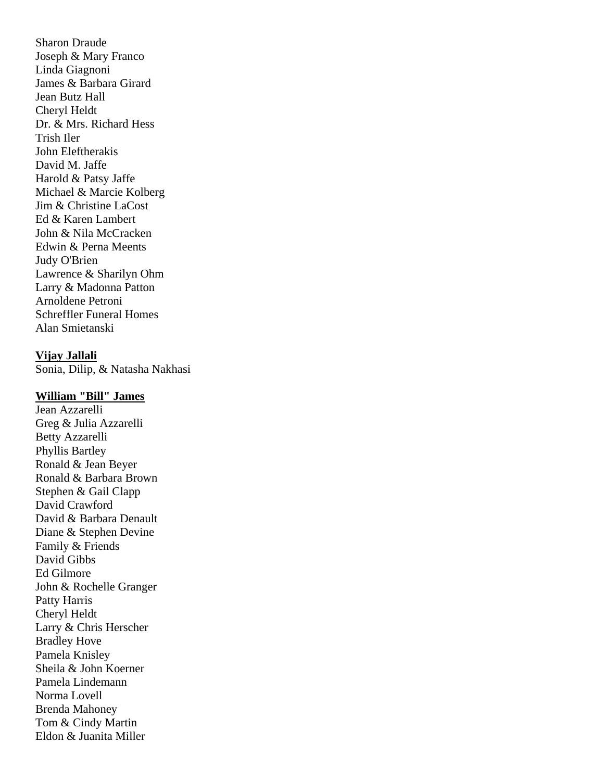Sharon Draude Joseph & Mary Franco Linda Giagnoni James & Barbara Girard Jean Butz Hall Cheryl Heldt Dr. & Mrs. Richard Hess Trish Iler John Eleftherakis David M. Jaffe Harold & Patsy Jaffe Michael & Marcie Kolberg Jim & Christine LaCost Ed & Karen Lambert John & Nila McCracken Edwin & Perna Meents Judy O'Brien Lawrence & Sharilyn Ohm Larry & Madonna Patton Arnoldene Petroni Schreffler Funeral Homes Alan Smietanski

**Vijay Jallali**  Sonia, Dilip, & Natasha Nakhasi

#### **William "Bill" James**

Jean Azzarelli Greg & Julia Azzarelli Betty Azzarelli Phyllis Bartley Ronald & Jean Beyer Ronald & Barbara Brown Stephen & Gail Clapp David Crawford David & Barbara Denault Diane & Stephen Devine Family & Friends David Gibbs Ed Gilmore John & Rochelle Granger Patty Harris Cheryl Heldt Larry & Chris Herscher Bradley Hove Pamela Knisley Sheila & John Koerner Pamela Lindemann Norma Lovell Brenda Mahoney Tom & Cindy Martin Eldon & Juanita Miller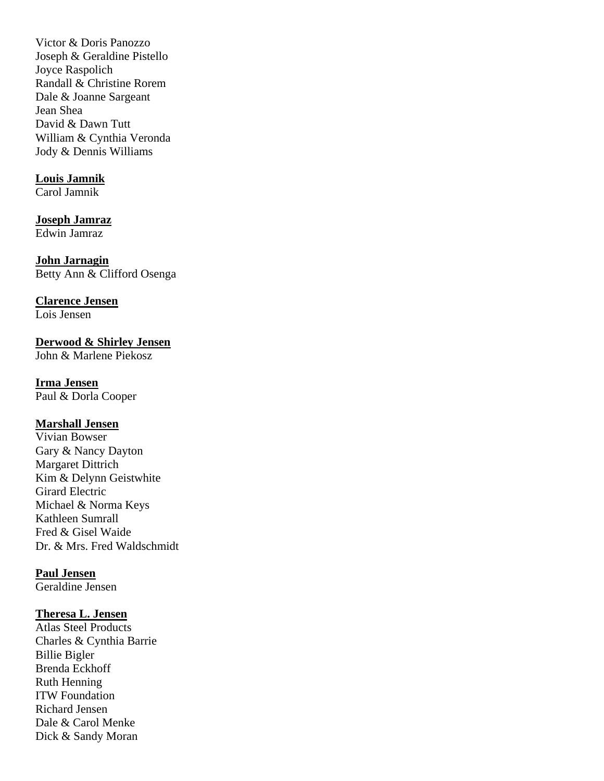Victor & Doris Panozzo Joseph & Geraldine Pistello Joyce Raspolich Randall & Christine Rorem Dale & Joanne Sargeant Jean Shea David & Dawn Tutt William & Cynthia Veronda Jody & Dennis Williams

#### **Louis Jamnik**

Carol Jamnik

# **Joseph Jamraz**

Edwin Jamraz

**John Jarnagin** Betty Ann & Clifford Osenga

# **Clarence Jensen**

Lois Jensen

**Derwood & Shirley Jensen** John & Marlene Piekosz

**Irma Jensen** Paul & Dorla Cooper

# **Marshall Jensen**

Vivian Bowser Gary & Nancy Dayton Margaret Dittrich Kim & Delynn Geistwhite Girard Electric Michael & Norma Keys Kathleen Sumrall Fred & Gisel Waide Dr. & Mrs. Fred Waldschmidt

**Paul Jensen**

Geraldine Jensen

#### **Theresa L. Jensen**

Atlas Steel Products Charles & Cynthia Barrie Billie Bigler Brenda Eckhoff Ruth Henning ITW Foundation Richard Jensen Dale & Carol Menke Dick & Sandy Moran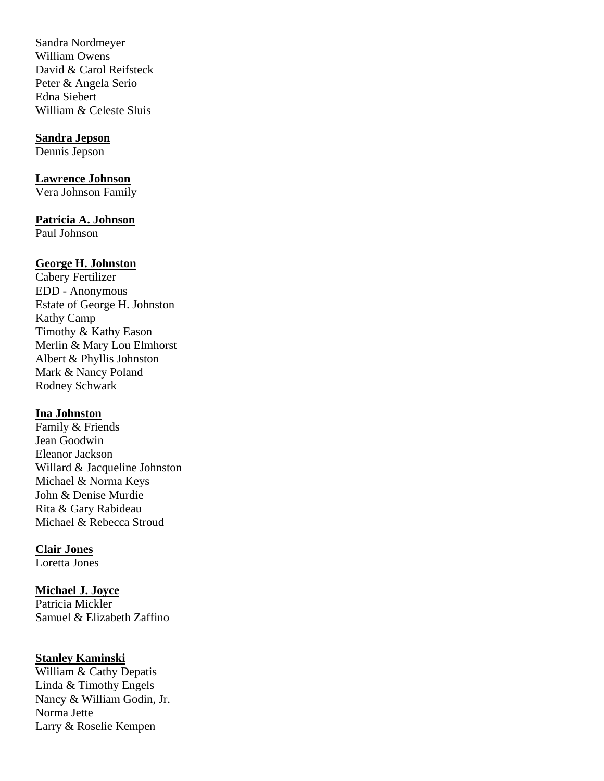Sandra Nordmeyer William Owens David & Carol Reifsteck Peter & Angela Serio Edna Siebert William & Celeste Sluis

#### **Sandra Jepson**

Dennis Jepson

# **Lawrence Johnson**

Vera Johnson Family

#### **Patricia A. Johnson**

Paul Johnson

#### **George H. Johnston**

Cabery Fertilizer EDD - Anonymous Estate of George H. Johnston Kathy Camp Timothy & Kathy Eason Merlin & Mary Lou Elmhorst Albert & Phyllis Johnston Mark & Nancy Poland Rodney Schwark

#### **Ina Johnston**

Family & Friends Jean Goodwin Eleanor Jackson Willard & Jacqueline Johnston Michael & Norma Keys John & Denise Murdie Rita & Gary Rabideau Michael & Rebecca Stroud

#### **Clair Jones**

Loretta Jones

#### **Michael J. Joyce**

Patricia Mickler Samuel & Elizabeth Zaffino

#### **Stanley Kaminski**

William & Cathy Depatis Linda & Timothy Engels Nancy & William Godin, Jr. Norma Jette Larry & Roselie Kempen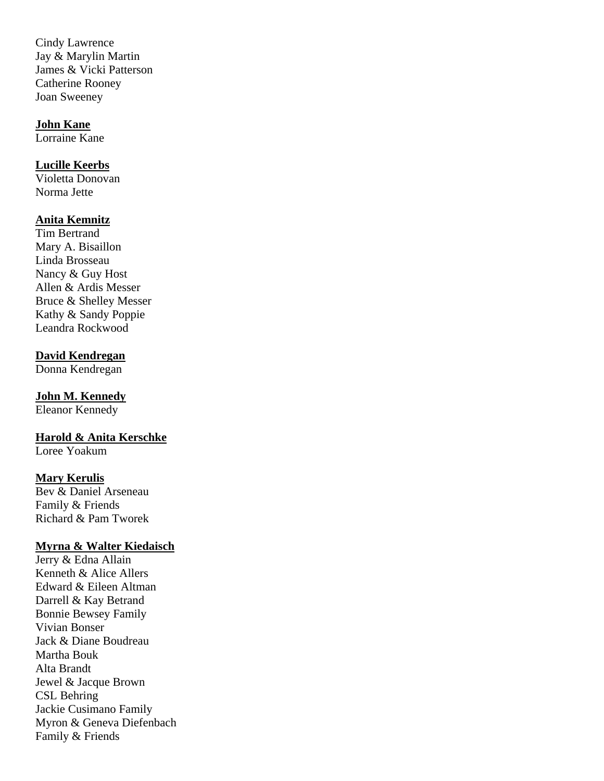Cindy Lawrence Jay & Marylin Martin James & Vicki Patterson Catherine Rooney Joan Sweeney

#### **John Kane**

Lorraine Kane

# **Lucille Keerbs**

Violetta Donovan Norma Jette

#### **Anita Kemnitz**

Tim Bertrand Mary A. Bisaillon Linda Brosseau Nancy & Guy Host Allen & Ardis Messer Bruce & Shelley Messer Kathy & Sandy Poppie Leandra Rockwood

#### **David Kendregan**

Donna Kendregan

# **John M. Kennedy**

Eleanor Kennedy

# **Harold & Anita Kerschke**

Loree Yoakum

#### **Mary Kerulis**

Bev & Daniel Arseneau Family & Friends Richard & Pam Tworek

#### **Myrna & Walter Kiedaisch**

Jerry & Edna Allain Kenneth & Alice Allers Edward & Eileen Altman Darrell & Kay Betrand Bonnie Bewsey Family Vivian Bonser Jack & Diane Boudreau Martha Bouk Alta Brandt Jewel & Jacque Brown CSL Behring Jackie Cusimano Family Myron & Geneva Diefenbach Family & Friends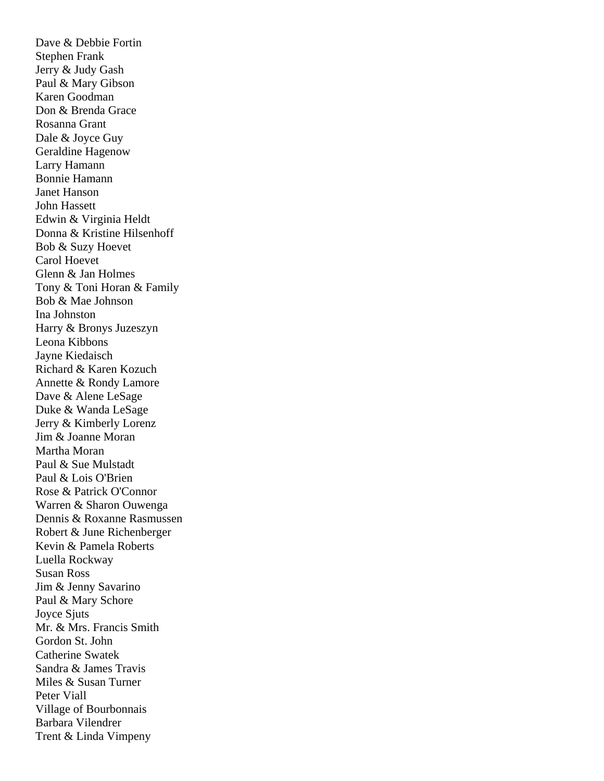Dave & Debbie Fortin Stephen Frank Jerry & Judy Gash Paul & Mary Gibson Karen Goodman Don & Brenda Grace Rosanna Grant Dale & Joyce Guy Geraldine Hagenow Larry Hamann Bonnie Hamann Janet Hanson John Hassett Edwin & Virginia Heldt Donna & Kristine Hilsenhoff Bob & Suzy Hoevet Carol Hoevet Glenn & Jan Holmes Tony & Toni Horan & Family Bob & Mae Johnson Ina Johnston Harry & Bronys Juzeszyn Leona Kibbons Jayne Kiedaisch Richard & Karen Kozuch Annette & Rondy Lamore Dave & Alene LeSage Duke & Wanda LeSage Jerry & Kimberly Lorenz Jim & Joanne Moran Martha Moran Paul & Sue Mulstadt Paul & Lois O'Brien Rose & Patrick O'Connor Warren & Sharon Ouwenga Dennis & Roxanne Rasmussen Robert & June Richenberger Kevin & Pamela Roberts Luella Rockway Susan Ross Jim & Jenny Savarino Paul & Mary Schore Joyce Sjuts Mr. & Mrs. Francis Smith Gordon St. John Catherine Swatek Sandra & James Travis Miles & Susan Turner Peter Viall Village of Bourbonnais Barbara Vilendrer Trent & Linda Vimpeny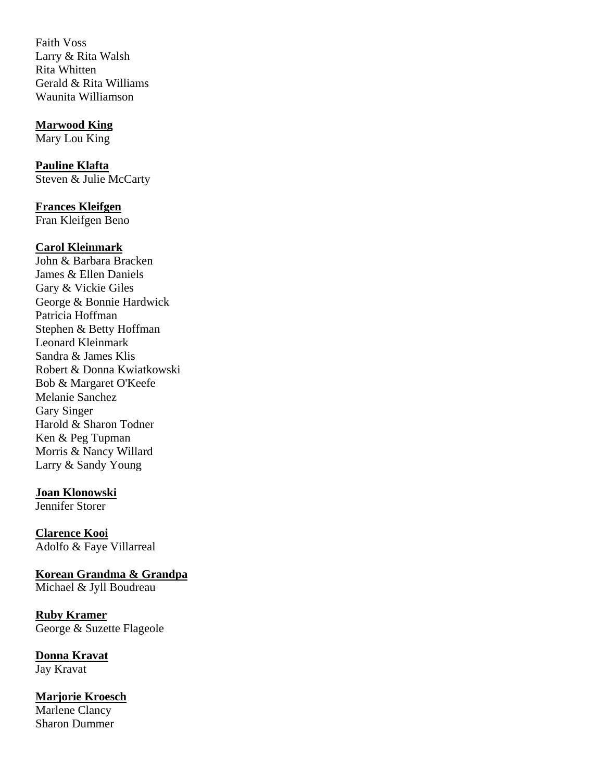Faith Voss Larry & Rita Walsh Rita Whitten Gerald & Rita Williams Waunita Williamson

#### **Marwood King**

Mary Lou King

**Pauline Klafta**  Steven & Julie McCarty

**Frances Kleifgen** Fran Kleifgen Beno

#### **Carol Kleinmark**

John & Barbara Bracken James & Ellen Daniels Gary & Vickie Giles George & Bonnie Hardwick Patricia Hoffman Stephen & Betty Hoffman Leonard Kleinmark Sandra & James Klis Robert & Donna Kwiatkowski Bob & Margaret O'Keefe Melanie Sanchez Gary Singer Harold & Sharon Todner Ken & Peg Tupman Morris & Nancy Willard Larry & Sandy Young

### **Joan Klonowski**

Jennifer Storer

**Clarence Kooi** Adolfo & Faye Villarreal

**Korean Grandma & Grandpa**  Michael & Jyll Boudreau

**Ruby Kramer** George & Suzette Flageole

**Donna Kravat**  Jay Kravat

**Marjorie Kroesch** Marlene Clancy Sharon Dummer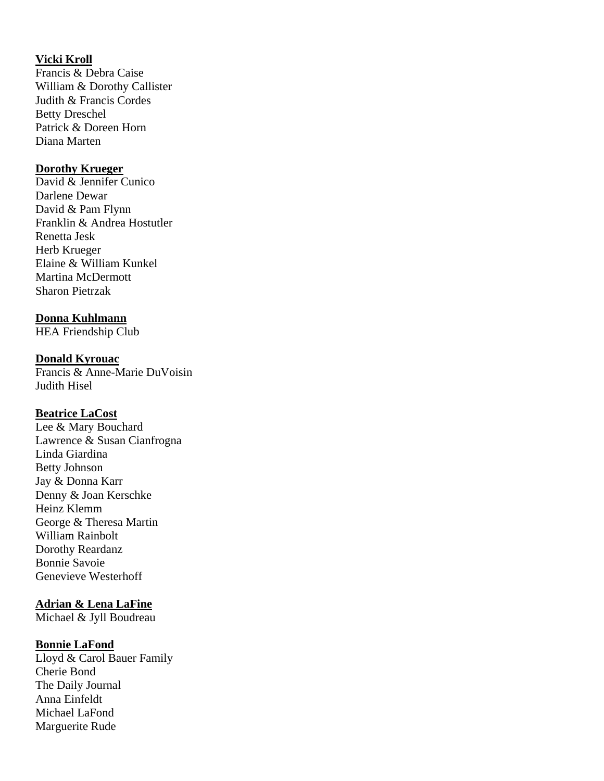# **Vicki Kroll**

Francis & Debra Caise William & Dorothy Callister Judith & Francis Cordes Betty Dreschel Patrick & Doreen Horn Diana Marten

#### **Dorothy Krueger**

David & Jennifer Cunico Darlene Dewar David & Pam Flynn Franklin & Andrea Hostutler Renetta Jesk Herb Krueger Elaine & William Kunkel Martina McDermott Sharon Pietrzak

#### **Donna Kuhlmann**

HEA Friendship Club

#### **Donald Kyrouac**

Francis & Anne-Marie DuVoisin Judith Hisel

# **Beatrice LaCost**

Lee & Mary Bouchard Lawrence & Susan Cianfrogna Linda Giardina Betty Johnson Jay & Donna Karr Denny & Joan Kerschke Heinz Klemm George & Theresa Martin William Rainbolt Dorothy Reardanz Bonnie Savoie Genevieve Westerhoff

### **Adrian & Lena LaFine**

Michael & Jyll Boudreau

### **Bonnie LaFond**

Lloyd & Carol Bauer Family Cherie Bond The Daily Journal Anna Einfeldt Michael LaFond Marguerite Rude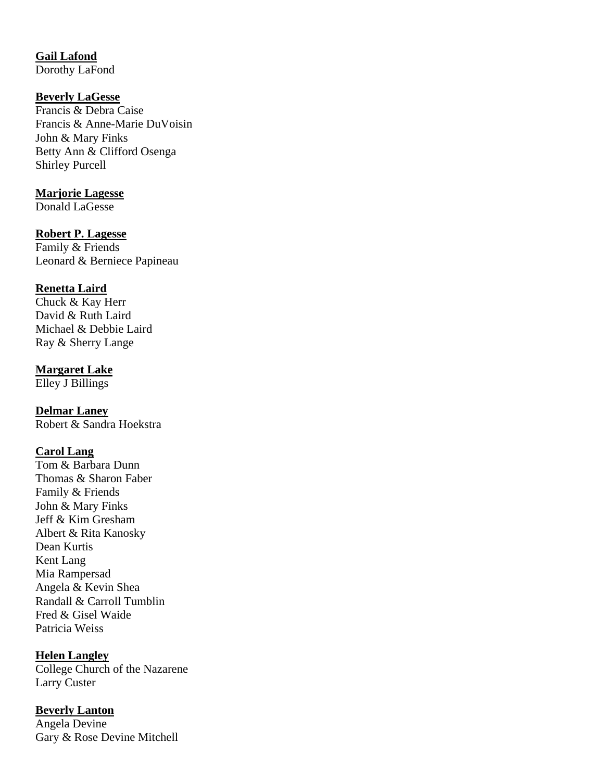**Gail Lafond** Dorothy LaFond

#### **Beverly LaGesse**

Francis & Debra Caise Francis & Anne-Marie DuVoisin John & Mary Finks Betty Ann & Clifford Osenga Shirley Purcell

#### **Marjorie Lagesse**

Donald LaGesse

#### **Robert P. Lagesse**

Family & Friends Leonard & Berniece Papineau

#### **Renetta Laird**

Chuck & Kay Herr David & Ruth Laird Michael & Debbie Laird Ray & Sherry Lange

#### **Margaret Lake**

Elley J Billings

### **Delmar Laney**

Robert & Sandra Hoekstra

#### **Carol Lang**

Tom & Barbara Dunn Thomas & Sharon Faber Family & Friends John & Mary Finks Jeff & Kim Gresham Albert & Rita Kanosky Dean Kurtis Kent Lang Mia Rampersad Angela & Kevin Shea Randall & Carroll Tumblin Fred & Gisel Waide Patricia Weiss

### **Helen Langley**

College Church of the Nazarene Larry Custer

#### **Beverly Lanton**

Angela Devine Gary & Rose Devine Mitchell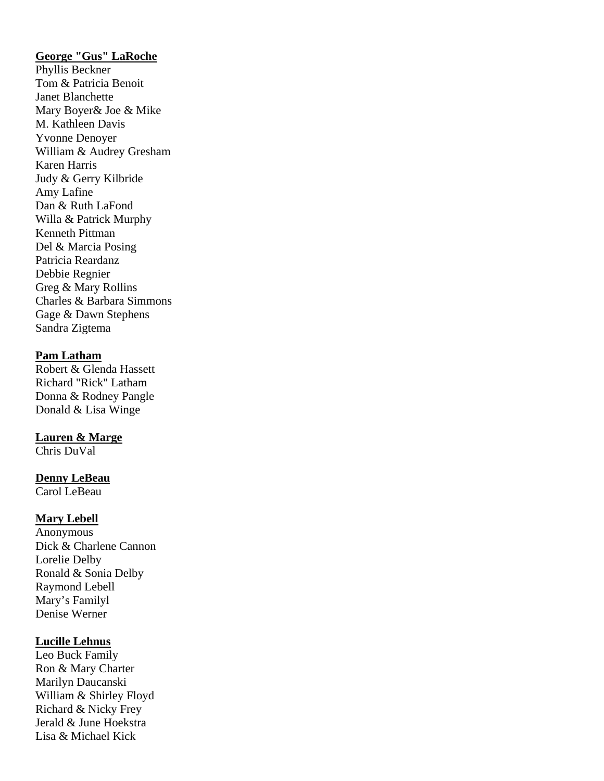# **George "Gus" LaRoche**

Phyllis Beckner Tom & Patricia Benoit Janet Blanchette Mary Boyer& Joe & Mike M. Kathleen Davis Yvonne Denoyer William & Audrey Gresham Karen Harris Judy & Gerry Kilbride Amy Lafine Dan & Ruth LaFond Willa & Patrick Murphy Kenneth Pittman Del & Marcia Posing Patricia Reardanz Debbie Regnier Greg & Mary Rollins Charles & Barbara Simmons Gage & Dawn Stephens Sandra Zigtema

#### **Pam Latham**

Robert & Glenda Hassett Richard "Rick" Latham Donna & Rodney Pangle Donald & Lisa Winge

#### **Lauren & Marge**

Chris DuVal

#### **Denny LeBeau**

Carol LeBeau

#### **Mary Lebell**

Anonymous Dick & Charlene Cannon Lorelie Delby Ronald & Sonia Delby Raymond Lebell Mary's Familyl Denise Werner

#### **Lucille Lehnus**

Leo Buck Family Ron & Mary Charter Marilyn Daucanski William & Shirley Floyd Richard & Nicky Frey Jerald & June Hoekstra Lisa & Michael Kick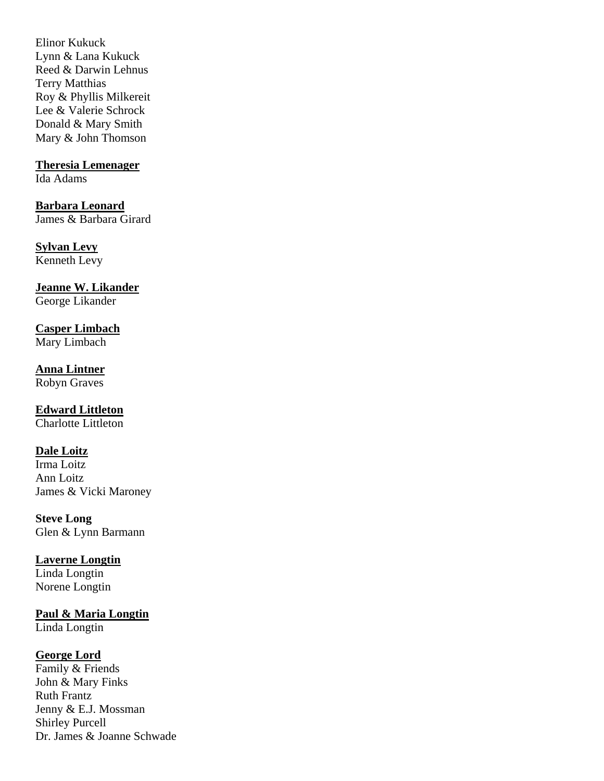Elinor Kukuck Lynn & Lana Kukuck Reed & Darwin Lehnus Terry Matthias Roy & Phyllis Milkereit Lee & Valerie Schrock Donald & Mary Smith Mary & John Thomson

## **Theresia Lemenager**

Ida Adams

**Barbara Leonard** James & Barbara Girard

#### **Sylvan Levy** Kenneth Levy

**Jeanne W. Likander**

George Likander

**Casper Limbach** Mary Limbach

**Anna Lintner** Robyn Graves

# **Edward Littleton**

Charlotte Littleton

# **Dale Loitz**

Irma Loitz Ann Loitz James & Vicki Maroney

**Steve Long** Glen & Lynn Barmann

# **Laverne Longtin**

Linda Longtin Norene Longtin

# **Paul & Maria Longtin**

Linda Longtin

# **George Lord**

Family & Friends John & Mary Finks Ruth Frantz Jenny & E.J. Mossman Shirley Purcell Dr. James & Joanne Schwade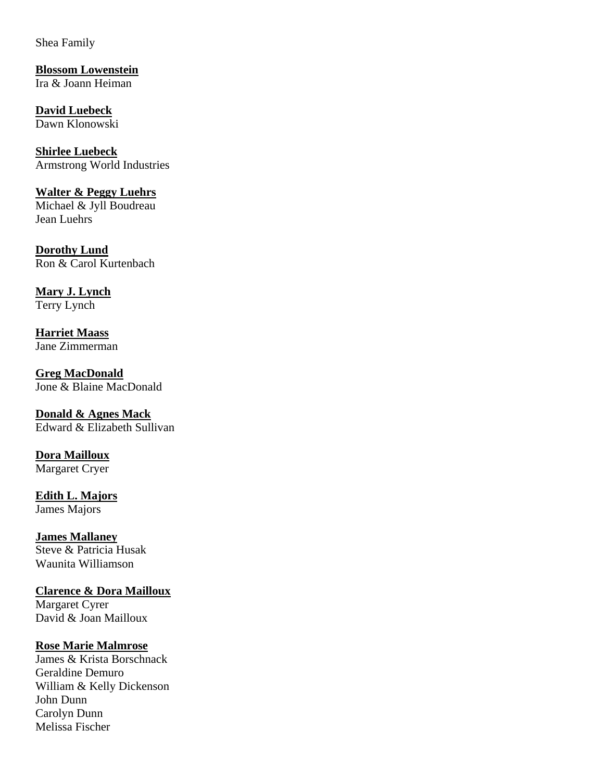Shea Family

**Blossom Lowenstein** Ira & Joann Heiman

**David Luebeck** Dawn Klonowski

**Shirlee Luebeck** Armstrong World Industries

**Walter & Peggy Luehrs**  Michael & Jyll Boudreau Jean Luehrs

**Dorothy Lund** Ron & Carol Kurtenbach

**Mary J. Lynch** Terry Lynch

**Harriet Maass** Jane Zimmerman

**Greg MacDonald** Jone & Blaine MacDonald

**Donald & Agnes Mack** Edward & Elizabeth Sullivan

**Dora Mailloux** Margaret Cryer

**Edith L. Majors** James Majors

**James Mallaney** Steve & Patricia Husak Waunita Williamson

**Clarence & Dora Mailloux**  Margaret Cyrer David & Joan Mailloux

# **Rose Marie Malmrose**

James & Krista Borschnack Geraldine Demuro William & Kelly Dickenson John Dunn Carolyn Dunn Melissa Fischer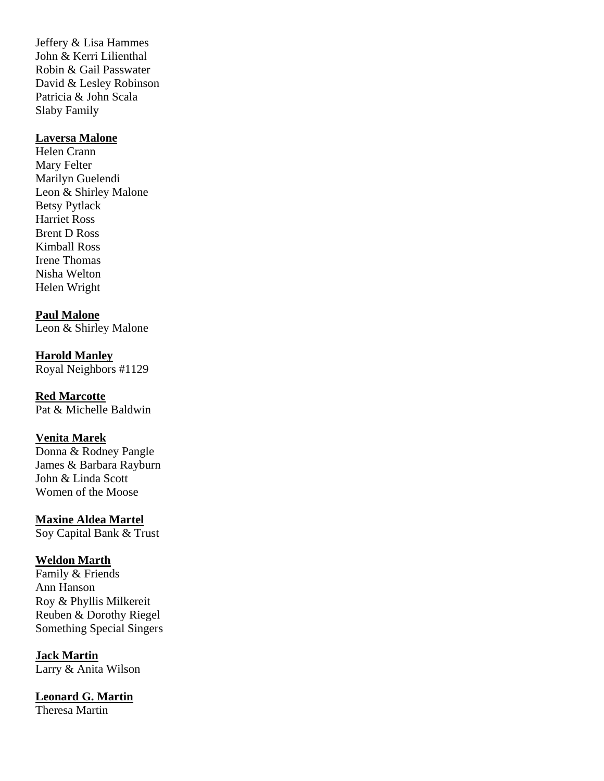Jeffery & Lisa Hammes John & Kerri Lilienthal Robin & Gail Passwater David & Lesley Robinson Patricia & John Scala Slaby Family

### **Laversa Malone**

Helen Crann Mary Felter Marilyn Guelendi Leon & Shirley Malone Betsy Pytlack Harriet Ross Brent D Ross Kimball Ross Irene Thomas Nisha Welton Helen Wright

**Paul Malone** 

Leon & Shirley Malone

**Harold Manley** Royal Neighbors #1129

**Red Marcotte** 

Pat & Michelle Baldwin

# **Venita Marek**

Donna & Rodney Pangle James & Barbara Rayburn John & Linda Scott Women of the Moose

**Maxine Aldea Martel**

Soy Capital Bank & Trust

# **Weldon Marth**

Family & Friends Ann Hanson Roy & Phyllis Milkereit Reuben & Dorothy Riegel Something Special Singers

**Jack Martin** Larry & Anita Wilson

**Leonard G. Martin** Theresa Martin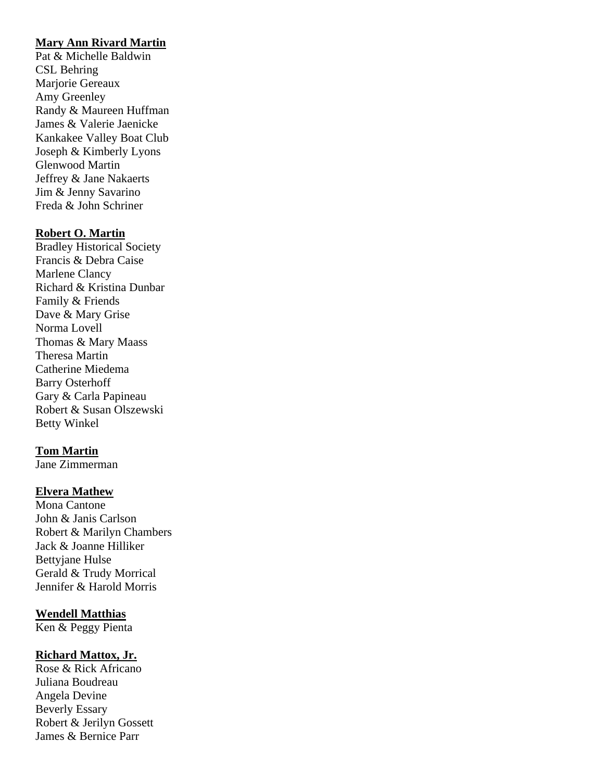# **Mary Ann Rivard Martin**

Pat & Michelle Baldwin CSL Behring Marjorie Gereaux Amy Greenley Randy & Maureen Huffman James & Valerie Jaenicke Kankakee Valley Boat Club Joseph & Kimberly Lyons Glenwood Martin Jeffrey & Jane Nakaerts Jim & Jenny Savarino Freda & John Schriner

### **Robert O. Martin**

Bradley Historical Society Francis & Debra Caise Marlene Clancy Richard & Kristina Dunbar Family & Friends Dave & Mary Grise Norma Lovell Thomas & Mary Maass Theresa Martin Catherine Miedema Barry Osterhoff Gary & Carla Papineau Robert & Susan Olszewski Betty Winkel

### **Tom Martin**

Jane Zimmerman

### **Elvera Mathew**

Mona Cantone John & Janis Carlson Robert & Marilyn Chambers Jack & Joanne Hilliker Bettyjane Hulse Gerald & Trudy Morrical Jennifer & Harold Morris

### **Wendell Matthias**

Ken & Peggy Pienta

### **Richard Mattox, Jr.**

Rose & Rick Africano Juliana Boudreau Angela Devine Beverly Essary Robert & Jerilyn Gossett James & Bernice Parr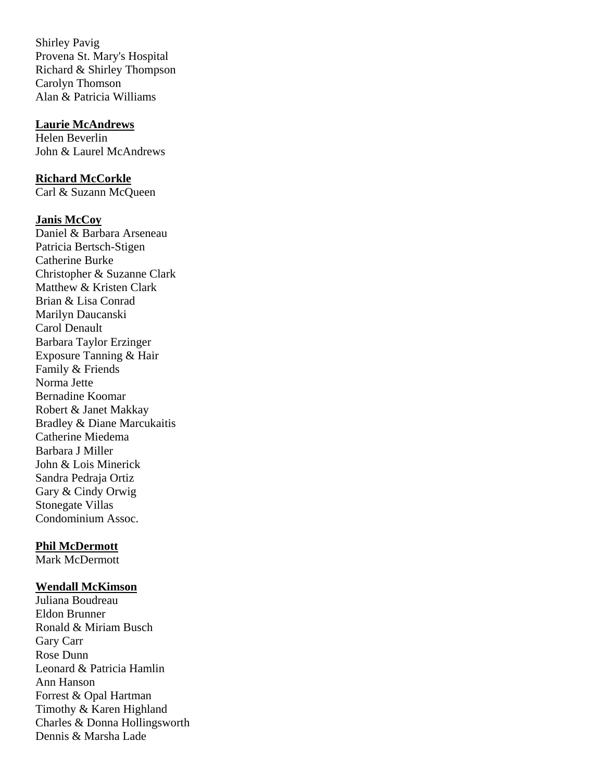Shirley Pavig Provena St. Mary's Hospital Richard & Shirley Thompson Carolyn Thomson Alan & Patricia Williams

#### **Laurie McAndrews**

Helen Beverlin John & Laurel McAndrews

#### **Richard McCorkle**

Carl & Suzann McQueen

#### **Janis McCoy**

Daniel & Barbara Arseneau Patricia Bertsch-Stigen Catherine Burke Christopher & Suzanne Clark Matthew & Kristen Clark Brian & Lisa Conrad Marilyn Daucanski Carol Denault Barbara Taylor Erzinger Exposure Tanning & Hair Family & Friends Norma Jette Bernadine Koomar Robert & Janet Makkay Bradley & Diane Marcukaitis Catherine Miedema Barbara J Miller John & Lois Minerick Sandra Pedraja Ortiz Gary & Cindy Orwig Stonegate Villas Condominium Assoc.

#### **Phil McDermott**

Mark McDermott

#### **Wendall McKimson**

Juliana Boudreau Eldon Brunner Ronald & Miriam Busch Gary Carr Rose Dunn Leonard & Patricia Hamlin Ann Hanson Forrest & Opal Hartman Timothy & Karen Highland Charles & Donna Hollingsworth Dennis & Marsha Lade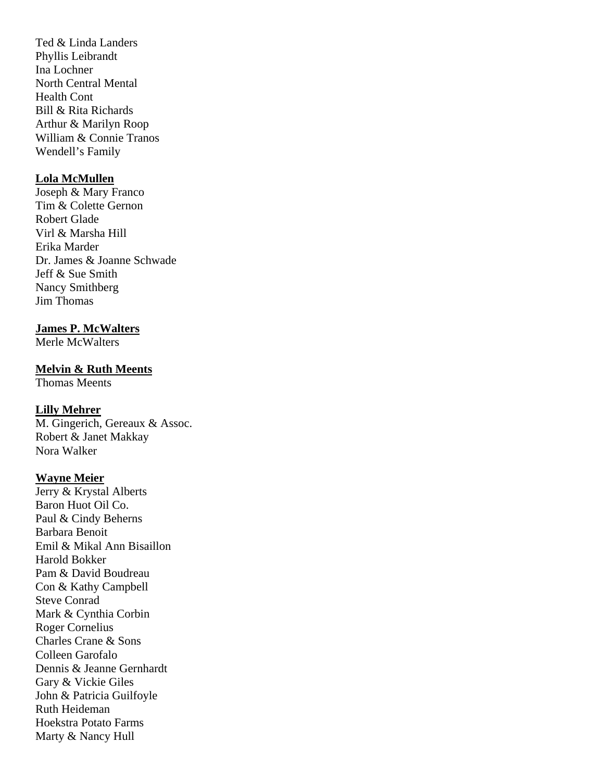Ted & Linda Landers Phyllis Leibrandt Ina Lochner North Central Mental Health Cont Bill & Rita Richards Arthur & Marilyn Roop William & Connie Tranos Wendell's Family

## **Lola McMullen**

Joseph & Mary Franco Tim & Colette Gernon Robert Glade Virl & Marsha Hill Erika Marder Dr. James & Joanne Schwade Jeff & Sue Smith Nancy Smithberg Jim Thomas

# **James P. McWalters**

Merle McWalters

### **Melvin & Ruth Meents**

Thomas Meents

### **Lilly Mehrer**

M. Gingerich, Gereaux & Assoc. Robert & Janet Makkay Nora Walker

# **Wayne Meier**

Jerry & Krystal Alberts Baron Huot Oil Co. Paul & Cindy Beherns Barbara Benoit Emil & Mikal Ann Bisaillon Harold Bokker Pam & David Boudreau Con & Kathy Campbell Steve Conrad Mark & Cynthia Corbin Roger Cornelius Charles Crane & Sons Colleen Garofalo Dennis & Jeanne Gernhardt Gary & Vickie Giles John & Patricia Guilfoyle Ruth Heideman Hoekstra Potato Farms Marty & Nancy Hull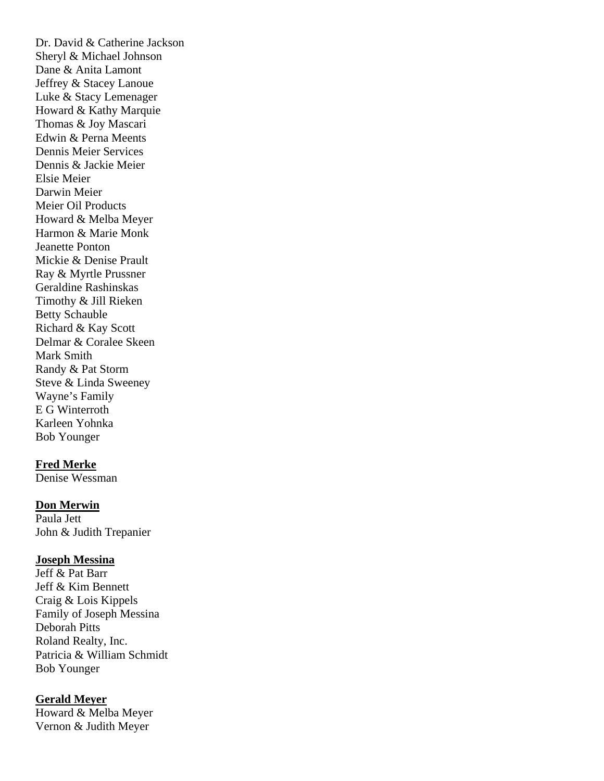Dr. David & Catherine Jackson Sheryl & Michael Johnson Dane & Anita Lamont Jeffrey & Stacey Lanoue Luke & Stacy Lemenager Howard & Kathy Marquie Thomas & Joy Mascari Edwin & Perna Meents Dennis Meier Services Dennis & Jackie Meier Elsie Meier Darwin Meier Meier Oil Products Howard & Melba Meyer Harmon & Marie Monk Jeanette Ponton Mickie & Denise Prault Ray & Myrtle Prussner Geraldine Rashinskas Timothy & Jill Rieken Betty Schauble Richard & Kay Scott Delmar & Coralee Skeen Mark Smith Randy & Pat Storm Steve & Linda Sweeney Wayne's Family E G Winterroth Karleen Yohnka Bob Younger

### **Fred Merke**

Denise Wessman

### **Don Merwin**

Paula Jett John & Judith Trepanier

#### **Joseph Messina**

Jeff & Pat Barr Jeff & Kim Bennett Craig & Lois Kippels Family of Joseph Messina Deborah Pitts Roland Realty, Inc. Patricia & William Schmidt Bob Younger

#### **Gerald Meyer**

Howard & Melba Meyer Vernon & Judith Meyer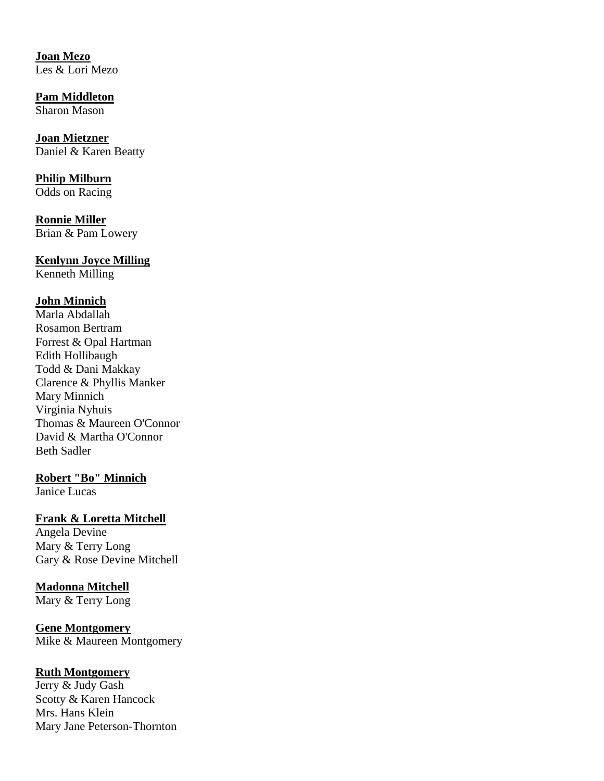**Joan Mezo**  Les & Lori Mezo

**Pam Middleton** Sharon Mason

**Joan Mietzner** Daniel & Karen Beatty

**Philip Milburn** Odds on Racing

**Ronnie Miller**  Brian & Pam Lowery

# **Kenlynn Joyce Milling**

Kenneth Milling

# **John Minnich**

Marla Abdallah Rosamon Bertram Forrest & Opal Hartman Edith Hollibaugh Todd & Dani Makkay Clarence & Phyllis Manker Mary Minnich Virginia Nyhuis Thomas & Maureen O'Connor David & Martha O'Connor Beth Sadler

# **Robert "Bo" Minnich**

Janice Lucas

# **Frank & Loretta Mitchell**

Angela Devine Mary & Terry Long Gary & Rose Devine Mitchell

# **Madonna Mitchell**

Mary & Terry Long

**Gene Montgomery**  Mike & Maureen Montgomery

# **Ruth Montgomery**

Jerry & Judy Gash Scotty & Karen Hancock Mrs. Hans Klein Mary Jane Peterson-Thornton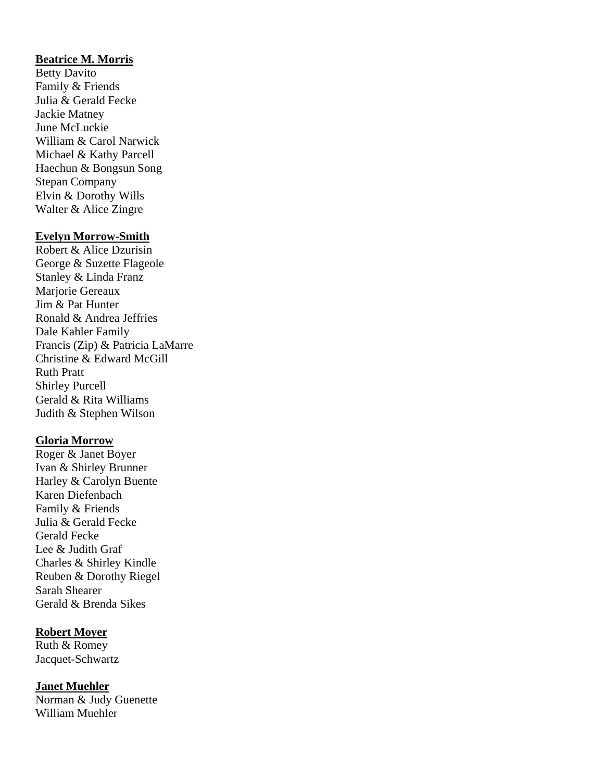## **Beatrice M. Morris**

Betty Davito Family & Friends Julia & Gerald Fecke Jackie Matney June McLuckie William & Carol Narwick Michael & Kathy Parcell Haechun & Bongsun Song Stepan Company Elvin & Dorothy Wills Walter & Alice Zingre

#### **Evelyn Morrow-Smith**

Robert & Alice Dzurisin George & Suzette Flageole Stanley & Linda Franz Marjorie Gereaux Jim & Pat Hunter Ronald & Andrea Jeffries Dale Kahler Family Francis (Zip) & Patricia LaMarre Christine & Edward McGill Ruth Pratt Shirley Purcell Gerald & Rita Williams Judith & Stephen Wilson

### **Gloria Morrow**

Roger & Janet Boyer Ivan & Shirley Brunner Harley & Carolyn Buente Karen Diefenbach Family & Friends Julia & Gerald Fecke Gerald Fecke Lee & Judith Graf Charles & Shirley Kindle Reuben & Dorothy Riegel Sarah Shearer Gerald & Brenda Sikes

### **Robert Moyer**

Ruth & Romey Jacquet-Schwartz

**Janet Muehler** Norman & Judy Guenette William Muehler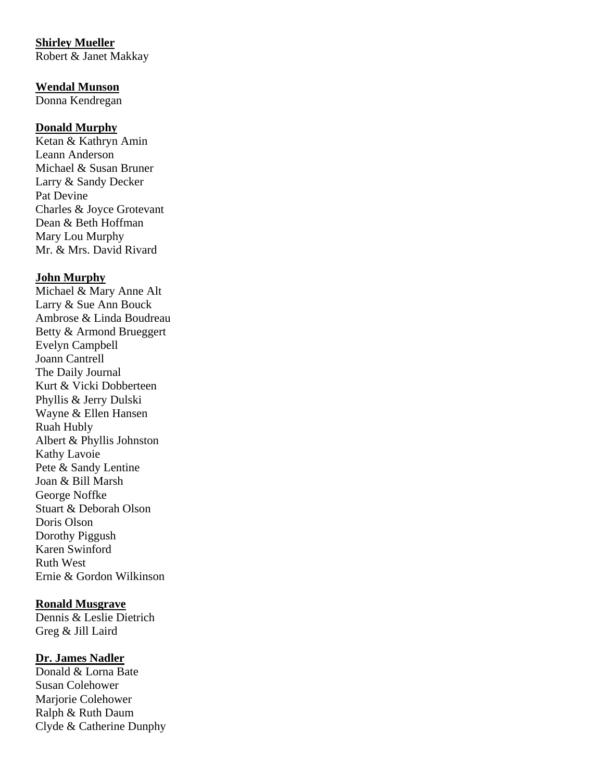# **Shirley Mueller**

Robert & Janet Makkay

#### **Wendal Munson**

Donna Kendregan

## **Donald Murphy**

Ketan & Kathryn Amin Leann Anderson Michael & Susan Bruner Larry & Sandy Decker Pat Devine Charles & Joyce Grotevant Dean & Beth Hoffman Mary Lou Murphy Mr. & Mrs. David Rivard

## **John Murphy**

Michael & Mary Anne Alt Larry & Sue Ann Bouck Ambrose & Linda Boudreau Betty & Armond Brueggert Evelyn Campbell Joann Cantrell The Daily Journal Kurt & Vicki Dobberteen Phyllis & Jerry Dulski Wayne & Ellen Hansen Ruah Hubly Albert & Phyllis Johnston Kathy Lavoie Pete & Sandy Lentine Joan & Bill Marsh George Noffke Stuart & Deborah Olson Doris Olson Dorothy Piggush Karen Swinford Ruth West Ernie & Gordon Wilkinson

### **Ronald Musgrave**

Dennis & Leslie Dietrich Greg & Jill Laird

### **Dr. James Nadler**

Donald & Lorna Bate Susan Colehower Marjorie Colehower Ralph & Ruth Daum Clyde & Catherine Dunphy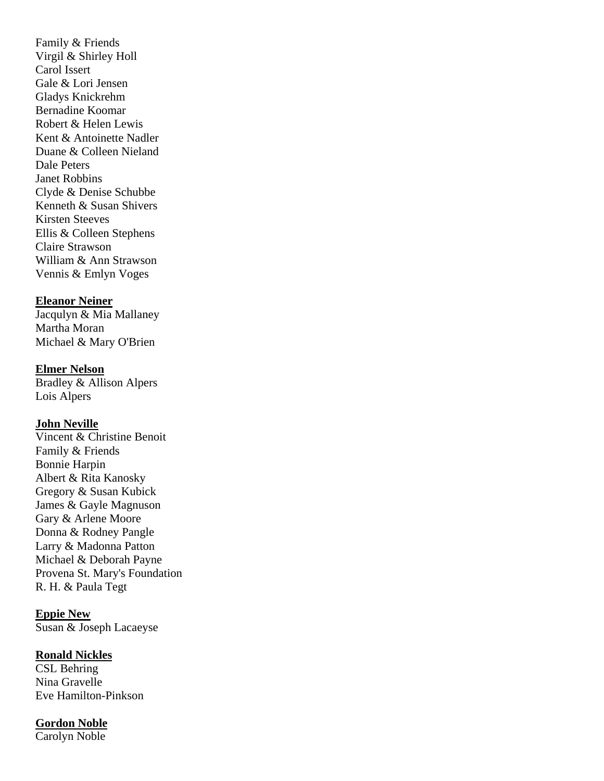Family & Friends Virgil & Shirley Holl Carol Issert Gale & Lori Jensen Gladys Knickrehm Bernadine Koomar Robert & Helen Lewis Kent & Antoinette Nadler Duane & Colleen Nieland Dale Peters Janet Robbins Clyde & Denise Schubbe Kenneth & Susan Shivers Kirsten Steeves Ellis & Colleen Stephens Claire Strawson William & Ann Strawson Vennis & Emlyn Voges

#### **Eleanor Neiner**

Jacqulyn & Mia Mallaney Martha Moran Michael & Mary O'Brien

#### **Elmer Nelson**

Bradley & Allison Alpers Lois Alpers

## **John Neville**

Vincent & Christine Benoit Family & Friends Bonnie Harpin Albert & Rita Kanosky Gregory & Susan Kubick James & Gayle Magnuson Gary & Arlene Moore Donna & Rodney Pangle Larry & Madonna Patton Michael & Deborah Payne Provena St. Mary's Foundation R. H. & Paula Tegt

#### **Eppie New**

Susan & Joseph Lacaeyse

#### **Ronald Nickles**

CSL Behring Nina Gravelle Eve Hamilton-Pinkson

#### **Gordon Noble**

Carolyn Noble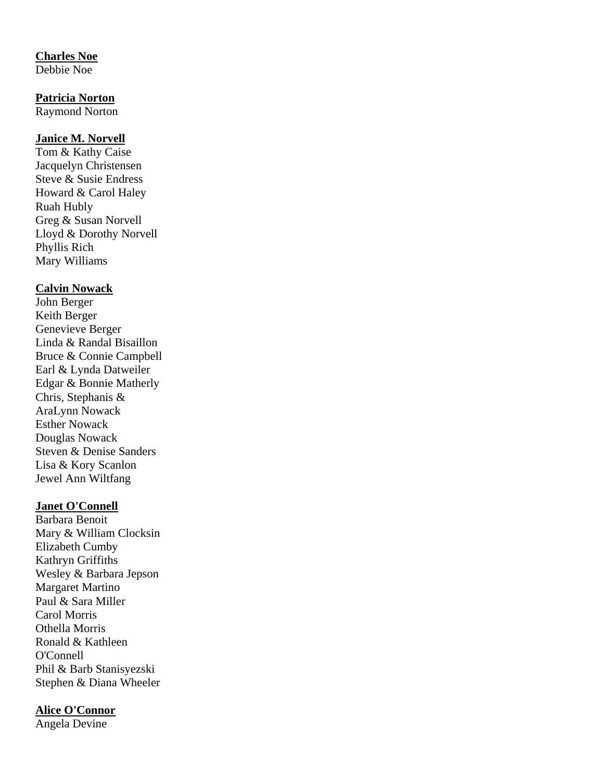## **Charles Noe**

Debbie Noe

# **Patricia Norton**

Raymond Norton

### **Janice M. Norvell**

Tom & Kathy Caise Jacquelyn Christensen Steve & Susie Endress Howard & Carol Haley Ruah Hubly Greg & Susan Norvell Lloyd & Dorothy Norvell Phyllis Rich Mary Williams

### **Calvin Nowack**

John Berger Keith Berger Genevieve Berger Linda & Randal Bisaillon Bruce & Connie Campbell Earl & Lynda Datweiler Edgar & Bonnie Matherly Chris, Stephanis & AraLynn Nowack Esther Nowack Douglas Nowack Steven & Denise Sanders Lisa & Kory Scanlon Jewel Ann Wiltfang

### **Janet O'Connell**

Barbara Benoit Mary & William Clocksin Elizabeth Cumby Kathryn Griffiths Wesley & Barbara Jepson Margaret Martino Paul & Sara Miller Carol Morris Othella Morris Ronald & Kathleen O'Connell Phil & Barb Stanisyezski Stephen & Diana Wheeler

# **Alice O'Connor**

Angela Devine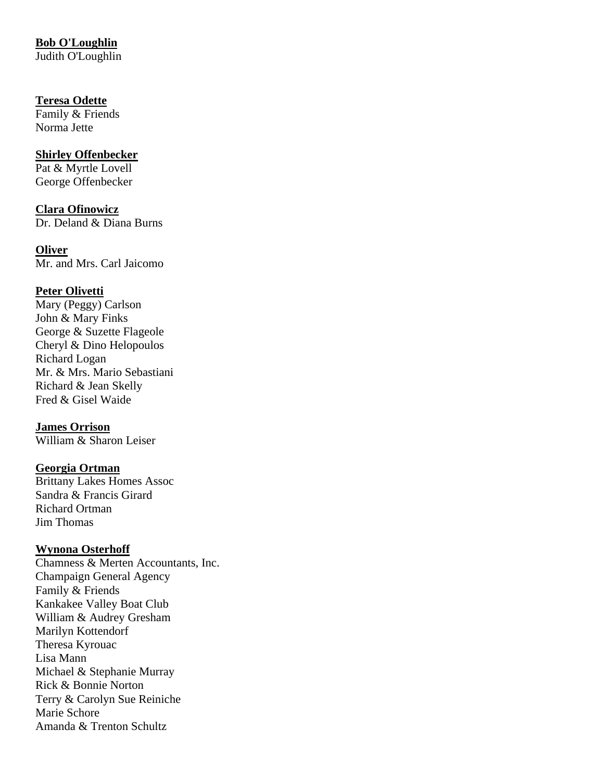# **Bob O'Loughlin**

Judith O'Loughlin

# **Teresa Odette**

Family & Friends Norma Jette

# **Shirley Offenbecker**

Pat & Myrtle Lovell George Offenbecker

**Clara Ofinowicz** Dr. Deland & Diana Burns

**Oliver** Mr. and Mrs. Carl Jaicomo

# **Peter Olivetti**

Mary (Peggy) Carlson John & Mary Finks George & Suzette Flageole Cheryl & Dino Helopoulos Richard Logan Mr. & Mrs. Mario Sebastiani Richard & Jean Skelly Fred & Gisel Waide

# **James Orrison**

William & Sharon Leiser

## **Georgia Ortman**

Brittany Lakes Homes Assoc Sandra & Francis Girard Richard Ortman Jim Thomas

# **Wynona Osterhoff**

Chamness & Merten Accountants, Inc. Champaign General Agency Family & Friends Kankakee Valley Boat Club William & Audrey Gresham Marilyn Kottendorf Theresa Kyrouac Lisa Mann Michael & Stephanie Murray Rick & Bonnie Norton Terry & Carolyn Sue Reiniche Marie Schore Amanda & Trenton Schultz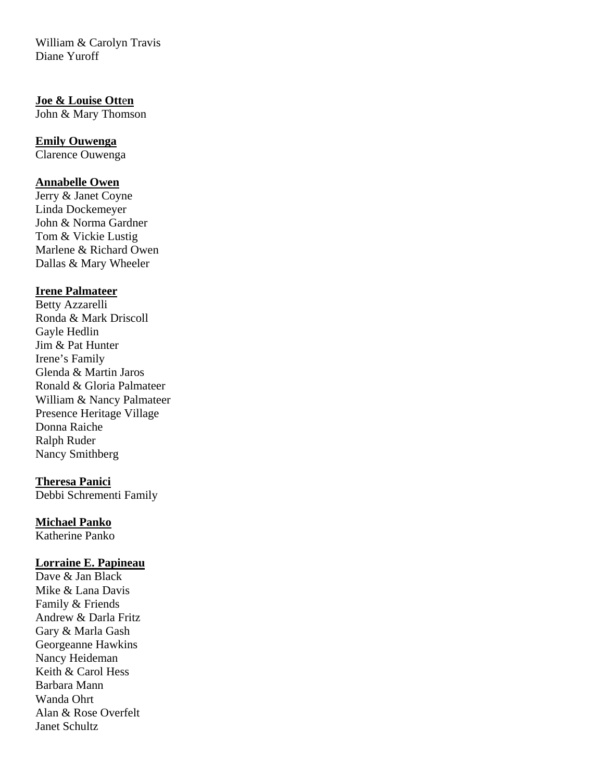William & Carolyn Travis Diane Yuroff

# **Joe & Louise Ott**e**n**

John & Mary Thomson

# **Emily Ouwenga**

Clarence Ouwenga

# **Annabelle Owen**

Jerry & Janet Coyne Linda Dockemeyer John & Norma Gardner Tom & Vickie Lustig Marlene & Richard Owen Dallas & Mary Wheeler

# **Irene Palmateer**

Betty Azzarelli Ronda & Mark Driscoll Gayle Hedlin Jim & Pat Hunter Irene's Family Glenda & Martin Jaros Ronald & Gloria Palmateer William & Nancy Palmateer Presence Heritage Village Donna Raiche Ralph Ruder Nancy Smithberg

### **Theresa Panici**

Debbi Schrementi Family

# **Michael Panko**

Katherine Panko

### **Lorraine E. Papineau**

Dave & Jan Black Mike & Lana Davis Family & Friends Andrew & Darla Fritz Gary & Marla Gash Georgeanne Hawkins Nancy Heideman Keith & Carol Hess Barbara Mann Wanda Ohrt Alan & Rose Overfelt Janet Schultz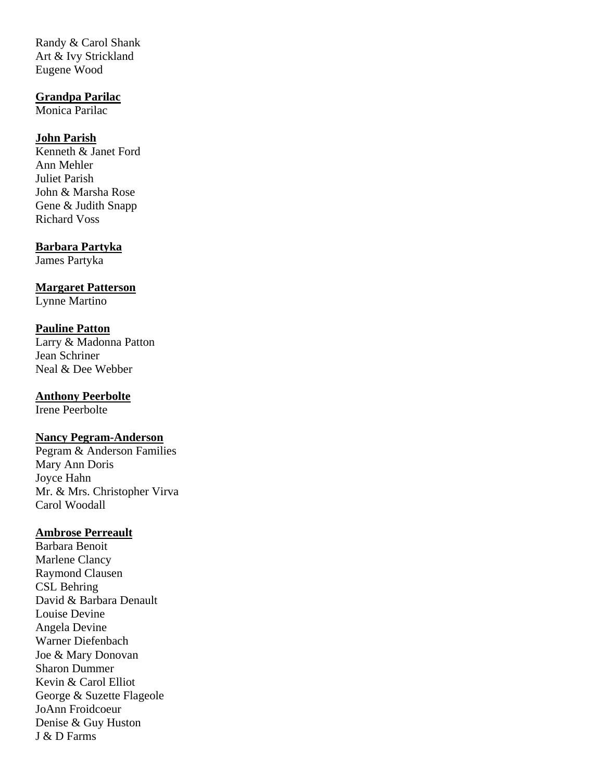Randy & Carol Shank Art & Ivy Strickland Eugene Wood

## **Grandpa Parilac**

Monica Parilac

# **John Parish**

Kenneth & Janet Ford Ann Mehler Juliet Parish John & Marsha Rose Gene & Judith Snapp Richard Voss

# **Barbara Partyka**

James Partyka

**Margaret Patterson**

Lynne Martino

# **Pauline Patton**

Larry & Madonna Patton Jean Schriner Neal & Dee Webber

# **Anthony Peerbolte**

Irene Peerbolte

### **Nancy Pegram-Anderson**

Pegram & Anderson Families Mary Ann Doris Joyce Hahn Mr. & Mrs. Christopher Virva Carol Woodall

### **Ambrose Perreault**

Barbara Benoit Marlene Clancy Raymond Clausen CSL Behring David & Barbara Denault Louise Devine Angela Devine Warner Diefenbach Joe & Mary Donovan Sharon Dummer Kevin & Carol Elliot George & Suzette Flageole JoAnn Froidcoeur Denise & Guy Huston J & D Farms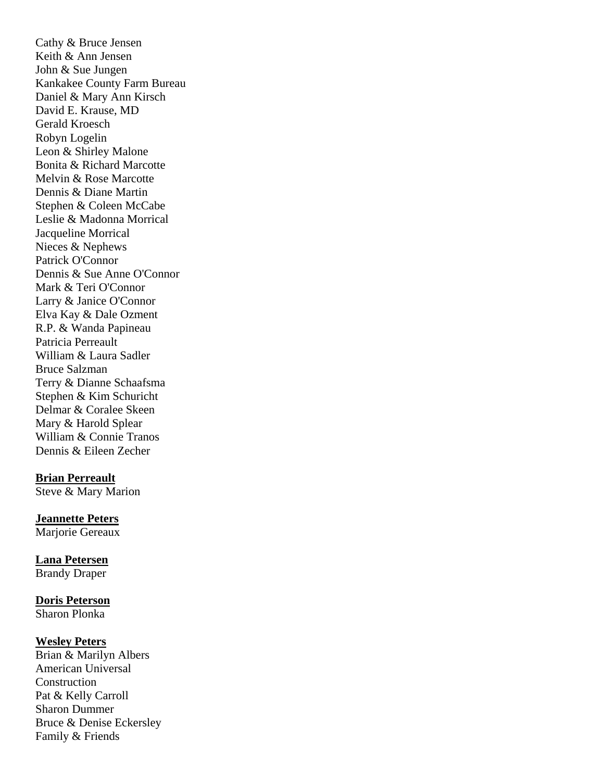Cathy & Bruce Jensen Keith & Ann Jensen John & Sue Jungen Kankakee County Farm Bureau Daniel & Mary Ann Kirsch David E. Krause, MD Gerald Kroesch Robyn Logelin Leon & Shirley Malone Bonita & Richard Marcotte Melvin & Rose Marcotte Dennis & Diane Martin Stephen & Coleen McCabe Leslie & Madonna Morrical Jacqueline Morrical Nieces & Nephews Patrick O'Connor Dennis & Sue Anne O'Connor Mark & Teri O'Connor Larry & Janice O'Connor Elva Kay & Dale Ozment R.P. & Wanda Papineau Patricia Perreault William & Laura Sadler Bruce Salzman Terry & Dianne Schaafsma Stephen & Kim Schuricht Delmar & Coralee Skeen Mary & Harold Splear William & Connie Tranos Dennis & Eileen Zecher

#### **Brian Perreault**

Steve & Mary Marion

### **Jeannette Peters**

Marjorie Gereaux

**Lana Petersen**  Brandy Draper

# **Doris Peterson**

Sharon Plonka

#### **Wesley Peters**

Brian & Marilyn Albers American Universal Construction Pat & Kelly Carroll Sharon Dummer Bruce & Denise Eckersley Family & Friends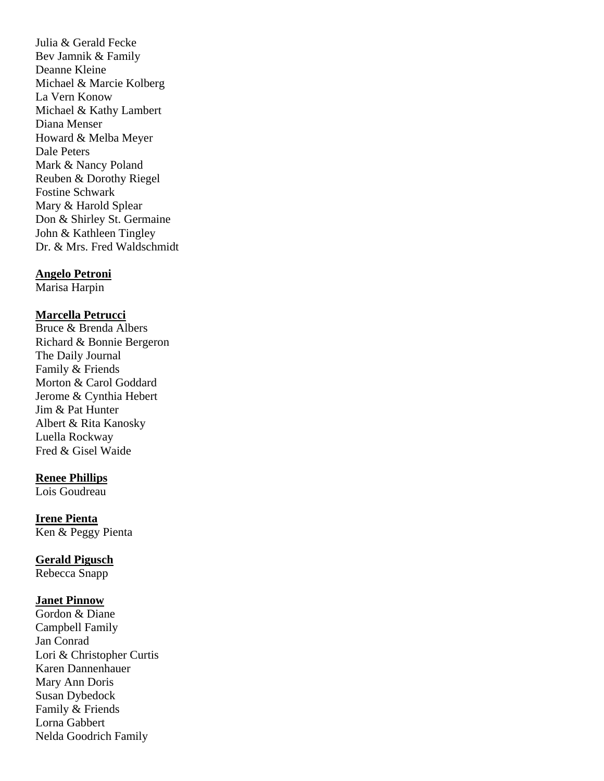Julia & Gerald Fecke Bev Jamnik & Family Deanne Kleine Michael & Marcie Kolberg La Vern Konow Michael & Kathy Lambert Diana Menser Howard & Melba Meyer Dale Peters Mark & Nancy Poland Reuben & Dorothy Riegel Fostine Schwark Mary & Harold Splear Don & Shirley St. Germaine John & Kathleen Tingley Dr. & Mrs. Fred Waldschmidt

#### **Angelo Petroni**

Marisa Harpin

#### **Marcella Petrucci**

Bruce & Brenda Albers Richard & Bonnie Bergeron The Daily Journal Family & Friends Morton & Carol Goddard Jerome & Cynthia Hebert Jim & Pat Hunter Albert & Rita Kanosky Luella Rockway Fred & Gisel Waide

#### **Renee Phillips**

Lois Goudreau

**Irene Pienta** Ken & Peggy Pienta

**Gerald Pigusch** 

Rebecca Snapp

#### **Janet Pinnow**

Gordon & Diane Campbell Family Jan Conrad Lori & Christopher Curtis Karen Dannenhauer Mary Ann Doris Susan Dybedock Family & Friends Lorna Gabbert Nelda Goodrich Family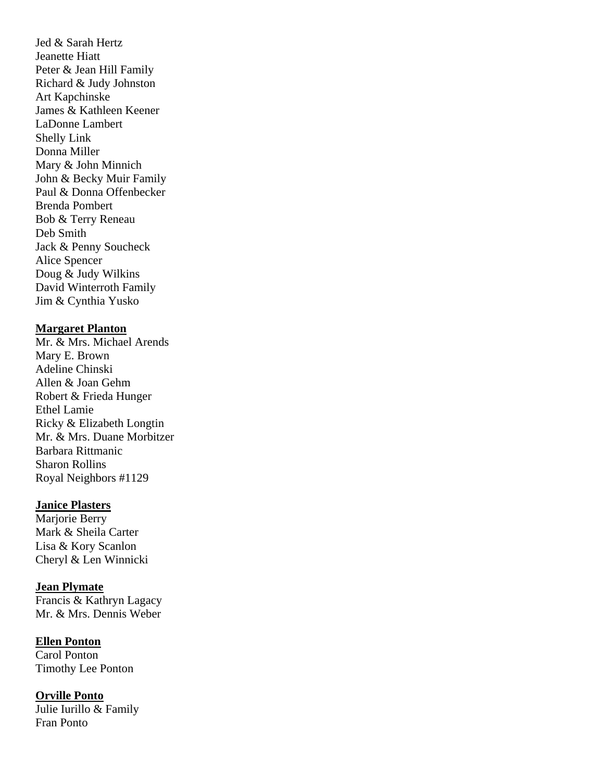Jed & Sarah Hertz Jeanette Hiatt Peter & Jean Hill Family Richard & Judy Johnston Art Kapchinske James & Kathleen Keener LaDonne Lambert Shelly Link Donna Miller Mary & John Minnich John & Becky Muir Family Paul & Donna Offenbecker Brenda Pombert Bob & Terry Reneau Deb Smith Jack & Penny Soucheck Alice Spencer Doug & Judy Wilkins David Winterroth Family Jim & Cynthia Yusko

## **Margaret Planton**

Mr. & Mrs. Michael Arends Mary E. Brown Adeline Chinski Allen & Joan Gehm Robert & Frieda Hunger Ethel Lamie Ricky & Elizabeth Longtin Mr. & Mrs. Duane Morbitzer Barbara Rittmanic Sharon Rollins Royal Neighbors #1129

### **Janice Plasters**

Marjorie Berry Mark & Sheila Carter Lisa & Kory Scanlon Cheryl & Len Winnicki

**Jean Plymate** Francis & Kathryn Lagacy Mr. & Mrs. Dennis Weber

**Ellen Ponton** Carol Ponton Timothy Lee Ponton

**Orville Ponto** Julie Iurillo & Family Fran Ponto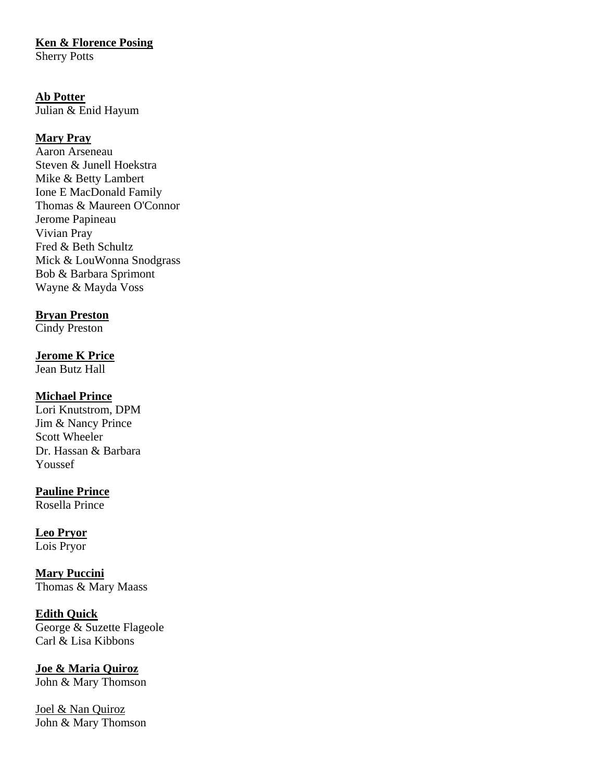# **Ken & Florence Posing**

Sherry Potts

# **Ab Potter**

Julian & Enid Hayum

# **Mary Pray**

Aaron Arseneau Steven & Junell Hoekstra Mike & Betty Lambert Ione E MacDonald Family Thomas & Maureen O'Connor Jerome Papineau Vivian Pray Fred & Beth Schultz Mick & LouWonna Snodgrass Bob & Barbara Sprimont Wayne & Mayda Voss

# **Bryan Preston**

Cindy Preston

# **Jerome K Price**

Jean Butz Hall

# **Michael Prince**

Lori Knutstrom, DPM Jim & Nancy Prince Scott Wheeler Dr. Hassan & Barbara Youssef

# **Pauline Prince**

Rosella Prince

# **Leo Pryor**

Lois Pryor

**Mary Puccini** Thomas & Mary Maass

### **Edith Quick**

George & Suzette Flageole Carl & Lisa Kibbons

# **Joe & Maria Quiroz**

John & Mary Thomson

Joel & Nan Quiroz John & Mary Thomson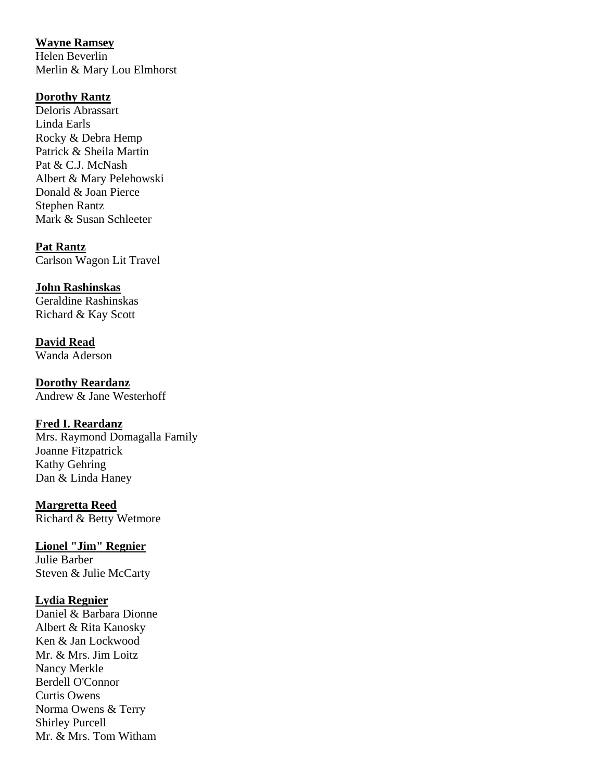# **Wayne Ramsey**

Helen Beverlin Merlin & Mary Lou Elmhorst

# **Dorothy Rantz**

Deloris Abrassart Linda Earls Rocky & Debra Hemp Patrick & Sheila Martin Pat & C.J. McNash Albert & Mary Pelehowski Donald & Joan Pierce Stephen Rantz Mark & Susan Schleeter

# **Pat Rantz**

Carlson Wagon Lit Travel

# **John Rashinskas**

Geraldine Rashinskas Richard & Kay Scott

**David Read** Wanda Aderson

**Dorothy Reardanz** Andrew & Jane Westerhoff

# **Fred I. Reardanz**

Mrs. Raymond Domagalla Family Joanne Fitzpatrick Kathy Gehring Dan & Linda Haney

# **Margretta Reed**

Richard & Betty Wetmore

# **Lionel "Jim" Regnier**

Julie Barber Steven & Julie McCarty

# **Lydia Regnier**

Daniel & Barbara Dionne Albert & Rita Kanosky Ken & Jan Lockwood Mr. & Mrs. Jim Loitz Nancy Merkle Berdell O'Connor Curtis Owens Norma Owens & Terry Shirley Purcell Mr. & Mrs. Tom Witham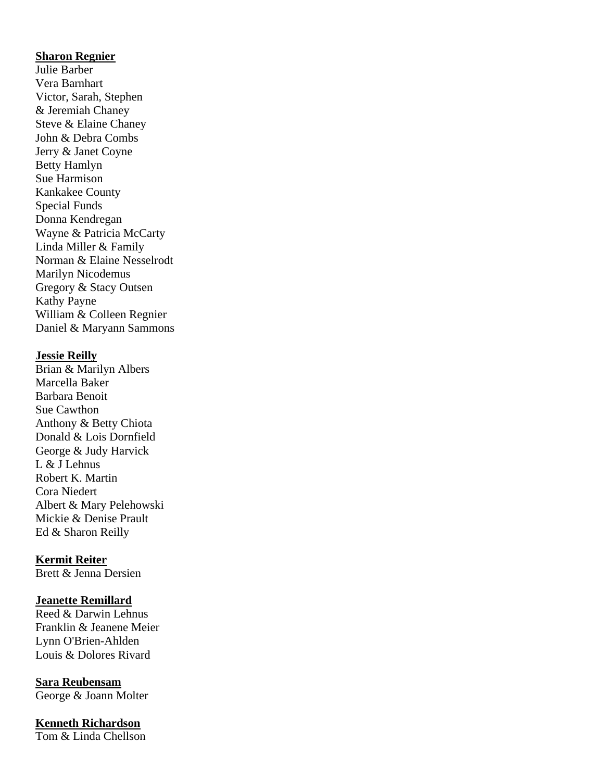#### **Sharon Regnier**

Julie Barber Vera Barnhart Victor, Sarah, Stephen & Jeremiah Chaney Steve & Elaine Chaney John & Debra Combs Jerry & Janet Coyne Betty Hamlyn Sue Harmison Kankakee County Special Funds Donna Kendregan Wayne & Patricia McCarty Linda Miller & Family Norman & Elaine Nesselrodt Marilyn Nicodemus Gregory & Stacy Outsen Kathy Payne William & Colleen Regnier Daniel & Maryann Sammons

#### **Jessie Reilly**

Brian & Marilyn Albers Marcella Baker Barbara Benoit Sue Cawthon Anthony & Betty Chiota Donald & Lois Dornfield George & Judy Harvick L & J Lehnus Robert K. Martin Cora Niedert Albert & Mary Pelehowski Mickie & Denise Prault Ed & Sharon Reilly

### **Kermit Reiter**

Brett & Jenna Dersien

#### **Jeanette Remillard**

Reed & Darwin Lehnus Franklin & Jeanene Meier Lynn O'Brien-Ahlden Louis & Dolores Rivard

**Sara Reubensam** George & Joann Molter

## **Kenneth Richardson**

Tom & Linda Chellson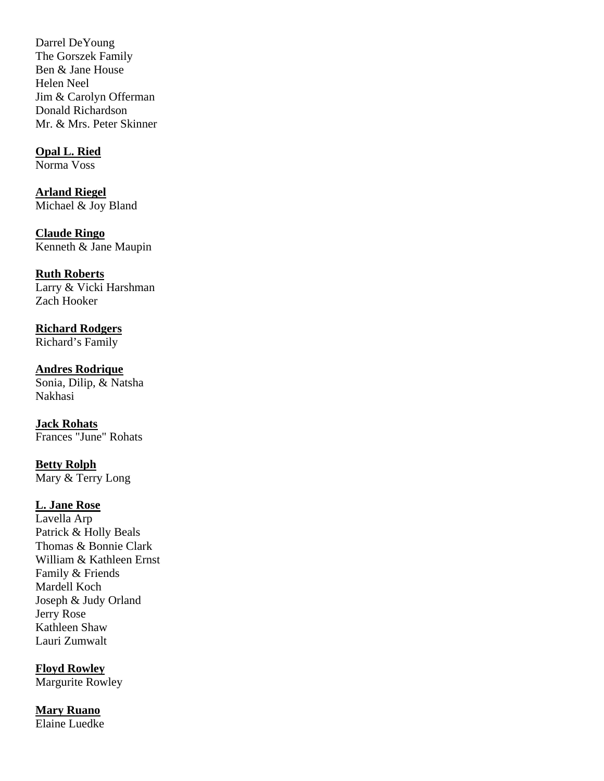Darrel DeYoung The Gorszek Family Ben & Jane House Helen Neel Jim & Carolyn Offerman Donald Richardson Mr. & Mrs. Peter Skinner

**Opal L. Ried** Norma Voss

**Arland Riegel**  Michael & Joy Bland

**Claude Ringo**  Kenneth & Jane Maupin

**Ruth Roberts** Larry & Vicki Harshman Zach Hooker

**Richard Rodgers** Richard's Family

**Andres Rodrique**  Sonia, Dilip, & Natsha Nakhasi

**Jack Rohats** Frances "June" Rohats

**Betty Rolph**  Mary & Terry Long

# **L. Jane Rose**

Lavella Arp Patrick & Holly Beals Thomas & Bonnie Clark William & Kathleen Ernst Family & Friends Mardell Koch Joseph & Judy Orland Jerry Rose Kathleen Shaw Lauri Zumwalt

**Floyd Rowley** Margurite Rowley

**Mary Ruano** Elaine Luedke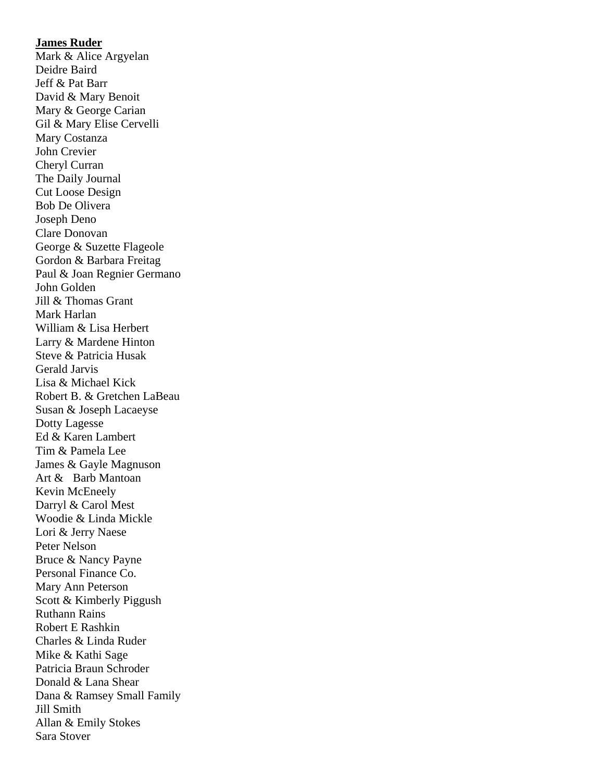#### **James Ruder**

Mark & Alice Argyelan Deidre Baird Jeff & Pat Barr David & Mary Benoit Mary & George Carian Gil & Mary Elise Cervelli Mary Costanza John Crevier Cheryl Curran The Daily Journal Cut Loose Design Bob De Olivera Joseph Deno Clare Donovan George & Suzette Flageole Gordon & Barbara Freitag Paul & Joan Regnier Germano John Golden Jill & Thomas Grant Mark Harlan William & Lisa Herbert Larry & Mardene Hinton Steve & Patricia Husak Gerald Jarvis Lisa & Michael Kick Robert B. & Gretchen LaBeau Susan & Joseph Lacaeyse Dotty Lagesse Ed & Karen Lambert Tim & Pamela Lee James & Gayle Magnuson Art & Barb Mantoan Kevin McEneely Darryl & Carol Mest Woodie & Linda Mickle Lori & Jerry Naese Peter Nelson Bruce & Nancy Payne Personal Finance Co. Mary Ann Peterson Scott & Kimberly Piggush Ruthann Rains Robert E Rashkin Charles & Linda Ruder Mike & Kathi Sage Patricia Braun Schroder Donald & Lana Shear Dana & Ramsey Small Family Jill Smith Allan & Emily Stokes Sara Stover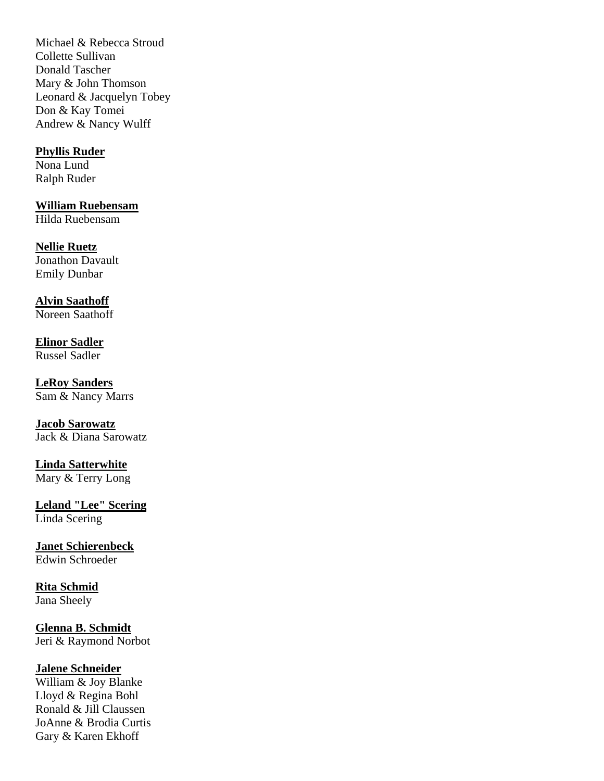Michael & Rebecca Stroud Collette Sullivan Donald Tascher Mary & John Thomson Leonard & Jacquelyn Tobey Don & Kay Tomei Andrew & Nancy Wulff

### **Phyllis Ruder**

Nona Lund Ralph Ruder

**William Ruebensam** Hilda Ruebensam

**Nellie Ruetz**  Jonathon Davault Emily Dunbar

**Alvin Saathoff** Noreen Saathoff

**Elinor Sadler** Russel Sadler

**LeRoy Sanders** Sam & Nancy Marrs

**Jacob Sarowatz**  Jack & Diana Sarowatz

**Linda Satterwhite**  Mary & Terry Long

**Leland "Lee" Scering** Linda Scering

**Janet Schierenbeck** Edwin Schroeder

**Rita Schmid**  Jana Sheely

**Glenna B. Schmidt** Jeri & Raymond Norbot

**Jalene Schneider** William & Joy Blanke Lloyd & Regina Bohl Ronald & Jill Claussen JoAnne & Brodia Curtis Gary & Karen Ekhoff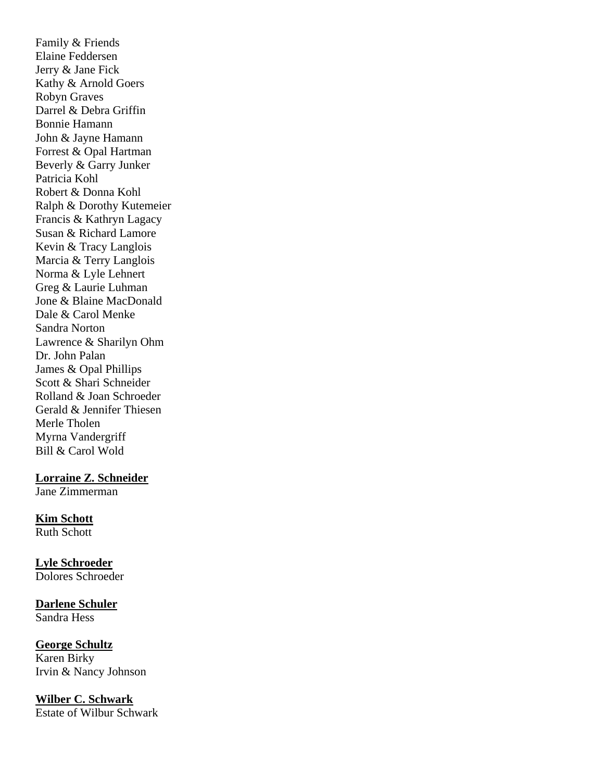Family & Friends Elaine Feddersen Jerry & Jane Fick Kathy & Arnold Goers Robyn Graves Darrel & Debra Griffin Bonnie Hamann John & Jayne Hamann Forrest & Opal Hartman Beverly & Garry Junker Patricia Kohl Robert & Donna Kohl Ralph & Dorothy Kutemeier Francis & Kathryn Lagacy Susan & Richard Lamore Kevin & Tracy Langlois Marcia & Terry Langlois Norma & Lyle Lehnert Greg & Laurie Luhman Jone & Blaine MacDonald Dale & Carol Menke Sandra Norton Lawrence & Sharilyn Ohm Dr. John Palan James & Opal Phillips Scott & Shari Schneider Rolland & Joan Schroeder Gerald & Jennifer Thiesen Merle Tholen Myrna Vandergriff Bill & Carol Wold

**Lorraine Z. Schneider**

Jane Zimmerman

# **Kim Schott**

Ruth Schott

#### **Lyle Schroeder** Dolores Schroeder

# **Darlene Schuler**

Sandra Hess

# **George Schultz**

Karen Birky Irvin & Nancy Johnson

# **Wilber C. Schwark**

Estate of Wilbur Schwark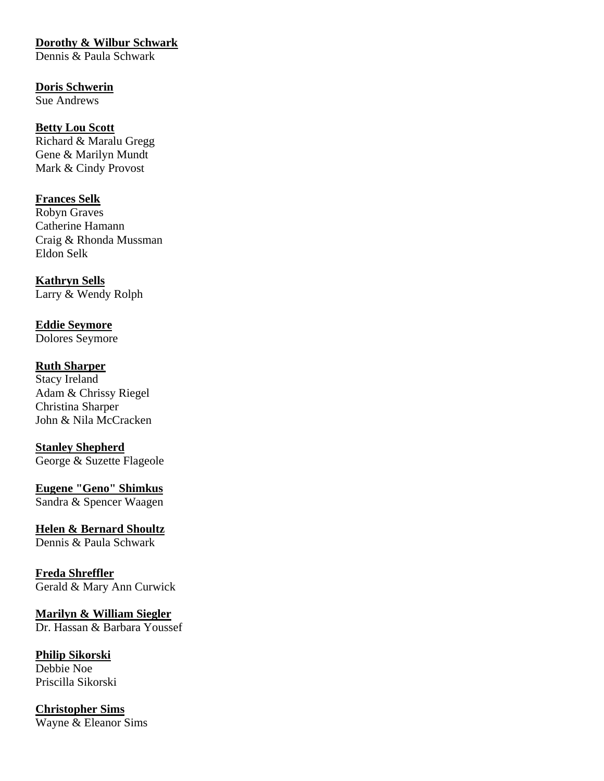# **Dorothy & Wilbur Schwark**

Dennis & Paula Schwark

# **Doris Schwerin**

Sue Andrews

# **Betty Lou Scott** Richard & Maralu Gregg

Gene & Marilyn Mundt Mark & Cindy Provost

# **Frances Selk**

Robyn Graves Catherine Hamann Craig & Rhonda Mussman Eldon Selk

# **Kathryn Sells** Larry & Wendy Rolph

**Eddie Seymore** Dolores Seymore

# **Ruth Sharper**

Stacy Ireland Adam & Chrissy Riegel Christina Sharper John & Nila McCracken

# **Stanley Shepherd**

George & Suzette Flageole

# **Eugene "Geno" Shimkus** Sandra & Spencer Waagen

**Helen & Bernard Shoultz** Dennis & Paula Schwark

# **Freda Shreffler**

Gerald & Mary Ann Curwick

#### **Marilyn & William Siegler**  Dr. Hassan & Barbara Youssef

# **Philip Sikorski**  Debbie Noe

Priscilla Sikorski

## **Christopher Sims** Wayne & Eleanor Sims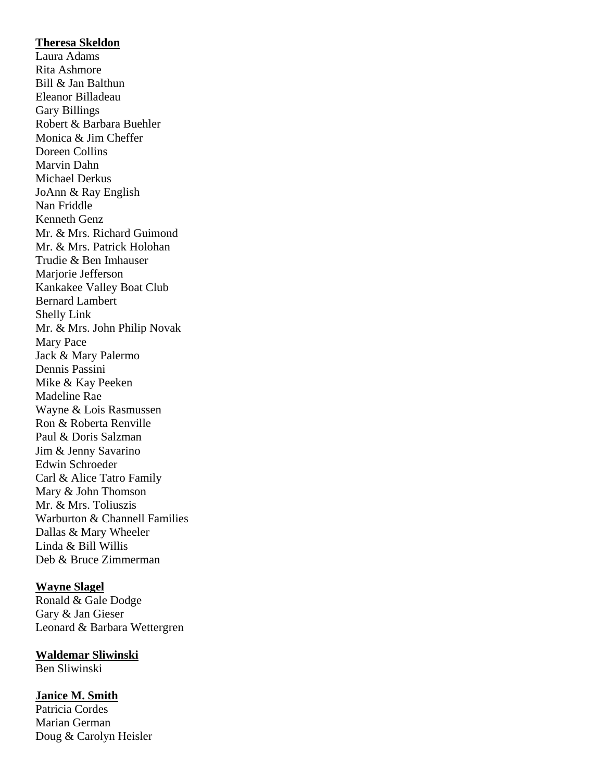#### **Theresa Skeldon**

Laura Adams Rita Ashmore Bill & Jan Balthun Eleanor Billadeau Gary Billings Robert & Barbara Buehler Monica & Jim Cheffer Doreen Collins Marvin Dahn Michael Derkus JoAnn & Ray English Nan Friddle Kenneth Genz Mr. & Mrs. Richard Guimond Mr. & Mrs. Patrick Holohan Trudie & Ben Imhauser Marjorie Jefferson Kankakee Valley Boat Club Bernard Lambert Shelly Link Mr. & Mrs. John Philip Novak Mary Pace Jack & Mary Palermo Dennis Passini Mike & Kay Peeken Madeline Rae Wayne & Lois Rasmussen Ron & Roberta Renville Paul & Doris Salzman Jim & Jenny Savarino Edwin Schroeder Carl & Alice Tatro Family Mary & John Thomson Mr. & Mrs. Toliuszis Warburton & Channell Families Dallas & Mary Wheeler Linda & Bill Willis Deb & Bruce Zimmerman

#### **Wayne Slagel**

Ronald & Gale Dodge Gary & Jan Gieser Leonard & Barbara Wettergren

**Waldemar Sliwinski** Ben Sliwinski

#### **Janice M. Smith**

Patricia Cordes Marian German Doug & Carolyn Heisler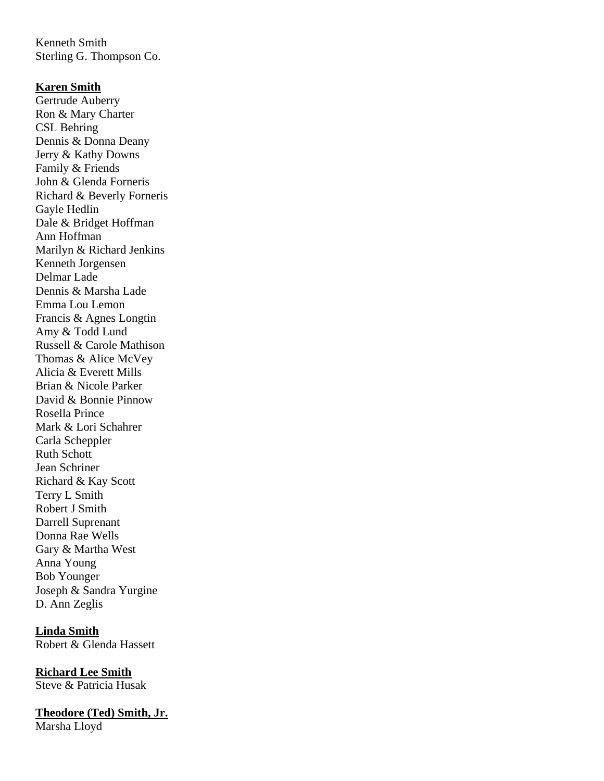Kenneth Smith Sterling G. Thompson Co.

#### **Karen Smith**

Gertrude Auberry Ron & Mary Charter CSL Behring Dennis & Donna Deany Jerry & Kathy Downs Family & Friends John & Glenda Forneris Richard & Beverly Forneris Gayle Hedlin Dale & Bridget Hoffman Ann Hoffman Marilyn & Richard Jenkins Kenneth Jorgensen Delmar Lade Dennis & Marsha Lade Emma Lou Lemon Francis & Agnes Longtin Amy & Todd Lund Russell & Carole Mathison Thomas & Alice McVey Alicia & Everett Mills Brian & Nicole Parker David & Bonnie Pinnow Rosella Prince Mark & Lori Schahrer Carla Scheppler Ruth Schott Jean Schriner Richard & Kay Scott Terry L Smith Robert J Smith Darrell Suprenant Donna Rae Wells Gary & Martha West Anna Young Bob Younger Joseph & Sandra Yurgine D. Ann Zeglis

**Linda Smith** Robert & Glenda Hassett

**Richard Lee Smith** Steve & Patricia Husak

**Theodore (Ted) Smith, Jr.** Marsha Lloyd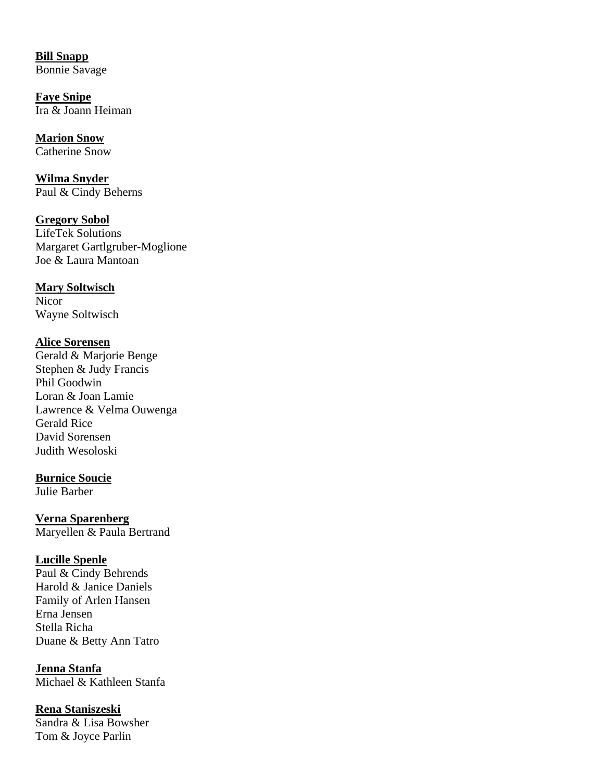**Bill Snapp**  Bonnie Savage

**Faye Snipe** Ira & Joann Heiman

**Marion Snow** Catherine Snow

**Wilma Snyder** Paul & Cindy Beherns

**Gregory Sobol** LifeTek Solutions Margaret Gartlgruber-Moglione Joe & Laura Mantoan

**Mary Soltwisch Nicor** Wayne Soltwisch

#### **Alice Sorensen**

Gerald & Marjorie Benge Stephen & Judy Francis Phil Goodwin Loran & Joan Lamie Lawrence & Velma Ouwenga Gerald Rice David Sorensen Judith Wesoloski

#### **Burnice Soucie**

Julie Barber

**Verna Sparenberg** Maryellen & Paula Bertrand

### **Lucille Spenle**

Paul & Cindy Behrends Harold & Janice Daniels Family of Arlen Hansen Erna Jensen Stella Richa Duane & Betty Ann Tatro

**Jenna Stanfa**  Michael & Kathleen Stanfa

**Rena Staniszeski** 

Sandra & Lisa Bowsher Tom & Joyce Parlin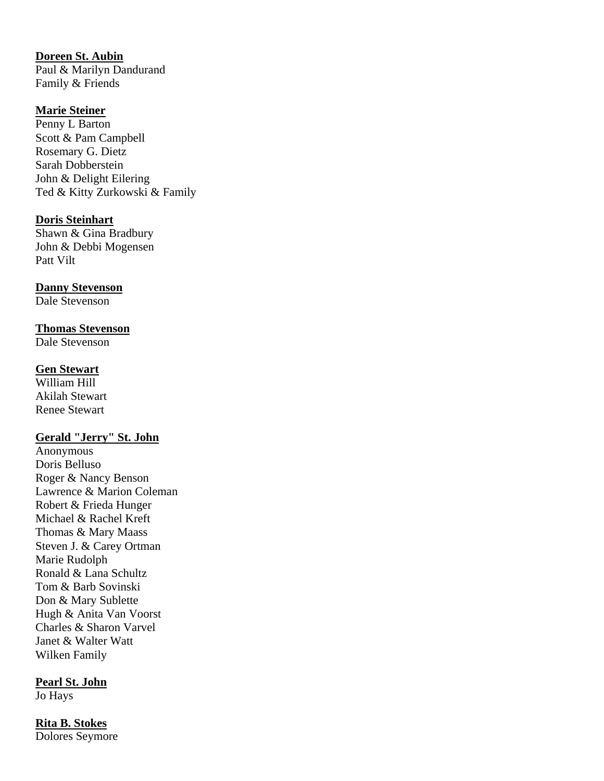**Doreen St. Aubin**  Paul & Marilyn Dandurand Family & Friends

## **Marie Steiner**

Penny L Barton Scott & Pam Campbell Rosemary G. Dietz Sarah Dobberstein John & Delight Eilering Ted & Kitty Zurkowski & Family

#### **Doris Steinhart**

Shawn & Gina Bradbury John & Debbi Mogensen Patt Vilt

## **Danny Stevenson**

Dale Stevenson

#### **Thomas Stevenson**

Dale Stevenson

#### **Gen Stewart**

William Hill Akilah Stewart Renee Stewart

## **Gerald "Jerry" St. John**

Anonymous Doris Belluso Roger & Nancy Benson Lawrence & Marion Coleman Robert & Frieda Hunger Michael & Rachel Kreft Thomas & Mary Maass Steven J. & Carey Ortman Marie Rudolph Ronald & Lana Schultz Tom & Barb Sovinski Don & Mary Sublette Hugh & Anita Van Voorst Charles & Sharon Varvel Janet & Walter Watt Wilken Family

### **Pearl St. John**

Jo Hays

# **Rita B. Stokes**

Dolores Seymore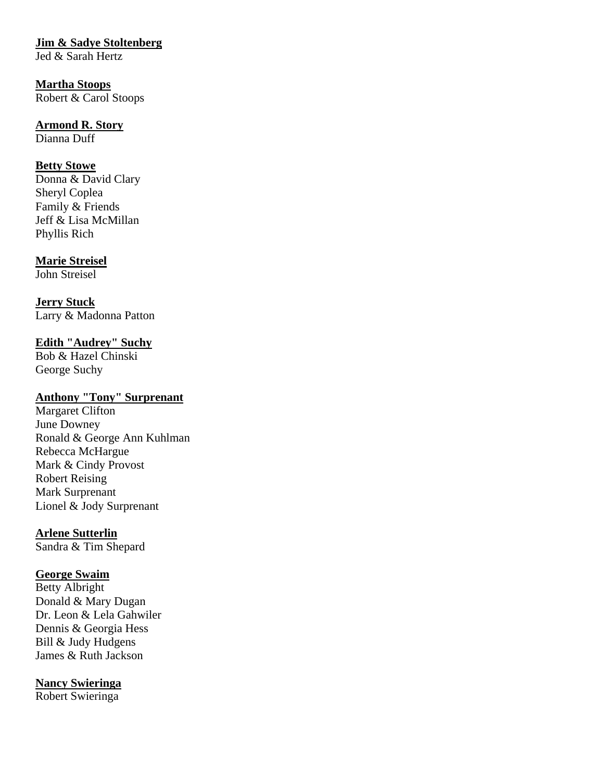## **Jim & Sadye Stoltenberg**

Jed & Sarah Hertz

## **Martha Stoops** Robert & Carol Stoops

# **Armond R. Story**

Dianna Duff

## **Betty Stowe**

Donna & David Clary Sheryl Coplea Family & Friends Jeff & Lisa McMillan Phyllis Rich

## **Marie Streisel**

John Streisel

**Jerry Stuck** Larry & Madonna Patton

## **Edith "Audrey" Suchy**

Bob & Hazel Chinski George Suchy

## **Anthony "Tony" Surprenant**

Margaret Clifton June Downey Ronald & George Ann Kuhlman Rebecca McHargue Mark & Cindy Provost Robert Reising Mark Surprenant Lionel & Jody Surprenant

## **Arlene Sutterlin**

Sandra & Tim Shepard

## **George Swaim**

Betty Albright Donald & Mary Dugan Dr. Leon & Lela Gahwiler Dennis & Georgia Hess Bill & Judy Hudgens James & Ruth Jackson

## **Nancy Swieringa**

Robert Swieringa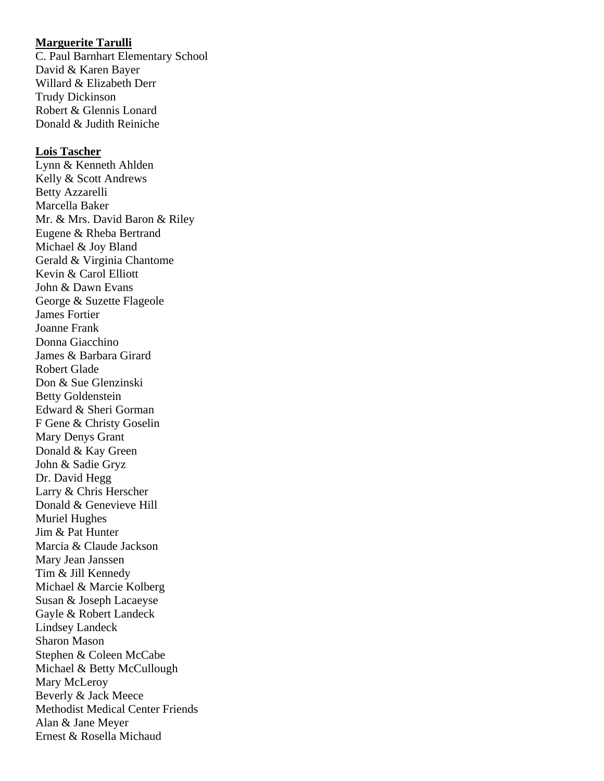#### **Marguerite Tarulli**

C. Paul Barnhart Elementary School David & Karen Bayer Willard & Elizabeth Derr Trudy Dickinson Robert & Glennis Lonard Donald & Judith Reiniche

#### **Lois Tascher**

Lynn & Kenneth Ahlden Kelly & Scott Andrews Betty Azzarelli Marcella Baker Mr. & Mrs. David Baron & Riley Eugene & Rheba Bertrand Michael & Joy Bland Gerald & Virginia Chantome Kevin & Carol Elliott John & Dawn Evans George & Suzette Flageole James Fortier Joanne Frank Donna Giacchino James & Barbara Girard Robert Glade Don & Sue Glenzinski Betty Goldenstein Edward & Sheri Gorman F Gene & Christy Goselin Mary Denys Grant Donald & Kay Green John & Sadie Gryz Dr. David Hegg Larry & Chris Herscher Donald & Genevieve Hill Muriel Hughes Jim & Pat Hunter Marcia & Claude Jackson Mary Jean Janssen Tim & Jill Kennedy Michael & Marcie Kolberg Susan & Joseph Lacaeyse Gayle & Robert Landeck Lindsey Landeck Sharon Mason Stephen & Coleen McCabe Michael & Betty McCullough Mary McLeroy Beverly & Jack Meece Methodist Medical Center Friends Alan & Jane Meyer Ernest & Rosella Michaud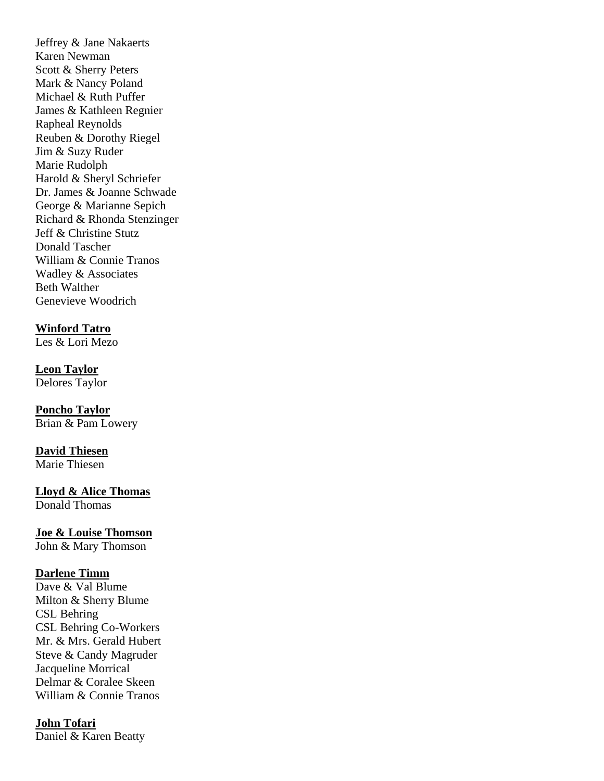Jeffrey & Jane Nakaerts Karen Newman Scott & Sherry Peters Mark & Nancy Poland Michael & Ruth Puffer James & Kathleen Regnier Rapheal Reynolds Reuben & Dorothy Riegel Jim & Suzy Ruder Marie Rudolph Harold & Sheryl Schriefer Dr. James & Joanne Schwade George & Marianne Sepich Richard & Rhonda Stenzinger Jeff & Christine Stutz Donald Tascher William & Connie Tranos Wadley & Associates Beth Walther Genevieve Woodrich

## **Winford Tatro**

Les & Lori Mezo

**Leon Taylor** Delores Taylor

**Poncho Taylor**  Brian & Pam Lowery

**David Thiesen** Marie Thiesen

**Lloyd & Alice Thomas** Donald Thomas

**Joe & Louise Thomson**  John & Mary Thomson

### **Darlene Timm**

Dave & Val Blume Milton & Sherry Blume CSL Behring CSL Behring Co-Workers Mr. & Mrs. Gerald Hubert Steve & Candy Magruder Jacqueline Morrical Delmar & Coralee Skeen William & Connie Tranos

### **John Tofari**

Daniel & Karen Beatty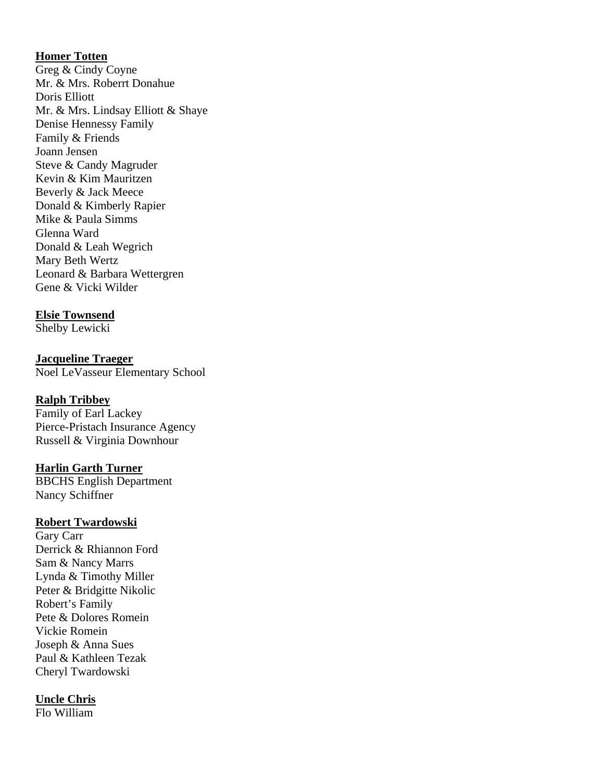## **Homer Totten**

Greg & Cindy Coyne Mr. & Mrs. Roberrt Donahue Doris Elliott Mr. & Mrs. Lindsay Elliott & Shaye Denise Hennessy Family Family & Friends Joann Jensen Steve & Candy Magruder Kevin & Kim Mauritzen Beverly & Jack Meece Donald & Kimberly Rapier Mike & Paula Simms Glenna Ward Donald & Leah Wegrich Mary Beth Wertz Leonard & Barbara Wettergren Gene & Vicki Wilder

## **Elsie Townsend**

Shelby Lewicki

**Jacqueline Traeger**  Noel LeVasseur Elementary School

## **Ralph Tribbey**

Family of Earl Lackey Pierce-Pristach Insurance Agency Russell & Virginia Downhour

### **Harlin Garth Turner**

BBCHS English Department Nancy Schiffner

### **Robert Twardowski**

Gary Carr Derrick & Rhiannon Ford Sam & Nancy Marrs Lynda & Timothy Miller Peter & Bridgitte Nikolic Robert's Family Pete & Dolores Romein Vickie Romein Joseph & Anna Sues Paul & Kathleen Tezak Cheryl Twardowski

### **Uncle Chris**

Flo William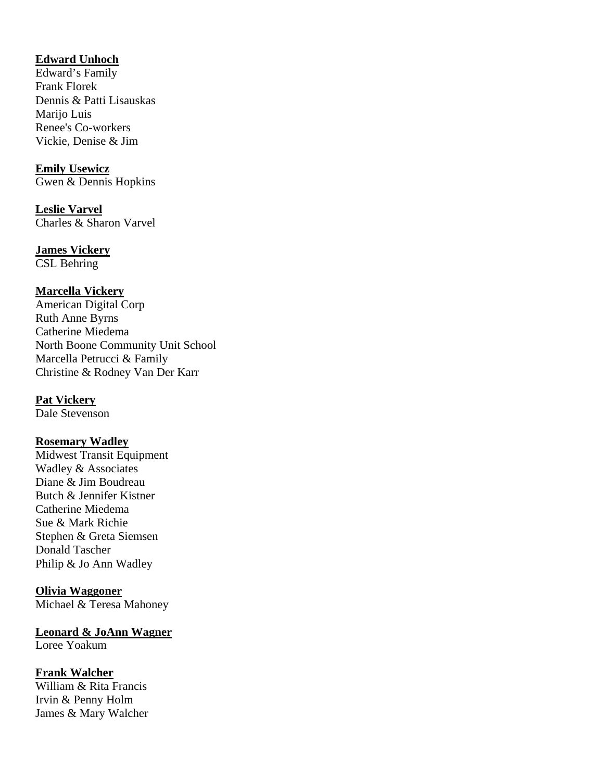## **Edward Unhoch**

Edward's Family Frank Florek Dennis & Patti Lisauskas Marijo Luis Renee's Co-workers Vickie, Denise & Jim

**Emily Usewicz** Gwen & Dennis Hopkins

**Leslie Varvel** Charles & Sharon Varvel

**James Vickery**

CSL Behring

## **Marcella Vickery**

American Digital Corp Ruth Anne Byrns Catherine Miedema North Boone Community Unit School Marcella Petrucci & Family Christine & Rodney Van Der Karr

## **Pat Vickery**

Dale Stevenson

### **Rosemary Wadley**

Midwest Transit Equipment Wadley & Associates Diane & Jim Boudreau Butch & Jennifer Kistner Catherine Miedema Sue & Mark Richie Stephen & Greta Siemsen Donald Tascher Philip & Jo Ann Wadley

## **Olivia Waggoner**

Michael & Teresa Mahoney

## **Leonard & JoAnn Wagner**

Loree Yoakum

## **Frank Walcher**

William & Rita Francis Irvin & Penny Holm James & Mary Walcher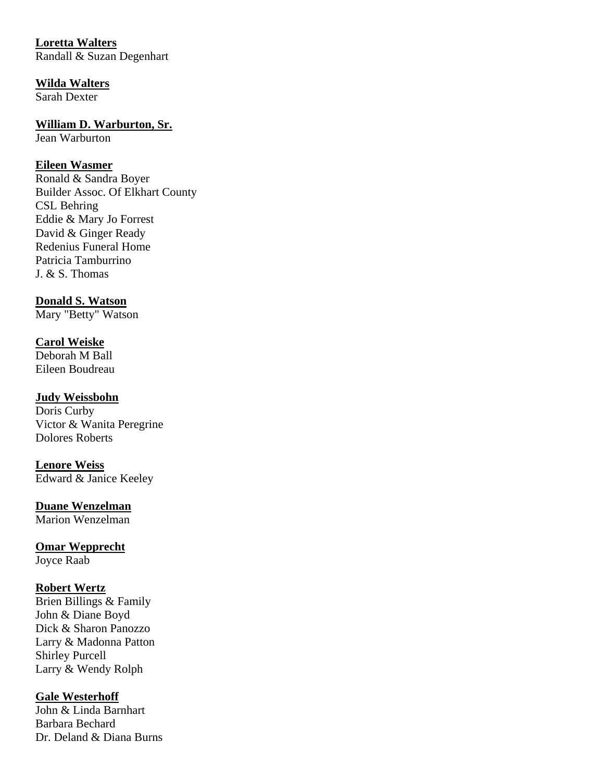## **Loretta Walters**

Randall & Suzan Degenhart

## **Wilda Walters**

Sarah Dexter

## **William D. Warburton, Sr.**

Jean Warburton

## **Eileen Wasmer**

Ronald & Sandra Boyer Builder Assoc. Of Elkhart County CSL Behring Eddie & Mary Jo Forrest David & Ginger Ready Redenius Funeral Home Patricia Tamburrino J. & S. Thomas

## **Donald S. Watson**

Mary "Betty" Watson

#### **Carol Weiske** Deborah M Ball

Eileen Boudreau

## **Judy Weissbohn**

Doris Curby Victor & Wanita Peregrine Dolores Roberts

## **Lenore Weiss** Edward & Janice Keeley

**Duane Wenzelman**

Marion Wenzelman

#### **Omar Wepprecht** Joyce Raab

## **Robert Wertz**

Brien Billings & Family John & Diane Boyd Dick & Sharon Panozzo Larry & Madonna Patton Shirley Purcell Larry & Wendy Rolph

## **Gale Westerhoff**

John & Linda Barnhart Barbara Bechard Dr. Deland & Diana Burns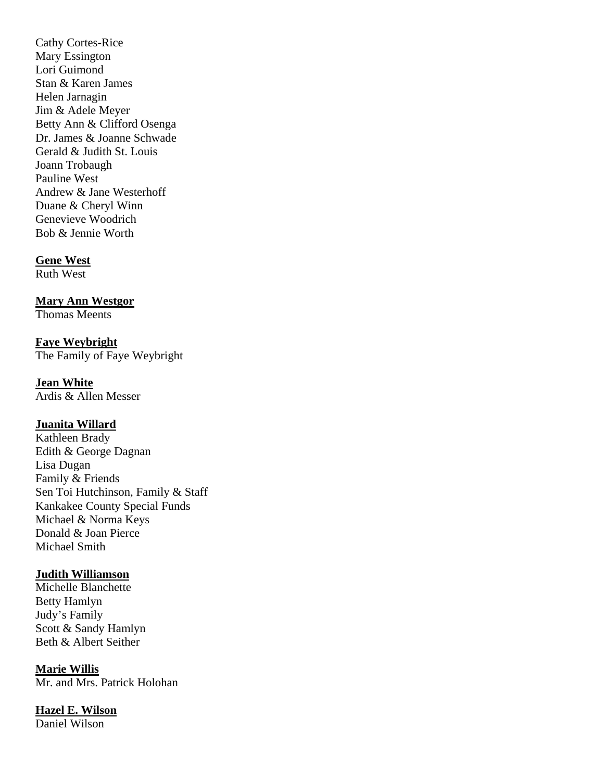Cathy Cortes-Rice Mary Essington Lori Guimond Stan & Karen James Helen Jarnagin Jim & Adele Meyer Betty Ann & Clifford Osenga Dr. James & Joanne Schwade Gerald & Judith St. Louis Joann Trobaugh Pauline West Andrew & Jane Westerhoff Duane & Cheryl Winn Genevieve Woodrich Bob & Jennie Worth

#### **Gene West**

Ruth West

#### **Mary Ann Westgor**

Thomas Meents

## **Faye Weybright**

The Family of Faye Weybright

#### **Jean White**

Ardis & Allen Messer

## **Juanita Willard**

Kathleen Brady Edith & George Dagnan Lisa Dugan Family & Friends Sen Toi Hutchinson, Family & Staff Kankakee County Special Funds Michael & Norma Keys Donald & Joan Pierce Michael Smith

#### **Judith Williamson**

Michelle Blanchette Betty Hamlyn Judy's Family Scott & Sandy Hamlyn Beth & Albert Seither

#### **Marie Willis**

Mr. and Mrs. Patrick Holohan

#### **Hazel E. Wilson**

Daniel Wilson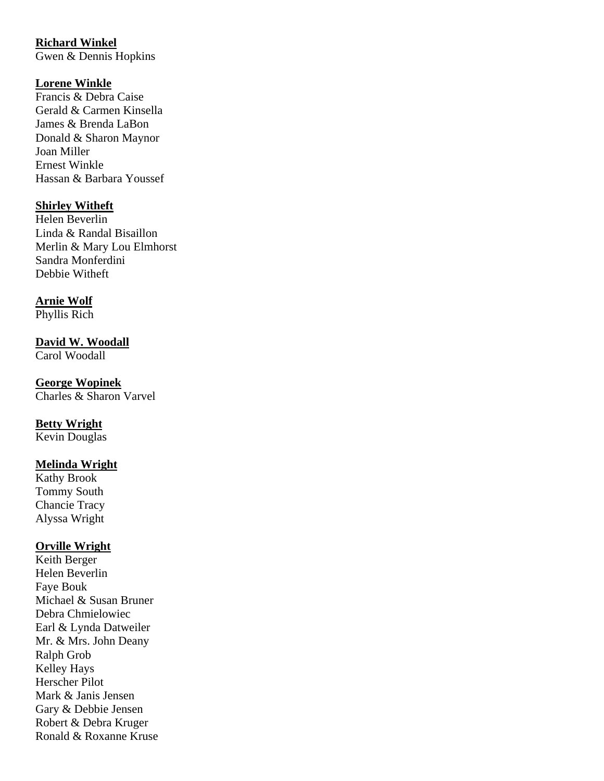# **Richard Winkel**

Gwen & Dennis Hopkins

## **Lorene Winkle**

Francis & Debra Caise Gerald & Carmen Kinsella James & Brenda LaBon Donald & Sharon Maynor Joan Miller Ernest Winkle Hassan & Barbara Youssef

## **Shirley Witheft**

Helen Beverlin Linda & Randal Bisaillon Merlin & Mary Lou Elmhorst Sandra Monferdini Debbie Witheft

## **Arnie Wolf**

Phyllis Rich

## **David W. Woodall**

Carol Woodall

## **George Wopinek**

Charles & Sharon Varvel

## **Betty Wright**

Kevin Douglas

## **Melinda Wright**

Kathy Brook Tommy South Chancie Tracy Alyssa Wright

## **Orville Wright**

Keith Berger Helen Beverlin Faye Bouk Michael & Susan Bruner Debra Chmielowiec Earl & Lynda Datweiler Mr. & Mrs. John Deany Ralph Grob Kelley Hays Herscher Pilot Mark & Janis Jensen Gary & Debbie Jensen Robert & Debra Kruger Ronald & Roxanne Kruse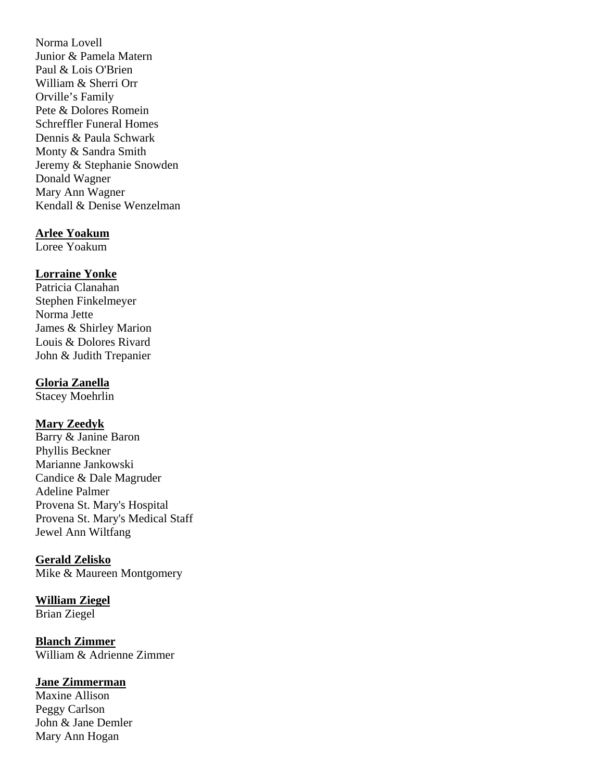Norma Lovell Junior & Pamela Matern Paul & Lois O'Brien William & Sherri Orr Orville's Family Pete & Dolores Romein Schreffler Funeral Homes Dennis & Paula Schwark Monty & Sandra Smith Jeremy & Stephanie Snowden Donald Wagner Mary Ann Wagner Kendall & Denise Wenzelman

#### **Arlee Yoakum**

Loree Yoakum

### **Lorraine Yonke**

Patricia Clanahan Stephen Finkelmeyer Norma Jette James & Shirley Marion Louis & Dolores Rivard John & Judith Trepanier

## **Gloria Zanella**

Stacey Moehrlin

## **Mary Zeedyk**

Barry & Janine Baron Phyllis Beckner Marianne Jankowski Candice & Dale Magruder Adeline Palmer Provena St. Mary's Hospital Provena St. Mary's Medical Staff Jewel Ann Wiltfang

### **Gerald Zelisko**

Mike & Maureen Montgomery

#### **William Ziegel** Brian Ziegel

**Blanch Zimmer** William & Adrienne Zimmer

### **Jane Zimmerman**

Maxine Allison Peggy Carlson John & Jane Demler Mary Ann Hogan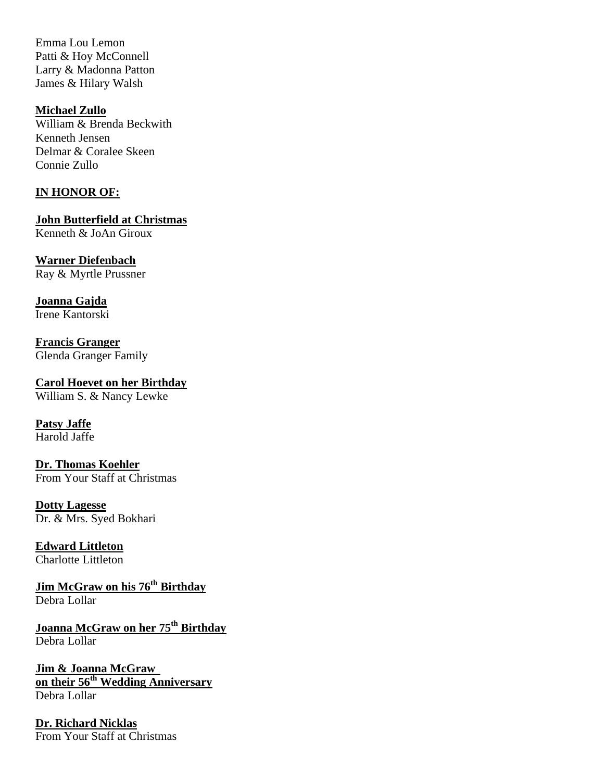Emma Lou Lemon Patti & Hoy McConnell Larry & Madonna Patton James & Hilary Walsh

**Michael Zullo** William & Brenda Beckwith Kenneth Jensen Delmar & Coralee Skeen Connie Zullo

### **IN HONOR OF:**

**John Butterfield at Christmas**  Kenneth & JoAn Giroux

**Warner Diefenbach**  Ray & Myrtle Prussner

**Joanna Gajda**  Irene Kantorski

**Francis Granger**  Glenda Granger Family

**Carol Hoevet on her Birthday**  William S. & Nancy Lewke

**Patsy Jaffe**  Harold Jaffe

**Dr. Thomas Koehler**  From Your Staff at Christmas

**Dotty Lagesse**  Dr. & Mrs. Syed Bokhari

**Edward Littleton**  Charlotte Littleton

**Jim McGraw on his 76th Birthday**  Debra Lollar

**Joanna McGraw on her 75th Birthday**  Debra Lollar

**Jim & Joanna McGraw on their 56th Wedding Anniversary**  Debra Lollar

**Dr. Richard Nicklas**  From Your Staff at Christmas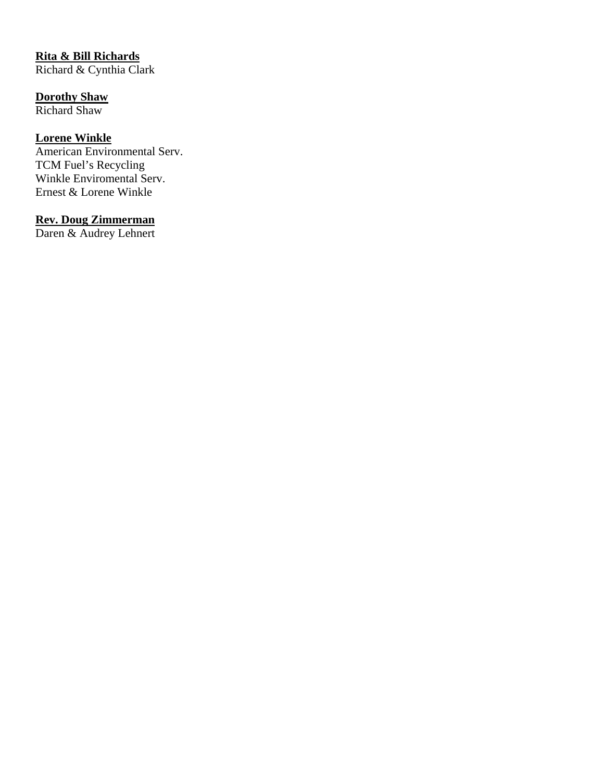# **Rita & Bill Richards**

Richard & Cynthia Clark

## **Dorothy Shaw**

Richard Shaw

## **Lorene Winkle**

American Environmental Serv. TCM Fuel's Recycling Winkle Enviromental Serv. Ernest & Lorene Winkle

## **Rev. Doug Zimmerman**

Daren & Audrey Lehnert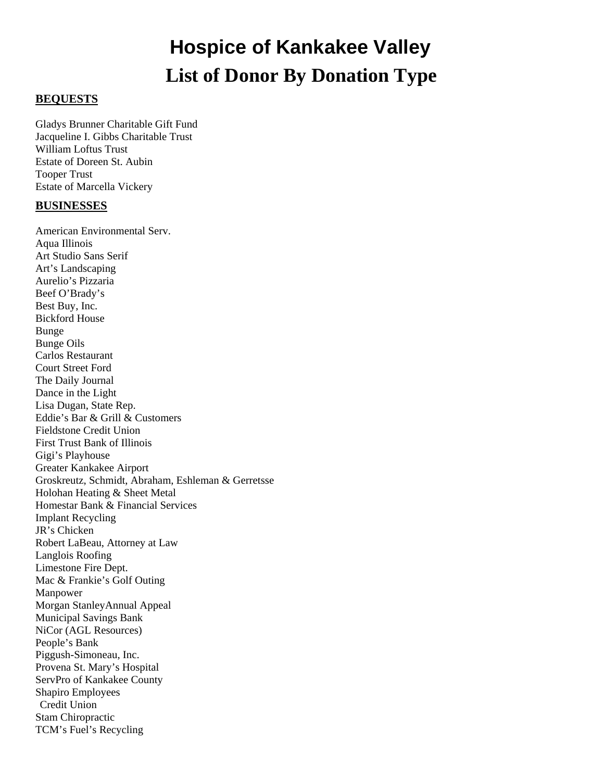# **Hospice of Kankakee Valley List of Donor By Donation Type**

#### **BEQUESTS**

Gladys Brunner Charitable Gift Fund Jacqueline I. Gibbs Charitable Trust William Loftus Trust Estate of Doreen St. Aubin Tooper Trust Estate of Marcella Vickery

#### **BUSINESSES**

American Environmental Serv. Aqua Illinois Art Studio Sans Serif Art's Landscaping Aurelio's Pizzaria Beef O'Brady's Best Buy, Inc. Bickford House Bunge Bunge Oils Carlos Restaurant Court Street Ford The Daily Journal Dance in the Light Lisa Dugan, State Rep. Eddie's Bar & Grill & Customers Fieldstone Credit Union First Trust Bank of Illinois Gigi's Playhouse Greater Kankakee Airport Groskreutz, Schmidt, Abraham, Eshleman & Gerretsse Holohan Heating & Sheet Metal Homestar Bank & Financial Services Implant Recycling JR's Chicken Robert LaBeau, Attorney at Law Langlois Roofing Limestone Fire Dept. Mac & Frankie's Golf Outing Manpower Morgan StanleyAnnual Appeal Municipal Savings Bank NiCor (AGL Resources) People's Bank Piggush-Simoneau, Inc. Provena St. Mary's Hospital ServPro of Kankakee County Shapiro Employees Credit Union Stam Chiropractic TCM's Fuel's Recycling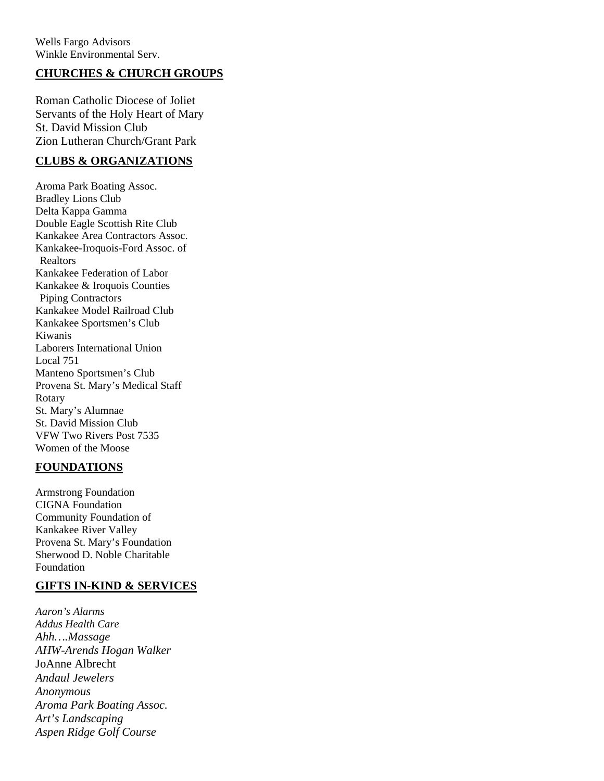## **CHURCHES & CHURCH GROUPS**

Roman Catholic Diocese of Joliet Servants of the Holy Heart of Mary St. David Mission Club Zion Lutheran Church/Grant Park

## **CLUBS & ORGANIZATIONS**

Aroma Park Boating Assoc. Bradley Lions Club Delta Kappa Gamma Double Eagle Scottish Rite Club Kankakee Area Contractors Assoc. Kankakee-Iroquois-Ford Assoc. of Realtors Kankakee Federation of Labor Kankakee & Iroquois Counties Piping Contractors Kankakee Model Railroad Club Kankakee Sportsmen's Club Kiwanis Laborers International Union Local 751 Manteno Sportsmen's Club Provena St. Mary's Medical Staff Rotary St. Mary's Alumnae St. David Mission Club VFW Two Rivers Post 7535 Women of the Moose

### **FOUNDATIONS**

Armstrong Foundation CIGNA Foundation Community Foundation of Kankakee River Valley Provena St. Mary's Foundation Sherwood D. Noble Charitable Foundation

### **GIFTS IN-KIND & SERVICES**

*Aaron's Alarms Addus Health Care Ahh….Massage AHW-Arends Hogan Walker*  JoAnne Albrecht *Andaul Jewelers Anonymous Aroma Park Boating Assoc. Art's Landscaping Aspen Ridge Golf Course*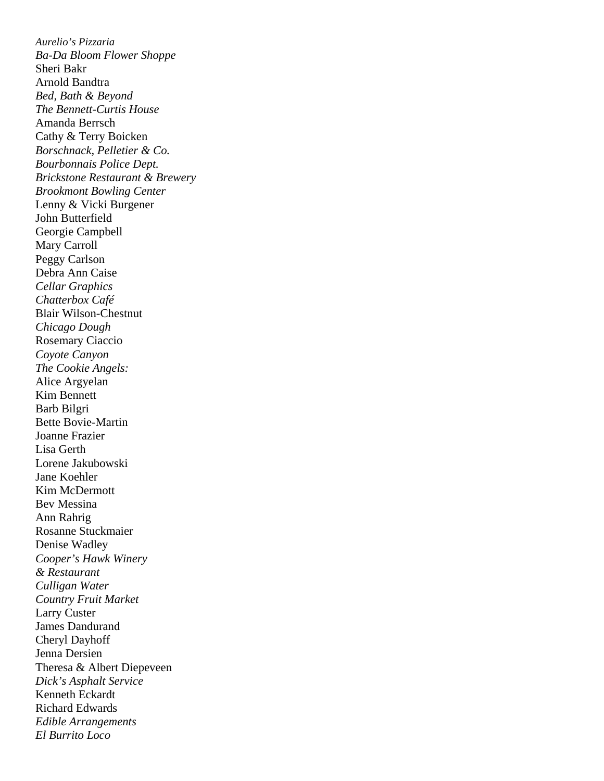*Aurelio's Pizzaria Ba-Da Bloom Flower Shoppe*  Sheri Bakr Arnold Bandtra *Bed, Bath & Beyond The Bennett-Curtis House*  Amanda Berrsch Cathy & Terry Boicken *Borschnack, Pelletier & Co. Bourbonnais Police Dept. Brickstone Restaurant & Brewery Brookmont Bowling Center*  Lenny & Vicki Burgener John Butterfield Georgie Campbell Mary Carroll Peggy Carlson Debra Ann Caise *Cellar Graphics Chatterbox Café*  Blair Wilson-Chestnut *Chicago Dough*  Rosemary Ciaccio *Coyote Canyon The Cookie Angels:*  Alice Argyelan Kim Bennett Barb Bilgri Bette Bovie-Martin Joanne Frazier Lisa Gerth Lorene Jakubowski Jane Koehler Kim McDermott Bev Messina Ann Rahrig Rosanne Stuckmaier Denise Wadley *Cooper's Hawk Winery & Restaurant Culligan Water Country Fruit Market*  Larry Custer James Dandurand Cheryl Dayhoff Jenna Dersien Theresa & Albert Diepeveen *Dick's Asphalt Service*  Kenneth Eckardt Richard Edwards *Edible Arrangements El Burrito Loco*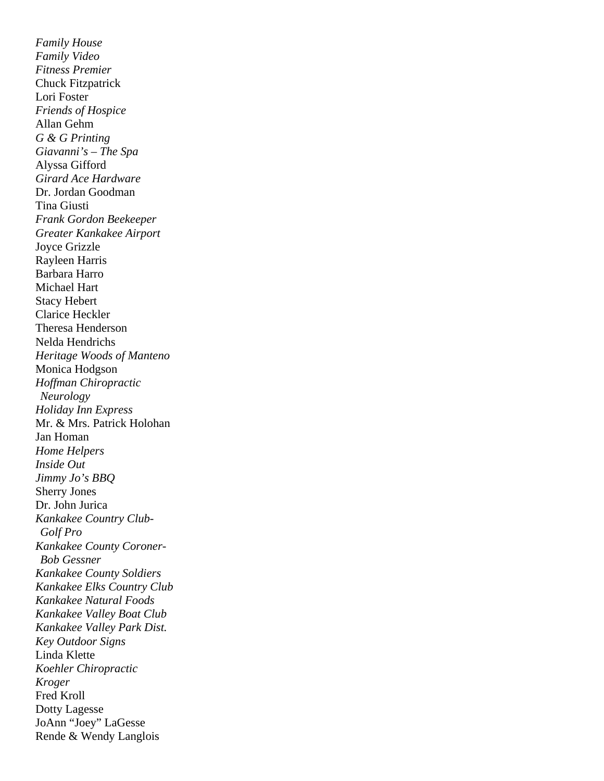*Family House Family Video Fitness Premier*  Chuck Fitzpatrick Lori Foster *Friends of Hospice*  Allan Gehm *G & G Printing Giavanni's – The Spa*  Alyssa Gifford *Girard Ace Hardware*  Dr. Jordan Goodman Tina Giusti *Frank Gordon Beekeeper Greater Kankakee Airport*  Joyce Grizzle Rayleen Harris Barbara Harro Michael Hart Stacy Hebert Clarice Heckler Theresa Henderson Nelda Hendrichs *Heritage Woods of Manteno*  Monica Hodgson *Hoffman Chiropractic Neurology Holiday Inn Express*  Mr. & Mrs. Patrick Holohan Jan Homan *Home Helpers Inside Out Jimmy Jo's BBQ*  Sherry Jones Dr. John Jurica *Kankakee Country Club- Golf Pro Kankakee County Coroner- Bob Gessner Kankakee County Soldiers Kankakee Elks Country Club Kankakee Natural Foods Kankakee Valley Boat Club Kankakee Valley Park Dist. Key Outdoor Signs*  Linda Klette *Koehler Chiropractic Kroger*  Fred Kroll Dotty Lagesse JoAnn "Joey" LaGesse Rende & Wendy Langlois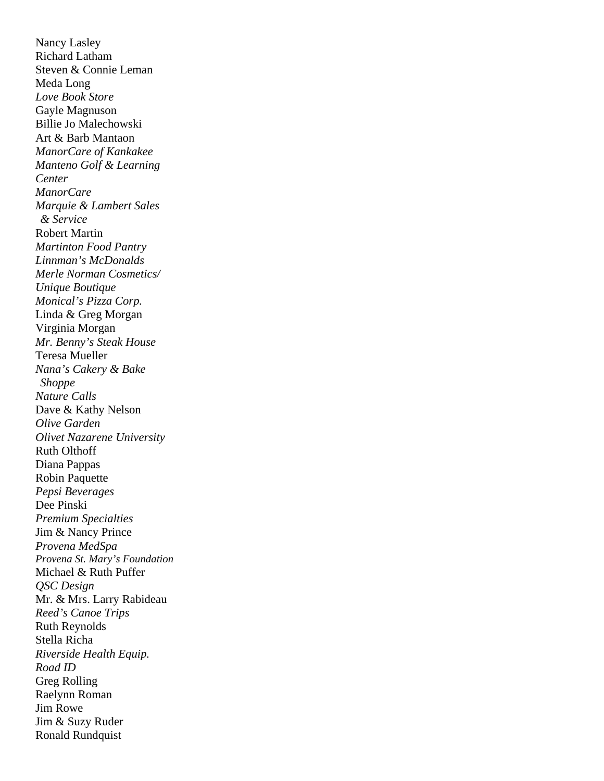Nancy Lasley Richard Latham Steven & Connie Leman Meda Long *Love Book Store*  Gayle Magnuson Billie Jo Malechowski Art & Barb Mantaon *ManorCare of Kankakee Manteno Golf & Learning Center ManorCare Marquie & Lambert Sales & Service*  Robert Martin *Martinton Food Pantry Linnman's McDonalds Merle Norman Cosmetics/ Unique Boutique Monical's Pizza Corp.*  Linda & Greg Morgan Virginia Morgan *Mr. Benny's Steak House*  Teresa Mueller *Nana's Cakery & Bake Shoppe Nature Calls*  Dave & Kathy Nelson *Olive Garden Olivet Nazarene University*  Ruth Olthoff Diana Pappas Robin Paquette *Pepsi Beverages*  Dee Pinski *Premium Specialties*  Jim & Nancy Prince *Provena MedSpa Provena St. Mary's Foundation*  Michael & Ruth Puffer *QSC Design*  Mr. & Mrs. Larry Rabideau *Reed's Canoe Trips*  Ruth Reynolds Stella Richa *Riverside Health Equip. Road ID*  Greg Rolling Raelynn Roman Jim Rowe Jim & Suzy Ruder Ronald Rundquist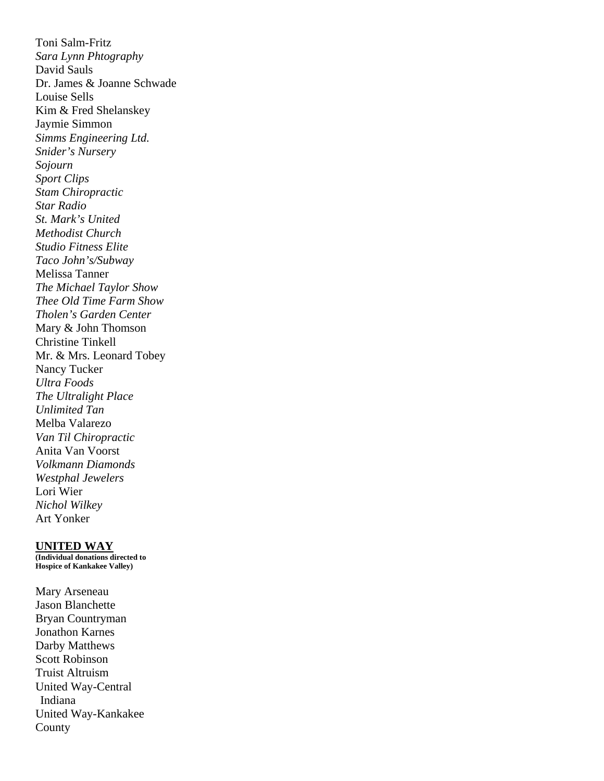Toni Salm-Fritz *Sara Lynn Phtography*  David Sauls Dr. James & Joanne Schwade Louise Sells Kim & Fred Shelanskey Jaymie Simmon *Simms Engineering Ltd. Snider's Nursery Sojourn Sport Clips Stam Chiropractic Star Radio St. Mark's United Methodist Church Studio Fitness Elite Taco John's/Subway*  Melissa Tanner *The Michael Taylor Show Thee Old Time Farm Show Tholen's Garden Center*  Mary & John Thomson Christine Tinkell Mr. & Mrs. Leonard Tobey Nancy Tucker *Ultra Foods The Ultralight Place Unlimited Tan*  Melba Valarezo *Van Til Chiropractic*  Anita Van Voorst *Volkmann Diamonds Westphal Jewelers*  Lori Wier *Nichol Wilkey*  Art Yonker

#### **UNITED WAY**

**(Individual donations directed to Hospice of Kankakee Valley)** 

Mary Arseneau Jason Blanchette Bryan Countryman Jonathon Karnes Darby Matthews Scott Robinson Truist Altruism United Way-Central Indiana United Way-Kankakee County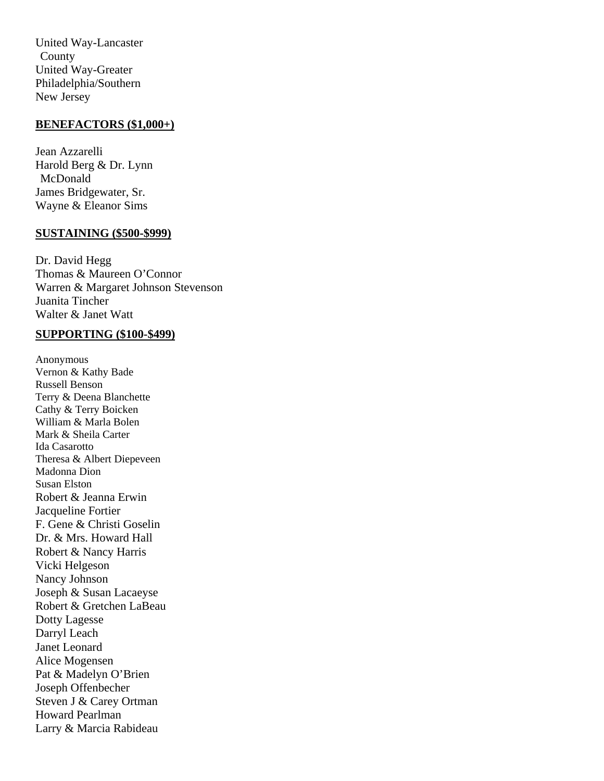United Way-Lancaster County United Way-Greater Philadelphia/Southern New Jersey

#### **BENEFACTORS (\$1,000+)**

Jean Azzarelli Harold Berg & Dr. Lynn McDonald James Bridgewater, Sr. Wayne & Eleanor Sims

#### **SUSTAINING (\$500-\$999)**

Dr. David Hegg Thomas & Maureen O'Connor Warren & Margaret Johnson Stevenson Juanita Tincher Walter & Janet Watt

### **SUPPORTING (\$100-\$499)**

Anonymous Vernon & Kathy Bade Russell Benson Terry & Deena Blanchette Cathy & Terry Boicken William & Marla Bolen Mark & Sheila Carter Ida Casarotto Theresa & Albert Diepeveen Madonna Dion Susan Elston Robert & Jeanna Erwin Jacqueline Fortier F. Gene & Christi Goselin Dr. & Mrs. Howard Hall Robert & Nancy Harris Vicki Helgeson Nancy Johnson Joseph & Susan Lacaeyse Robert & Gretchen LaBeau Dotty Lagesse Darryl Leach Janet Leonard Alice Mogensen Pat & Madelyn O'Brien Joseph Offenbecher Steven J & Carey Ortman Howard Pearlman Larry & Marcia Rabideau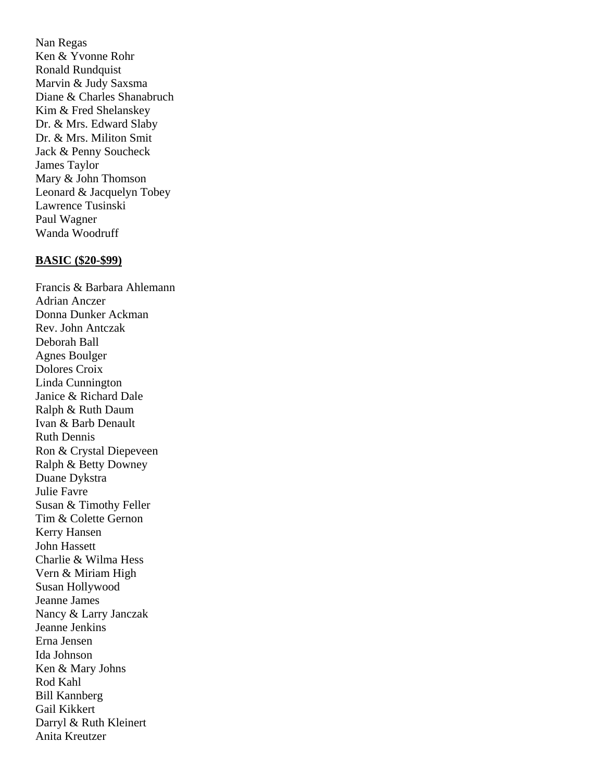Nan Regas Ken & Yvonne Rohr Ronald Rundquist Marvin & Judy Saxsma Diane & Charles Shanabruch Kim & Fred Shelanskey Dr. & Mrs. Edward Slaby Dr. & Mrs. Militon Smit Jack & Penny Soucheck James Taylor Mary & John Thomson Leonard & Jacquelyn Tobey Lawrence Tusinski Paul Wagner Wanda Woodruff

#### **BASIC (\$20-\$99)**

Francis & Barbara Ahlemann Adrian Anczer Donna Dunker Ackman Rev. John Antczak Deborah Ball Agnes Boulger Dolores Croix Linda Cunnington Janice & Richard Dale Ralph & Ruth Daum Ivan & Barb Denault Ruth Dennis Ron & Crystal Diepeveen Ralph & Betty Downey Duane Dykstra Julie Favre Susan & Timothy Feller Tim & Colette Gernon Kerry Hansen John Hassett Charlie & Wilma Hess Vern & Miriam High Susan Hollywood Jeanne James Nancy & Larry Janczak Jeanne Jenkins Erna Jensen Ida Johnson Ken & Mary Johns Rod Kahl Bill Kannberg Gail Kikkert Darryl & Ruth Kleinert Anita Kreutzer